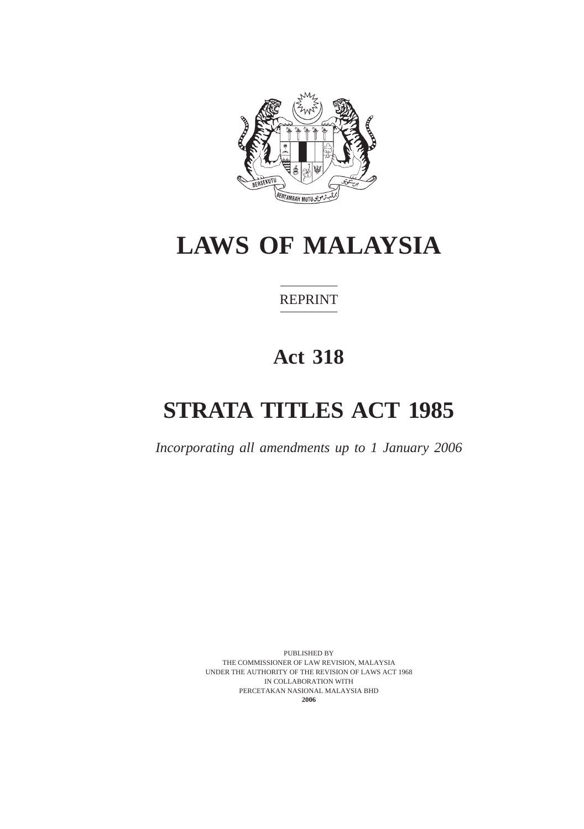

# **LAWS OF MALAYSIA**

# REPRINT

# **Act 318**

# **STRATA TITLES ACT 1985**

*Incorporating all amendments up to 1 January 2006*

PUBLISHED BY THE COMMISSIONER OF LAW REVISION, MALAYSIA UNDER THE AUTHORITY OF THE REVISION OF LAWS ACT 1968 IN COLLABORATION WITH PERCETAKAN NASIONAL MALAYSIA BHD **2006**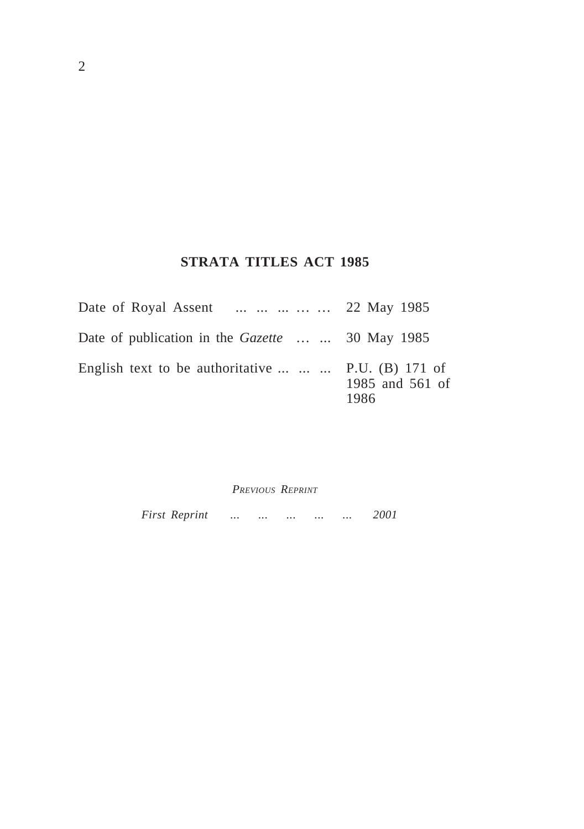# **STRATA TITLES ACT 1985**

| Date of Royal Assent      22 May 1985                     |                         |
|-----------------------------------------------------------|-------------------------|
| Date of publication in the <i>Gazette</i> 30 May 1985     |                         |
| English text to be authoritative $\ldots$ P.U. (B) 171 of | 1985 and 561 of<br>1986 |

*PREVIOUS REPRINT*

*First Reprint ... ... ... ... ... 2001*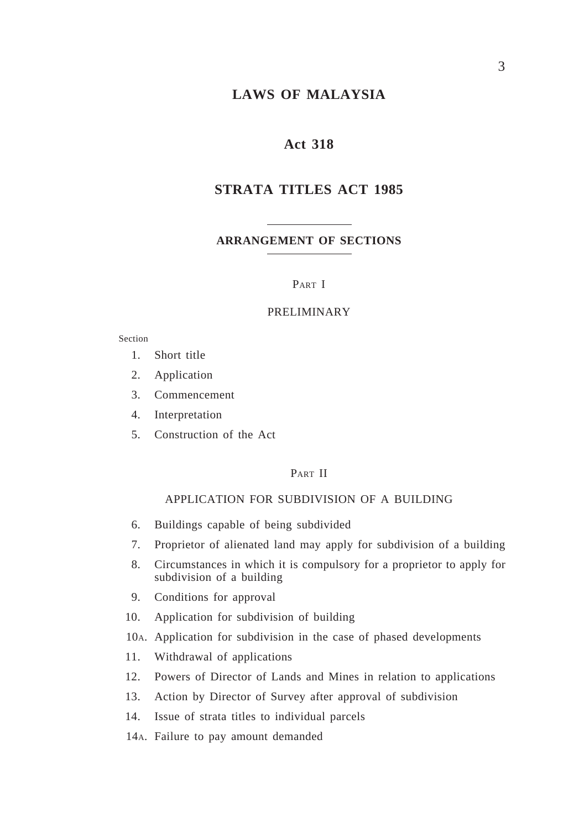## **LAWS OF MALAYSIA**

## **Act 318**

## **STRATA TITLES ACT 1985**

#### **ARRANGEMENT OF SECTIONS**

#### PART I

#### PRELIMINARY

#### Section

- 1. Short title
- 2. Application
- 3. Commencement
- 4. Interpretation
- 5. Construction of the Act

#### PART II

## APPLICATION FOR SUBDIVISION OF A BUILDING

- 6. Buildings capable of being subdivided
- 7. Proprietor of alienated land may apply for subdivision of a building
- 8. Circumstances in which it is compulsory for a proprietor to apply for subdivision of a building
- 9. Conditions for approval
- 10. Application for subdivision of building
- 10A. Application for subdivision in the case of phased developments
- 11. Withdrawal of applications
- 12. Powers of Director of Lands and Mines in relation to applications
- 13. Action by Director of Survey after approval of subdivision
- 14. Issue of strata titles to individual parcels
- 14A. Failure to pay amount demanded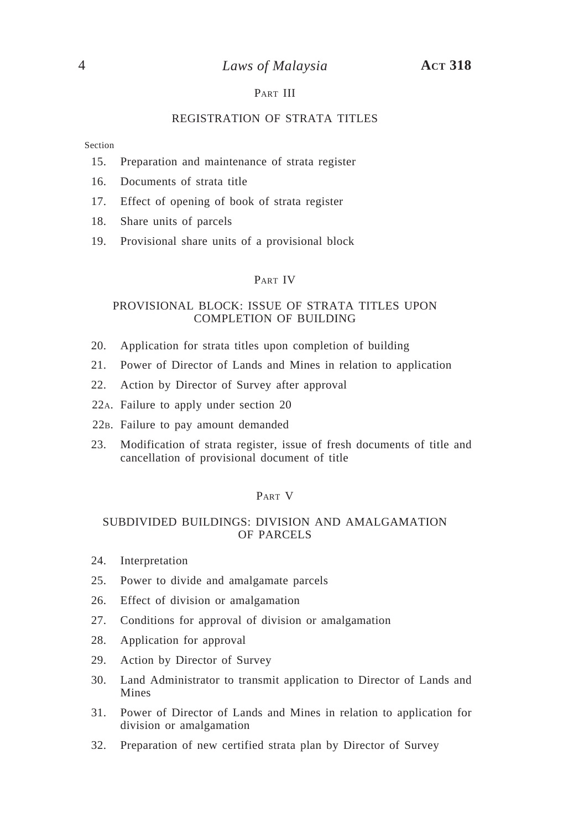## PART III

#### REGISTRATION OF STRATA TITLES

Section

- 15. Preparation and maintenance of strata register
- 16. Documents of strata title
- 17. Effect of opening of book of strata register
- 18. Share units of parcels
- 19. Provisional share units of a provisional block

## PART IV

#### PROVISIONAL BLOCK: ISSUE OF STRATA TITLES UPON COMPLETION OF BUILDING

- 20. Application for strata titles upon completion of building
- 21. Power of Director of Lands and Mines in relation to application
- 22. Action by Director of Survey after approval
- 22A. Failure to apply under section 20
- 22B. Failure to pay amount demanded
- 23. Modification of strata register, issue of fresh documents of title and cancellation of provisional document of title

#### PART V

#### SUBDIVIDED BUILDINGS: DIVISION AND AMALGAMATION OF PARCELS

- 24. Interpretation
- 25. Power to divide and amalgamate parcels
- 26. Effect of division or amalgamation
- 27. Conditions for approval of division or amalgamation
- 28. Application for approval
- 29. Action by Director of Survey
- 30. Land Administrator to transmit application to Director of Lands and Mines
- 31. Power of Director of Lands and Mines in relation to application for division or amalgamation
- 32. Preparation of new certified strata plan by Director of Survey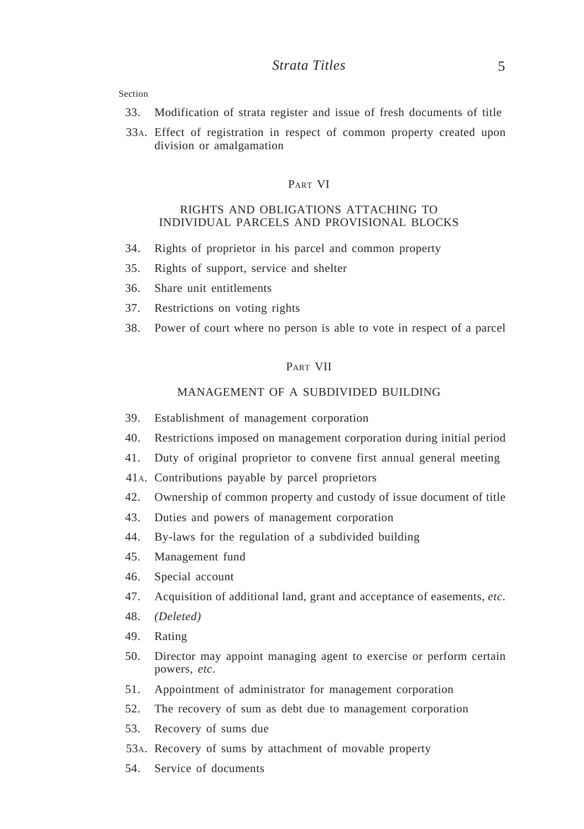- 33. Modification of strata register and issue of fresh documents of title
- 33A. Effect of registration in respect of common property created upon division or amalgamation

#### PART VI

#### RIGHTS AND OBLIGATIONS ATTACHING TO INDIVIDUAL PARCELS AND PROVISIONAL BLOCKS

- 34. Rights of proprietor in his parcel and common property
- 35. Rights of support, service and shelter
- 36. Share unit entitlements
- 37. Restrictions on voting rights
- 38. Power of court where no person is able to vote in respect of a parcel

#### PART VII

## MANAGEMENT OF A SUBDIVIDED BUILDING

- 39. Establishment of management corporation
- 40. Restrictions imposed on management corporation during initial period
- 41. Duty of original proprietor to convene first annual general meeting
- 41A. Contributions payable by parcel proprietors
- 42. Ownership of common property and custody of issue document of title
- 43. Duties and powers of management corporation
- 44. By-laws for the regulation of a subdivided building
- 45. Management fund
- 46. Special account
- 47. Acquisition of additional land, grant and acceptance of easements, *etc*.
- 48. *(Deleted)*
- 49. Rating
- 50. Director may appoint managing agent to exercise or perform certain powers, *etc*.
- 51. Appointment of administrator for management corporation
- 52. The recovery of sum as debt due to management corporation
- 53. Recovery of sums due
- 53A. Recovery of sums by attachment of movable property
- 54. Service of documents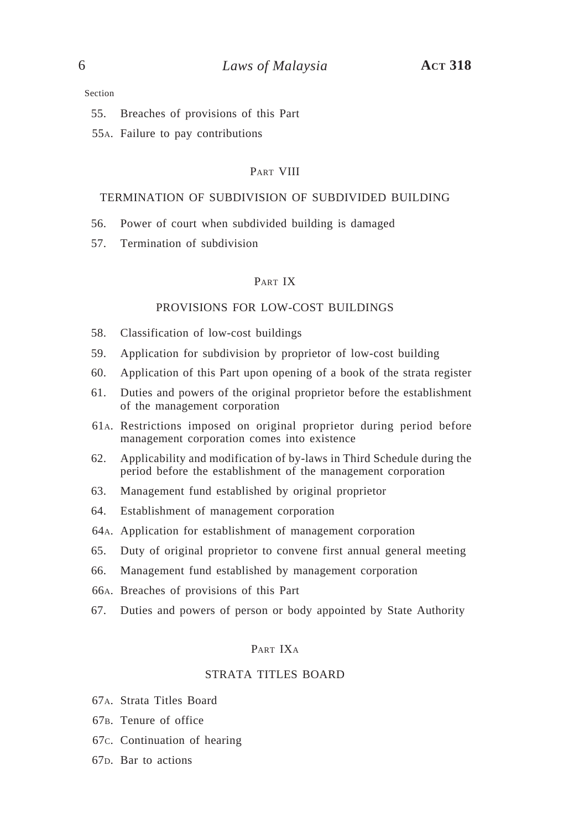- 55. Breaches of provisions of this Part
- 55A. Failure to pay contributions

#### PART VIII

#### TERMINATION OF SUBDIVISION OF SUBDIVIDED BUILDING

- 56. Power of court when subdivided building is damaged
- 57. Termination of subdivision

#### PART IX

#### PROVISIONS FOR LOW-COST BUILDINGS

- 58. Classification of low-cost buildings
- 59. Application for subdivision by proprietor of low-cost building
- 60. Application of this Part upon opening of a book of the strata register
- 61. Duties and powers of the original proprietor before the establishment of the management corporation
- 61A. Restrictions imposed on original proprietor during period before management corporation comes into existence
- 62. Applicability and modification of by-laws in Third Schedule during the period before the establishment of the management corporation
- 63. Management fund established by original proprietor
- 64. Establishment of management corporation
- 64A. Application for establishment of management corporation
- 65. Duty of original proprietor to convene first annual general meeting
- 66. Management fund established by management corporation
- 66A. Breaches of provisions of this Part
- 67. Duties and powers of person or body appointed by State Authority

#### PART IXA

#### STRATA TITLES BOARD

- 67A. Strata Titles Board
- 67B. Tenure of office
- 67C. Continuation of hearing
- 67D. Bar to actions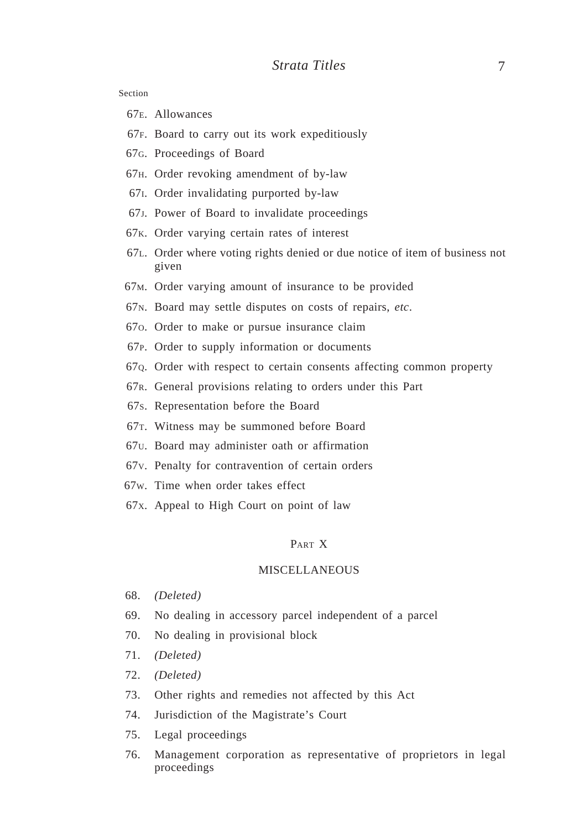- 67E. Allowances
- 67F. Board to carry out its work expeditiously
- 67G. Proceedings of Board
- 67H. Order revoking amendment of by-law
- 67I. Order invalidating purported by-law
- 67J. Power of Board to invalidate proceedings
- 67K. Order varying certain rates of interest
- 67L. Order where voting rights denied or due notice of item of business not given
- 67M. Order varying amount of insurance to be provided
- 67N. Board may settle disputes on costs of repairs, *etc*.
- 67O. Order to make or pursue insurance claim
- 67P. Order to supply information or documents
- 67Q. Order with respect to certain consents affecting common property
- 67R. General provisions relating to orders under this Part
- 67S. Representation before the Board
- 67T. Witness may be summoned before Board
- 67U. Board may administer oath or affirmation
- 67V. Penalty for contravention of certain orders
- 67W. Time when order takes effect
- 67X. Appeal to High Court on point of law

#### PART X

#### MISCELLANEOUS

- 68. *(Deleted)*
- 69. No dealing in accessory parcel independent of a parcel
- 70. No dealing in provisional block
- 71. *(Deleted)*
- 72. *(Deleted)*
- 73. Other rights and remedies not affected by this Act
- 74. Jurisdiction of the Magistrate's Court
- 75. Legal proceedings
- 76. Management corporation as representative of proprietors in legal proceedings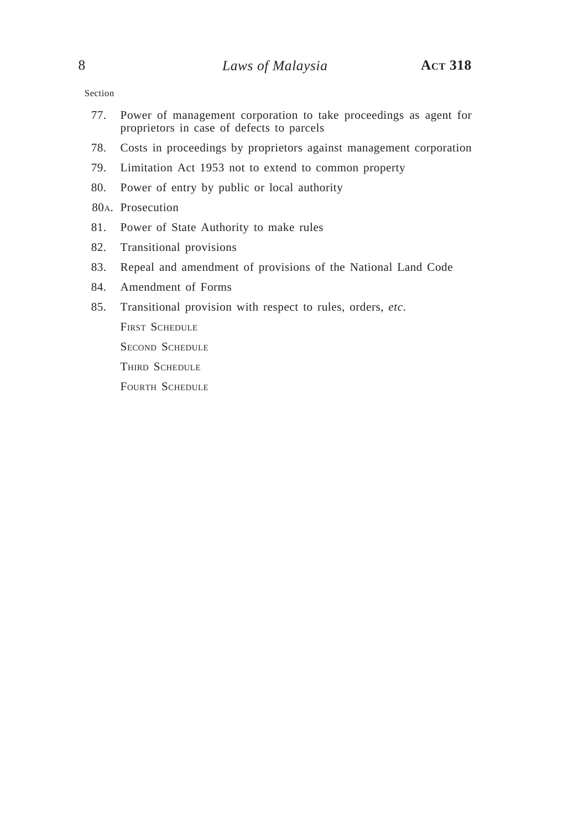- 77. Power of management corporation to take proceedings as agent for proprietors in case of defects to parcels
- 78. Costs in proceedings by proprietors against management corporation
- 79. Limitation Act 1953 not to extend to common property
- 80. Power of entry by public or local authority
- 80A. Prosecution
- 81. Power of State Authority to make rules
- 82. Transitional provisions
- 83. Repeal and amendment of provisions of the National Land Code
- 84. Amendment of Forms
- 85. Transitional provision with respect to rules, orders, *etc*.

FIRST SCHEDULE

SECOND SCHEDULE

THIRD SCHEDULE

FOURTH SCHEDULE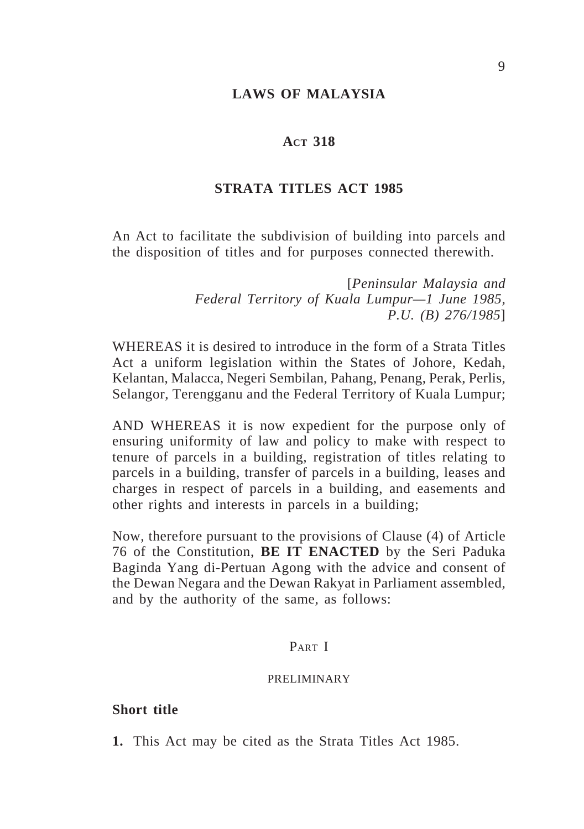## **LAWS OF MALAYSIA**

## **ACT 318**

## **STRATA TITLES ACT 1985**

An Act to facilitate the subdivision of building into parcels and the disposition of titles and for purposes connected therewith.

> [*Peninsular Malaysia and Federal Territory of Kuala Lumpur—1 June 1985, P.U. (B) 276/1985*]

WHEREAS it is desired to introduce in the form of a Strata Titles Act a uniform legislation within the States of Johore, Kedah, Kelantan, Malacca, Negeri Sembilan, Pahang, Penang, Perak, Perlis, Selangor, Terengganu and the Federal Territory of Kuala Lumpur;

AND WHEREAS it is now expedient for the purpose only of ensuring uniformity of law and policy to make with respect to tenure of parcels in a building, registration of titles relating to parcels in a building, transfer of parcels in a building, leases and charges in respect of parcels in a building, and easements and other rights and interests in parcels in a building;

Now, therefore pursuant to the provisions of Clause (4) of Article 76 of the Constitution, **BE IT ENACTED** by the Seri Paduka Baginda Yang di-Pertuan Agong with the advice and consent of the Dewan Negara and the Dewan Rakyat in Parliament assembled, and by the authority of the same, as follows:

# PART I

#### PRELIMINARY

## **Short title**

**1.** This Act may be cited as the Strata Titles Act 1985.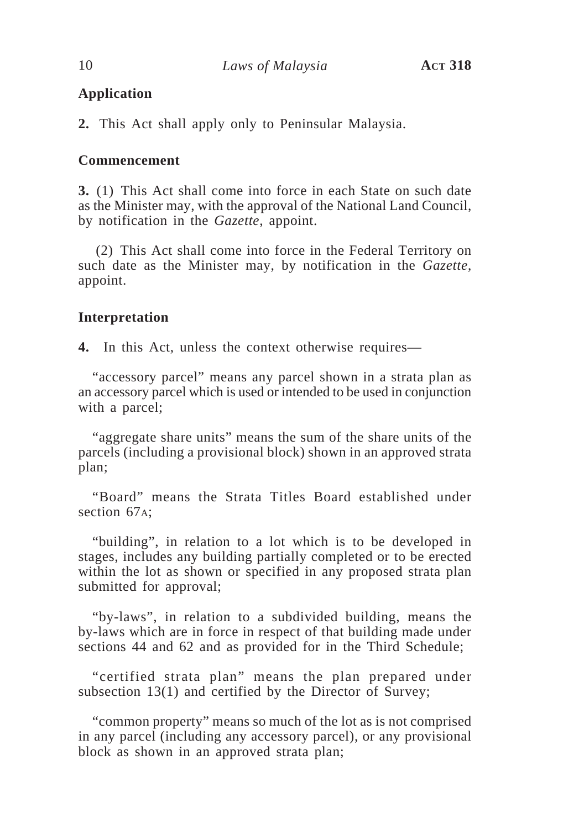## **Application**

**2.** This Act shall apply only to Peninsular Malaysia.

## **Commencement**

**3.** (1) This Act shall come into force in each State on such date as the Minister may, with the approval of the National Land Council, by notification in the *Gazette*, appoint.

(2) This Act shall come into force in the Federal Territory on such date as the Minister may, by notification in the *Gazette*, appoint.

## **Interpretation**

**4.** In this Act, unless the context otherwise requires—

"accessory parcel" means any parcel shown in a strata plan as an accessory parcel which is used or intended to be used in conjunction with a parcel;

"aggregate share units" means the sum of the share units of the parcels (including a provisional block) shown in an approved strata plan;

"Board" means the Strata Titles Board established under section 67<sub>A</sub>:

"building", in relation to a lot which is to be developed in stages, includes any building partially completed or to be erected within the lot as shown or specified in any proposed strata plan submitted for approval;

"by-laws", in relation to a subdivided building, means the by-laws which are in force in respect of that building made under sections 44 and 62 and as provided for in the Third Schedule;

"certified strata plan" means the plan prepared under subsection 13(1) and certified by the Director of Survey;

"common property" means so much of the lot as is not comprised in any parcel (including any accessory parcel), or any provisional block as shown in an approved strata plan;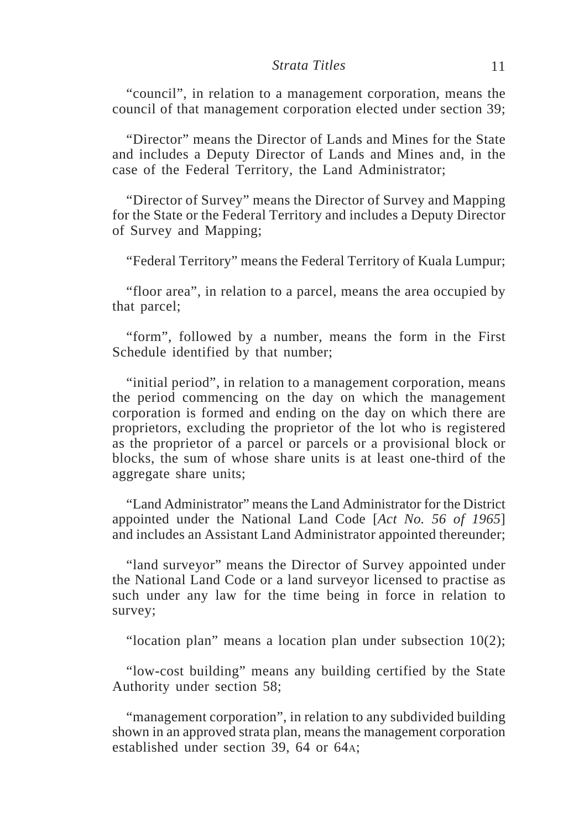"council", in relation to a management corporation, means the council of that management corporation elected under section 39;

"Director" means the Director of Lands and Mines for the State and includes a Deputy Director of Lands and Mines and, in the case of the Federal Territory, the Land Administrator;

"Director of Survey" means the Director of Survey and Mapping for the State or the Federal Territory and includes a Deputy Director of Survey and Mapping;

"Federal Territory" means the Federal Territory of Kuala Lumpur;

"floor area", in relation to a parcel, means the area occupied by that parcel;

"form", followed by a number, means the form in the First Schedule identified by that number;

"initial period", in relation to a management corporation, means the period commencing on the day on which the management corporation is formed and ending on the day on which there are proprietors, excluding the proprietor of the lot who is registered as the proprietor of a parcel or parcels or a provisional block or blocks, the sum of whose share units is at least one-third of the aggregate share units;

"Land Administrator" means the Land Administrator for the District appointed under the National Land Code [*Act No. 56 of 1965*] and includes an Assistant Land Administrator appointed thereunder;

"land surveyor" means the Director of Survey appointed under the National Land Code or a land surveyor licensed to practise as such under any law for the time being in force in relation to survey;

"location plan" means a location plan under subsection  $10(2)$ ;

"low-cost building" means any building certified by the State Authority under section 58;

"management corporation", in relation to any subdivided building shown in an approved strata plan, means the management corporation established under section 39, 64 or 64A;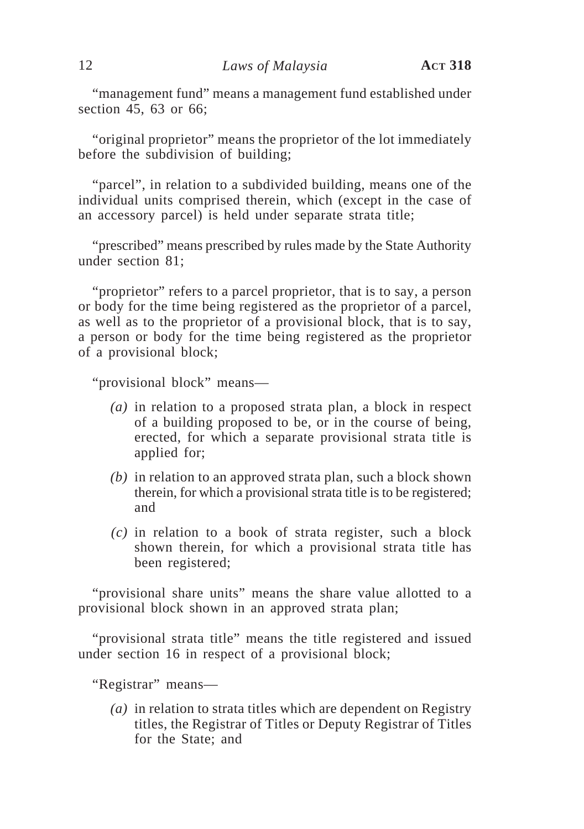"management fund" means a management fund established under section 45, 63 or 66;

"original proprietor" means the proprietor of the lot immediately before the subdivision of building;

"parcel", in relation to a subdivided building, means one of the individual units comprised therein, which (except in the case of an accessory parcel) is held under separate strata title;

"prescribed" means prescribed by rules made by the State Authority under section 81;

"proprietor" refers to a parcel proprietor, that is to say, a person or body for the time being registered as the proprietor of a parcel, as well as to the proprietor of a provisional block, that is to say, a person or body for the time being registered as the proprietor of a provisional block;

"provisional block" means—

- *(a)* in relation to a proposed strata plan, a block in respect of a building proposed to be, or in the course of being, erected, for which a separate provisional strata title is applied for;
- *(b)* in relation to an approved strata plan, such a block shown therein, for which a provisional strata title is to be registered; and
- *(c)* in relation to a book of strata register, such a block shown therein, for which a provisional strata title has been registered;

"provisional share units" means the share value allotted to a provisional block shown in an approved strata plan;

"provisional strata title" means the title registered and issued under section 16 in respect of a provisional block;

"Registrar" means—

*(a)* in relation to strata titles which are dependent on Registry titles, the Registrar of Titles or Deputy Registrar of Titles for the State; and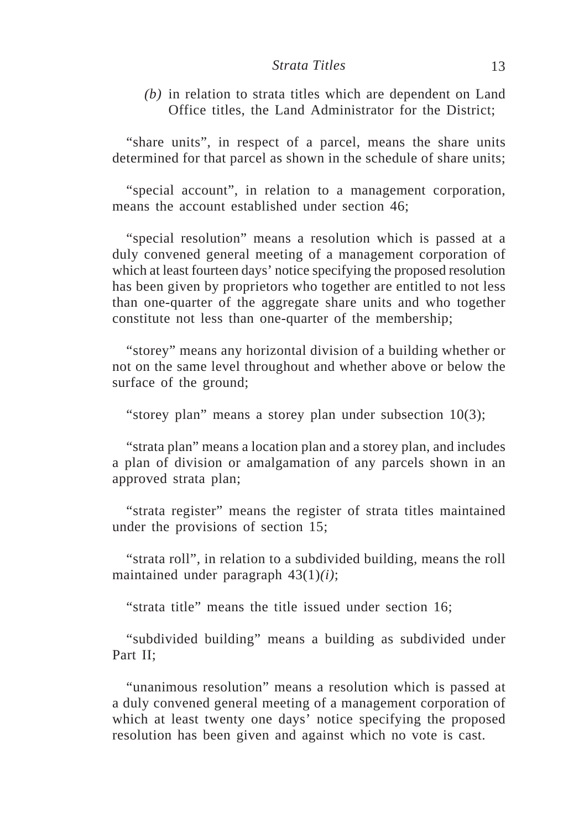*(b)* in relation to strata titles which are dependent on Land Office titles, the Land Administrator for the District;

"share units", in respect of a parcel, means the share units determined for that parcel as shown in the schedule of share units;

"special account", in relation to a management corporation, means the account established under section 46;

"special resolution" means a resolution which is passed at a duly convened general meeting of a management corporation of which at least fourteen days' notice specifying the proposed resolution has been given by proprietors who together are entitled to not less than one-quarter of the aggregate share units and who together constitute not less than one-quarter of the membership;

"storey" means any horizontal division of a building whether or not on the same level throughout and whether above or below the surface of the ground;

"storey plan" means a storey plan under subsection 10(3);

"strata plan" means a location plan and a storey plan, and includes a plan of division or amalgamation of any parcels shown in an approved strata plan;

"strata register" means the register of strata titles maintained under the provisions of section 15;

"strata roll", in relation to a subdivided building, means the roll maintained under paragraph 43(1)*(i)*;

"strata title" means the title issued under section 16;

"subdivided building" means a building as subdivided under Part II;

"unanimous resolution" means a resolution which is passed at a duly convened general meeting of a management corporation of which at least twenty one days' notice specifying the proposed resolution has been given and against which no vote is cast.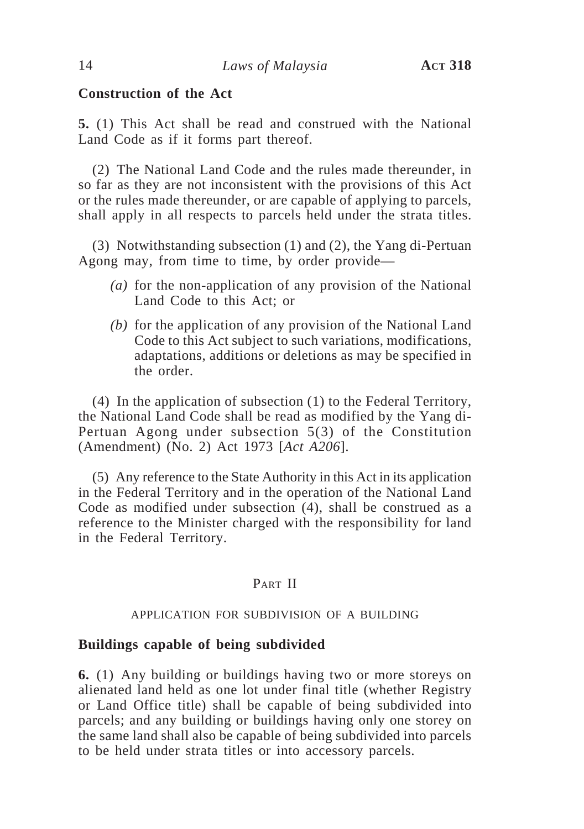## **Construction of the Act**

**5.** (1) This Act shall be read and construed with the National Land Code as if it forms part thereof.

(2) The National Land Code and the rules made thereunder, in so far as they are not inconsistent with the provisions of this Act or the rules made thereunder, or are capable of applying to parcels, shall apply in all respects to parcels held under the strata titles.

(3) Notwithstanding subsection (1) and (2), the Yang di-Pertuan Agong may, from time to time, by order provide—

- *(a)* for the non-application of any provision of the National Land Code to this Act; or
- *(b)* for the application of any provision of the National Land Code to this Act subject to such variations, modifications, adaptations, additions or deletions as may be specified in the order.

(4) In the application of subsection (1) to the Federal Territory, the National Land Code shall be read as modified by the Yang di-Pertuan Agong under subsection 5(3) of the Constitution (Amendment) (No. 2) Act 1973 [*Act A206*].

(5) Any reference to the State Authority in this Act in its application in the Federal Territory and in the operation of the National Land Code as modified under subsection (4), shall be construed as a reference to the Minister charged with the responsibility for land in the Federal Territory.

## PART II

#### APPLICATION FOR SUBDIVISION OF A BUILDING

## **Buildings capable of being subdivided**

**6.** (1) Any building or buildings having two or more storeys on alienated land held as one lot under final title (whether Registry or Land Office title) shall be capable of being subdivided into parcels; and any building or buildings having only one storey on the same land shall also be capable of being subdivided into parcels to be held under strata titles or into accessory parcels.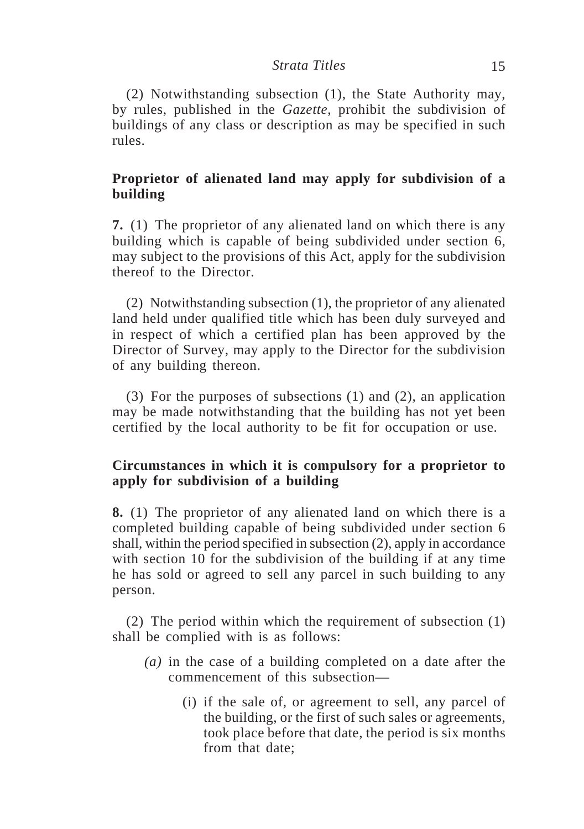(2) Notwithstanding subsection (1), the State Authority may, by rules, published in the *Gazette*, prohibit the subdivision of buildings of any class or description as may be specified in such rules.

# **Proprietor of alienated land may apply for subdivision of a building**

**7.** (1) The proprietor of any alienated land on which there is any building which is capable of being subdivided under section 6, may subject to the provisions of this Act, apply for the subdivision thereof to the Director.

(2) Notwithstanding subsection (1), the proprietor of any alienated land held under qualified title which has been duly surveyed and in respect of which a certified plan has been approved by the Director of Survey, may apply to the Director for the subdivision of any building thereon.

(3) For the purposes of subsections (1) and (2), an application may be made notwithstanding that the building has not yet been certified by the local authority to be fit for occupation or use.

## **Circumstances in which it is compulsory for a proprietor to apply for subdivision of a building**

**8.** (1) The proprietor of any alienated land on which there is a completed building capable of being subdivided under section 6 shall, within the period specified in subsection (2), apply in accordance with section 10 for the subdivision of the building if at any time he has sold or agreed to sell any parcel in such building to any person.

(2) The period within which the requirement of subsection (1) shall be complied with is as follows:

- *(a)* in the case of a building completed on a date after the commencement of this subsection—
	- (i) if the sale of, or agreement to sell, any parcel of the building, or the first of such sales or agreements, took place before that date, the period is six months from that date;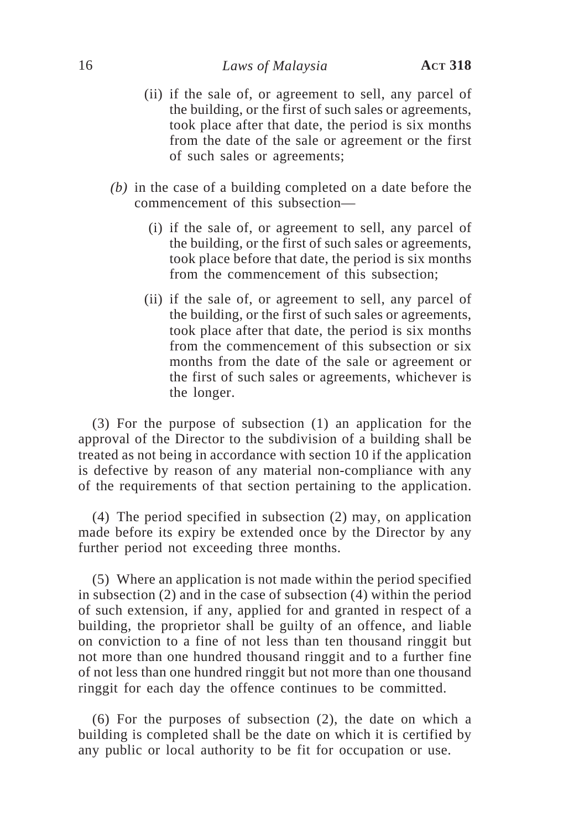- (ii) if the sale of, or agreement to sell, any parcel of the building, or the first of such sales or agreements, took place after that date, the period is six months from the date of the sale or agreement or the first of such sales or agreements;
- *(b)* in the case of a building completed on a date before the commencement of this subsection—
	- (i) if the sale of, or agreement to sell, any parcel of the building, or the first of such sales or agreements, took place before that date, the period is six months from the commencement of this subsection;
	- (ii) if the sale of, or agreement to sell, any parcel of the building, or the first of such sales or agreements, took place after that date, the period is six months from the commencement of this subsection or six months from the date of the sale or agreement or the first of such sales or agreements, whichever is the longer.

(3) For the purpose of subsection (1) an application for the approval of the Director to the subdivision of a building shall be treated as not being in accordance with section 10 if the application is defective by reason of any material non-compliance with any of the requirements of that section pertaining to the application.

(4) The period specified in subsection (2) may, on application made before its expiry be extended once by the Director by any further period not exceeding three months.

(5) Where an application is not made within the period specified in subsection (2) and in the case of subsection (4) within the period of such extension, if any, applied for and granted in respect of a building, the proprietor shall be guilty of an offence, and liable on conviction to a fine of not less than ten thousand ringgit but not more than one hundred thousand ringgit and to a further fine of not less than one hundred ringgit but not more than one thousand ringgit for each day the offence continues to be committed.

(6) For the purposes of subsection (2), the date on which a building is completed shall be the date on which it is certified by any public or local authority to be fit for occupation or use.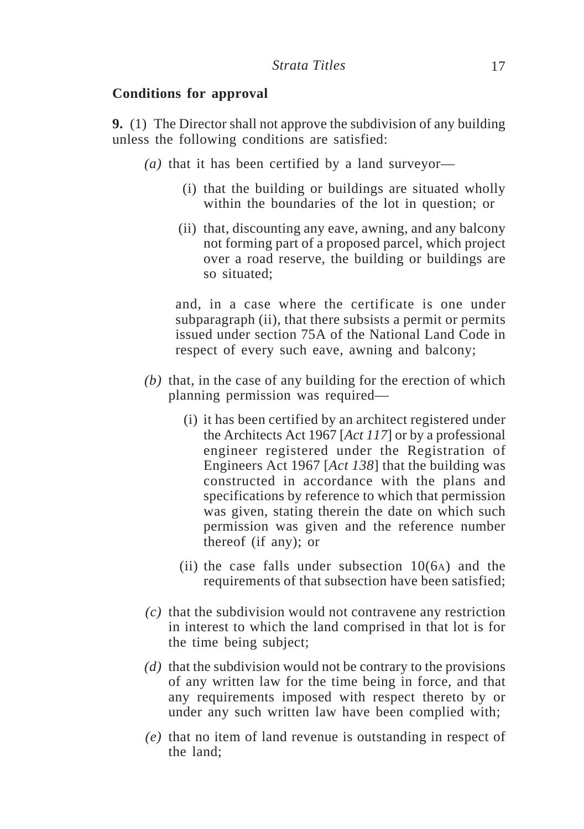## **Conditions for approval**

**9.** (1) The Director shall not approve the subdivision of any building unless the following conditions are satisfied:

- *(a)* that it has been certified by a land surveyor—
	- (i) that the building or buildings are situated wholly within the boundaries of the lot in question; or
	- (ii) that, discounting any eave, awning, and any balcony not forming part of a proposed parcel, which project over a road reserve, the building or buildings are so situated;

and, in a case where the certificate is one under subparagraph (ii), that there subsists a permit or permits issued under section 75A of the National Land Code in respect of every such eave, awning and balcony;

- *(b)* that, in the case of any building for the erection of which planning permission was required—
	- (i) it has been certified by an architect registered under the Architects Act 1967 [*Act 117*] or by a professional engineer registered under the Registration of Engineers Act 1967 [*Act 138*] that the building was constructed in accordance with the plans and specifications by reference to which that permission was given, stating therein the date on which such permission was given and the reference number thereof (if any); or
	- (ii) the case falls under subsection  $10(6)$  and the requirements of that subsection have been satisfied;
- *(c)* that the subdivision would not contravene any restriction in interest to which the land comprised in that lot is for the time being subject;
- *(d)* that the subdivision would not be contrary to the provisions of any written law for the time being in force, and that any requirements imposed with respect thereto by or under any such written law have been complied with;
- *(e)* that no item of land revenue is outstanding in respect of the land;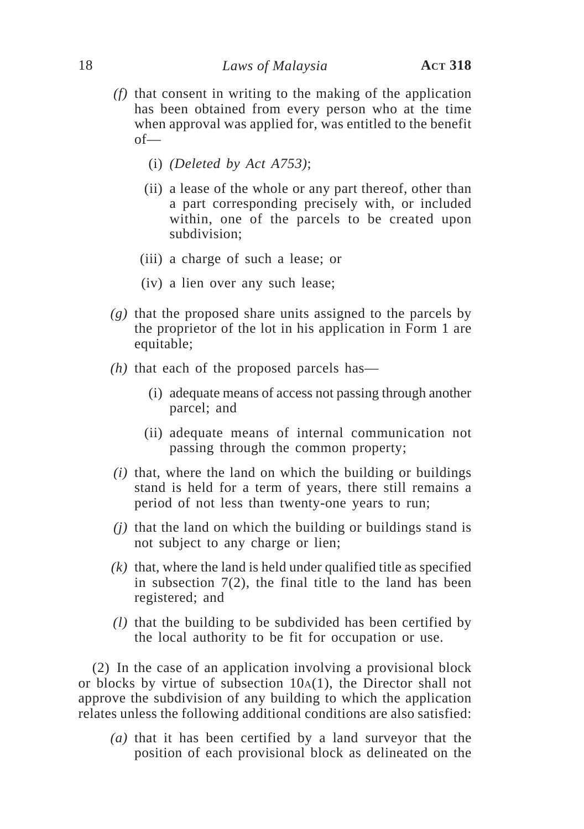- *(f)* that consent in writing to the making of the application has been obtained from every person who at the time when approval was applied for, was entitled to the benefit of—
	- (i) *(Deleted by Act A753)*;
	- (ii) a lease of the whole or any part thereof, other than a part corresponding precisely with, or included within, one of the parcels to be created upon subdivision;
	- (iii) a charge of such a lease; or
	- (iv) a lien over any such lease;
- *(g)* that the proposed share units assigned to the parcels by the proprietor of the lot in his application in Form 1 are equitable;
- *(h)* that each of the proposed parcels has—
	- (i) adequate means of access not passing through another parcel; and
	- (ii) adequate means of internal communication not passing through the common property;
- *(i)* that, where the land on which the building or buildings stand is held for a term of years, there still remains a period of not less than twenty-one years to run;
- *(j)* that the land on which the building or buildings stand is not subject to any charge or lien;
- *(k)* that, where the land is held under qualified title as specified in subsection  $7(2)$ , the final title to the land has been registered; and
- *(l)* that the building to be subdivided has been certified by the local authority to be fit for occupation or use.

(2) In the case of an application involving a provisional block or blocks by virtue of subsection  $10A(1)$ , the Director shall not approve the subdivision of any building to which the application relates unless the following additional conditions are also satisfied:

*(a)* that it has been certified by a land surveyor that the position of each provisional block as delineated on the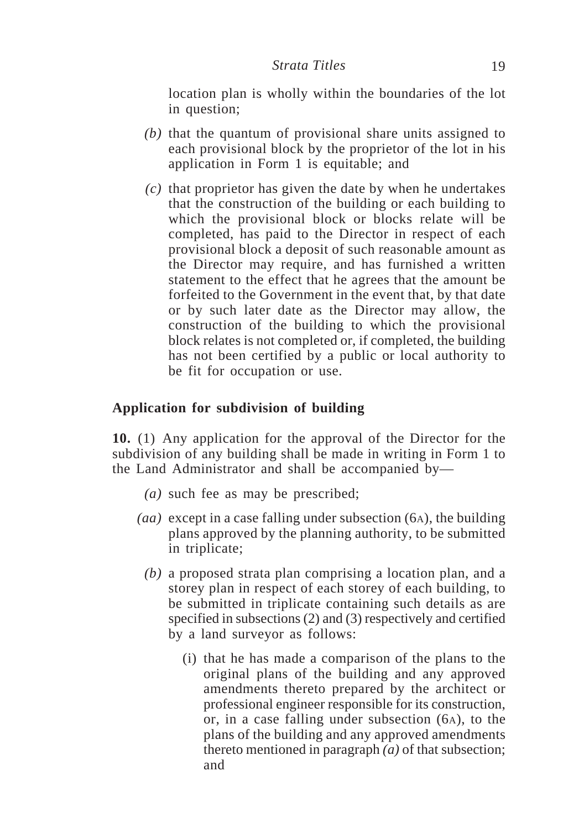location plan is wholly within the boundaries of the lot in question;

- *(b)* that the quantum of provisional share units assigned to each provisional block by the proprietor of the lot in his application in Form 1 is equitable; and
- *(c)* that proprietor has given the date by when he undertakes that the construction of the building or each building to which the provisional block or blocks relate will be completed, has paid to the Director in respect of each provisional block a deposit of such reasonable amount as the Director may require, and has furnished a written statement to the effect that he agrees that the amount be forfeited to the Government in the event that, by that date or by such later date as the Director may allow, the construction of the building to which the provisional block relates is not completed or, if completed, the building has not been certified by a public or local authority to be fit for occupation or use.

## **Application for subdivision of building**

**10.** (1) Any application for the approval of the Director for the subdivision of any building shall be made in writing in Form 1 to the Land Administrator and shall be accompanied by—

- *(a)* such fee as may be prescribed;
- *(aa)* except in a case falling under subsection (6A), the building plans approved by the planning authority, to be submitted in triplicate;
	- *(b)* a proposed strata plan comprising a location plan, and a storey plan in respect of each storey of each building, to be submitted in triplicate containing such details as are specified in subsections (2) and (3) respectively and certified by a land surveyor as follows:
		- (i) that he has made a comparison of the plans to the original plans of the building and any approved amendments thereto prepared by the architect or professional engineer responsible for its construction, or, in a case falling under subsection (6A), to the plans of the building and any approved amendments thereto mentioned in paragraph *(a)* of that subsection; and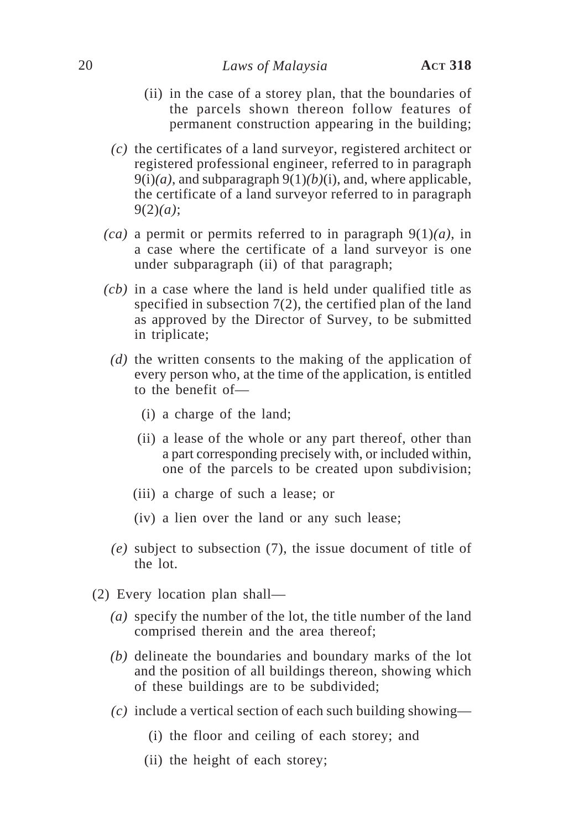- (ii) in the case of a storey plan, that the boundaries of the parcels shown thereon follow features of permanent construction appearing in the building;
- *(c)* the certificates of a land surveyor, registered architect or registered professional engineer, referred to in paragraph 9(i)*(a)*, and subparagraph 9(1)*(b)*(i), and, where applicable, the certificate of a land surveyor referred to in paragraph 9(2)*(a)*;
- *(ca)* a permit or permits referred to in paragraph 9(1)*(a)*, in a case where the certificate of a land surveyor is one under subparagraph (ii) of that paragraph;
- *(cb)* in a case where the land is held under qualified title as specified in subsection 7(2), the certified plan of the land as approved by the Director of Survey, to be submitted in triplicate;
- *(d)* the written consents to the making of the application of every person who, at the time of the application, is entitled to the benefit of—
	- (i) a charge of the land;
	- (ii) a lease of the whole or any part thereof, other than a part corresponding precisely with, or included within, one of the parcels to be created upon subdivision;
	- (iii) a charge of such a lease; or
	- (iv) a lien over the land or any such lease;
- *(e)* subject to subsection (7), the issue document of title of the lot.
- (2) Every location plan shall—
	- *(a)* specify the number of the lot, the title number of the land comprised therein and the area thereof;
	- *(b)* delineate the boundaries and boundary marks of the lot and the position of all buildings thereon, showing which of these buildings are to be subdivided;
	- *(c)* include a vertical section of each such building showing—
		- (i) the floor and ceiling of each storey; and
		- (ii) the height of each storey;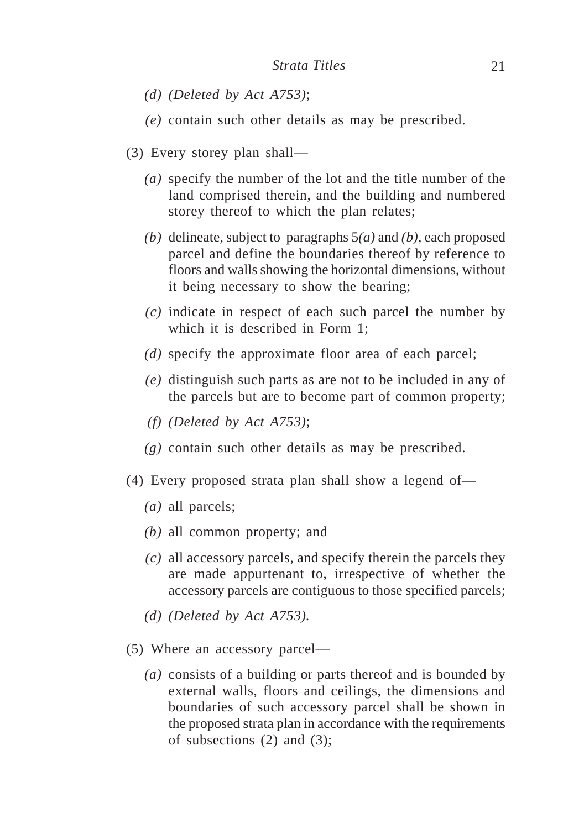- *(d) (Deleted by Act A753)*;
- *(e)* contain such other details as may be prescribed.
- (3) Every storey plan shall—
	- *(a)* specify the number of the lot and the title number of the land comprised therein, and the building and numbered storey thereof to which the plan relates;
	- *(b)* delineate, subject to paragraphs 5*(a)* and *(b)*, each proposed parcel and define the boundaries thereof by reference to floors and walls showing the horizontal dimensions, without it being necessary to show the bearing;
	- *(c)* indicate in respect of each such parcel the number by which it is described in Form 1;
	- *(d)* specify the approximate floor area of each parcel;
	- *(e)* distinguish such parts as are not to be included in any of the parcels but are to become part of common property;
	- *(f) (Deleted by Act A753)*;
	- *(g)* contain such other details as may be prescribed.
- (4) Every proposed strata plan shall show a legend of—
	- *(a)* all parcels;
	- *(b)* all common property; and
	- *(c)* all accessory parcels, and specify therein the parcels they are made appurtenant to, irrespective of whether the accessory parcels are contiguous to those specified parcels;
	- *(d) (Deleted by Act A753).*
- (5) Where an accessory parcel—
	- *(a)* consists of a building or parts thereof and is bounded by external walls, floors and ceilings, the dimensions and boundaries of such accessory parcel shall be shown in the proposed strata plan in accordance with the requirements of subsections  $(2)$  and  $(3)$ ;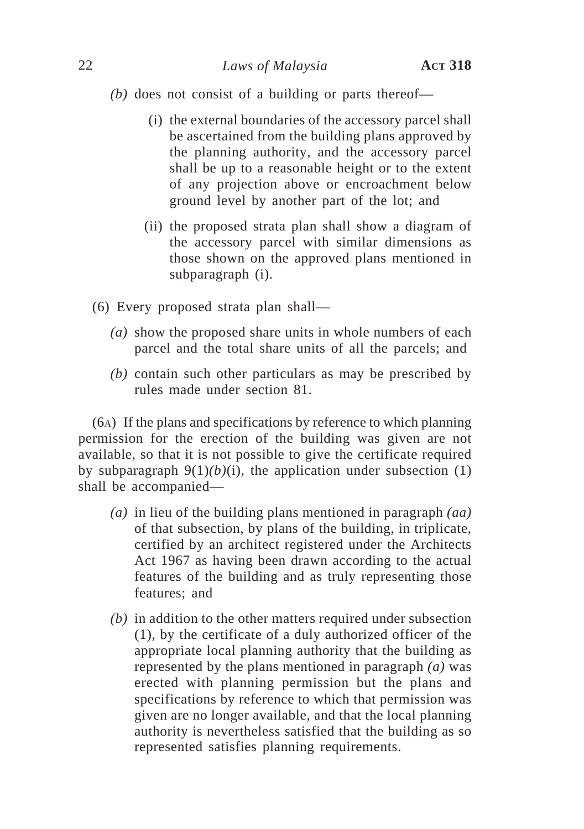*(b)* does not consist of a building or parts thereof—

- (i) the external boundaries of the accessory parcel shall be ascertained from the building plans approved by the planning authority, and the accessory parcel shall be up to a reasonable height or to the extent of any projection above or encroachment below ground level by another part of the lot; and
- (ii) the proposed strata plan shall show a diagram of the accessory parcel with similar dimensions as those shown on the approved plans mentioned in subparagraph (i).
- (6) Every proposed strata plan shall—
	- *(a)* show the proposed share units in whole numbers of each parcel and the total share units of all the parcels; and
	- *(b)* contain such other particulars as may be prescribed by rules made under section 81.

(6A) If the plans and specifications by reference to which planning permission for the erection of the building was given are not available, so that it is not possible to give the certificate required by subparagraph  $9(1)(b)(i)$ , the application under subsection (1) shall be accompanied—

- *(a)* in lieu of the building plans mentioned in paragraph *(aa)* of that subsection, by plans of the building, in triplicate, certified by an architect registered under the Architects Act 1967 as having been drawn according to the actual features of the building and as truly representing those features; and
- *(b)* in addition to the other matters required under subsection (1), by the certificate of a duly authorized officer of the appropriate local planning authority that the building as represented by the plans mentioned in paragraph *(a)* was erected with planning permission but the plans and specifications by reference to which that permission was given are no longer available, and that the local planning authority is nevertheless satisfied that the building as so represented satisfies planning requirements.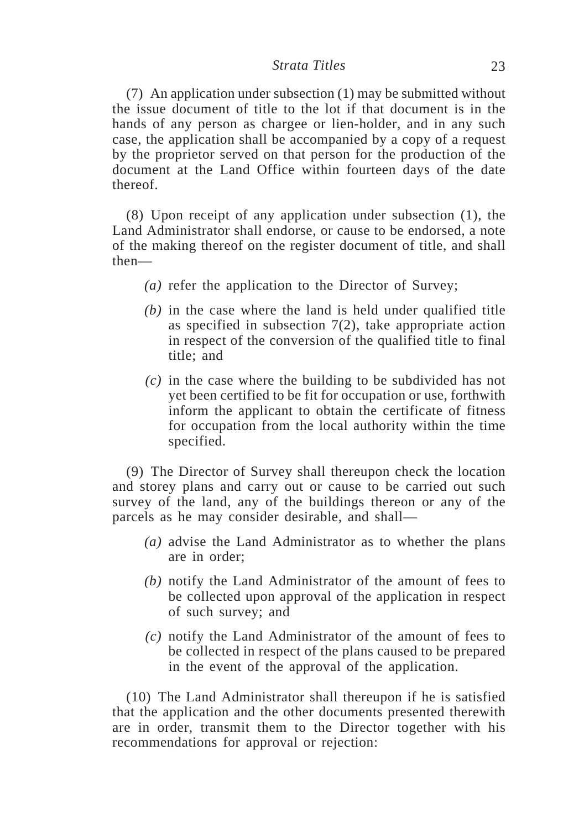(7) An application under subsection (1) may be submitted without the issue document of title to the lot if that document is in the hands of any person as chargee or lien-holder, and in any such case, the application shall be accompanied by a copy of a request by the proprietor served on that person for the production of the document at the Land Office within fourteen days of the date thereof.

(8) Upon receipt of any application under subsection (1), the Land Administrator shall endorse, or cause to be endorsed, a note of the making thereof on the register document of title, and shall then—

- *(a)* refer the application to the Director of Survey;
- *(b)* in the case where the land is held under qualified title as specified in subsection 7(2), take appropriate action in respect of the conversion of the qualified title to final title; and
- *(c)* in the case where the building to be subdivided has not yet been certified to be fit for occupation or use, forthwith inform the applicant to obtain the certificate of fitness for occupation from the local authority within the time specified.

(9) The Director of Survey shall thereupon check the location and storey plans and carry out or cause to be carried out such survey of the land, any of the buildings thereon or any of the parcels as he may consider desirable, and shall—

- *(a)* advise the Land Administrator as to whether the plans are in order;
- *(b)* notify the Land Administrator of the amount of fees to be collected upon approval of the application in respect of such survey; and
- *(c)* notify the Land Administrator of the amount of fees to be collected in respect of the plans caused to be prepared in the event of the approval of the application.

(10) The Land Administrator shall thereupon if he is satisfied that the application and the other documents presented therewith are in order, transmit them to the Director together with his recommendations for approval or rejection: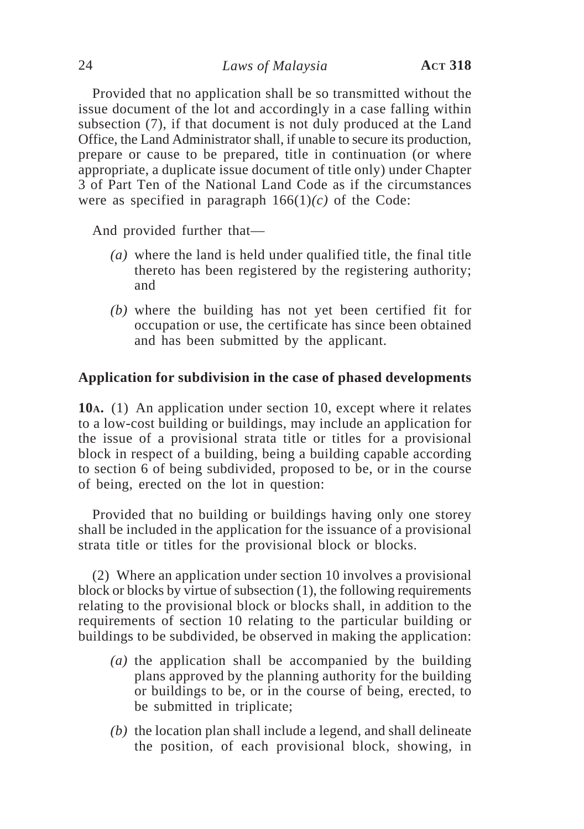Provided that no application shall be so transmitted without the issue document of the lot and accordingly in a case falling within subsection (7), if that document is not duly produced at the Land Office, the Land Administrator shall, if unable to secure its production, prepare or cause to be prepared, title in continuation (or where appropriate, a duplicate issue document of title only) under Chapter 3 of Part Ten of the National Land Code as if the circumstances were as specified in paragraph  $166(1)(c)$  of the Code:

And provided further that—

- *(a)* where the land is held under qualified title, the final title thereto has been registered by the registering authority; and
- *(b)* where the building has not yet been certified fit for occupation or use, the certificate has since been obtained and has been submitted by the applicant.

## **Application for subdivision in the case of phased developments**

**10A.** (1) An application under section 10, except where it relates to a low-cost building or buildings, may include an application for the issue of a provisional strata title or titles for a provisional block in respect of a building, being a building capable according to section 6 of being subdivided, proposed to be, or in the course of being, erected on the lot in question:

Provided that no building or buildings having only one storey shall be included in the application for the issuance of a provisional strata title or titles for the provisional block or blocks.

(2) Where an application under section 10 involves a provisional block or blocks by virtue of subsection (1), the following requirements relating to the provisional block or blocks shall, in addition to the requirements of section 10 relating to the particular building or buildings to be subdivided, be observed in making the application:

- *(a)* the application shall be accompanied by the building plans approved by the planning authority for the building or buildings to be, or in the course of being, erected, to be submitted in triplicate;
- *(b)* the location plan shall include a legend, and shall delineate the position, of each provisional block, showing, in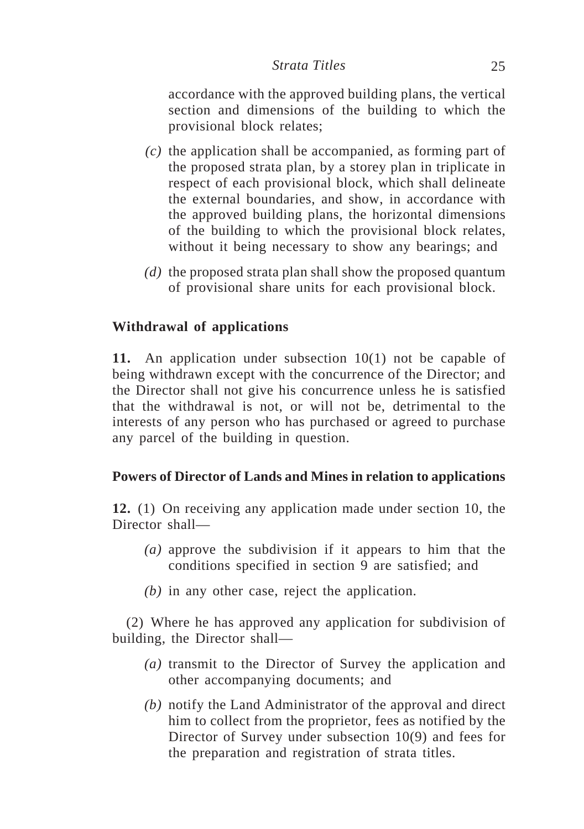accordance with the approved building plans, the vertical section and dimensions of the building to which the provisional block relates;

- *(c)* the application shall be accompanied, as forming part of the proposed strata plan, by a storey plan in triplicate in respect of each provisional block, which shall delineate the external boundaries, and show, in accordance with the approved building plans, the horizontal dimensions of the building to which the provisional block relates, without it being necessary to show any bearings; and
- *(d)* the proposed strata plan shall show the proposed quantum of provisional share units for each provisional block.

# **Withdrawal of applications**

**11.** An application under subsection 10(1) not be capable of being withdrawn except with the concurrence of the Director; and the Director shall not give his concurrence unless he is satisfied that the withdrawal is not, or will not be, detrimental to the interests of any person who has purchased or agreed to purchase any parcel of the building in question.

# **Powers of Director of Lands and Mines in relation to applications**

**12.** (1) On receiving any application made under section 10, the Director shall—

- *(a)* approve the subdivision if it appears to him that the conditions specified in section 9 are satisfied; and
- *(b)* in any other case, reject the application.

(2) Where he has approved any application for subdivision of building, the Director shall—

- *(a)* transmit to the Director of Survey the application and other accompanying documents; and
- *(b)* notify the Land Administrator of the approval and direct him to collect from the proprietor, fees as notified by the Director of Survey under subsection 10(9) and fees for the preparation and registration of strata titles.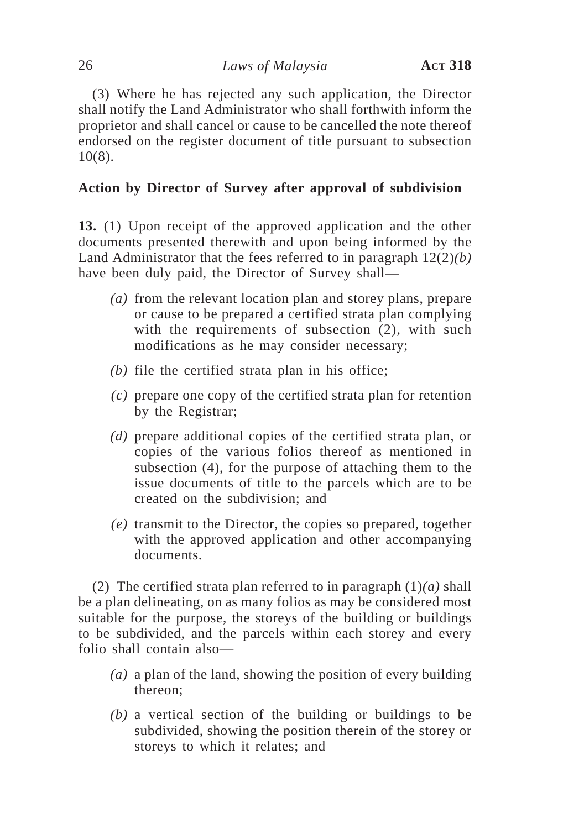(3) Where he has rejected any such application, the Director shall notify the Land Administrator who shall forthwith inform the proprietor and shall cancel or cause to be cancelled the note thereof endorsed on the register document of title pursuant to subsection 10(8).

# **Action by Director of Survey after approval of subdivision**

**13.** (1) Upon receipt of the approved application and the other documents presented therewith and upon being informed by the Land Administrator that the fees referred to in paragraph 12(2)*(b)* have been duly paid, the Director of Survey shall—

- *(a)* from the relevant location plan and storey plans, prepare or cause to be prepared a certified strata plan complying with the requirements of subsection (2), with such modifications as he may consider necessary;
- *(b)* file the certified strata plan in his office;
- *(c)* prepare one copy of the certified strata plan for retention by the Registrar;
- *(d)* prepare additional copies of the certified strata plan, or copies of the various folios thereof as mentioned in subsection (4), for the purpose of attaching them to the issue documents of title to the parcels which are to be created on the subdivision; and
- *(e)* transmit to the Director, the copies so prepared, together with the approved application and other accompanying documents.

(2) The certified strata plan referred to in paragraph  $(1)(a)$  shall be a plan delineating, on as many folios as may be considered most suitable for the purpose, the storeys of the building or buildings to be subdivided, and the parcels within each storey and every folio shall contain also—

- *(a)* a plan of the land, showing the position of every building thereon;
- *(b)* a vertical section of the building or buildings to be subdivided, showing the position therein of the storey or storeys to which it relates; and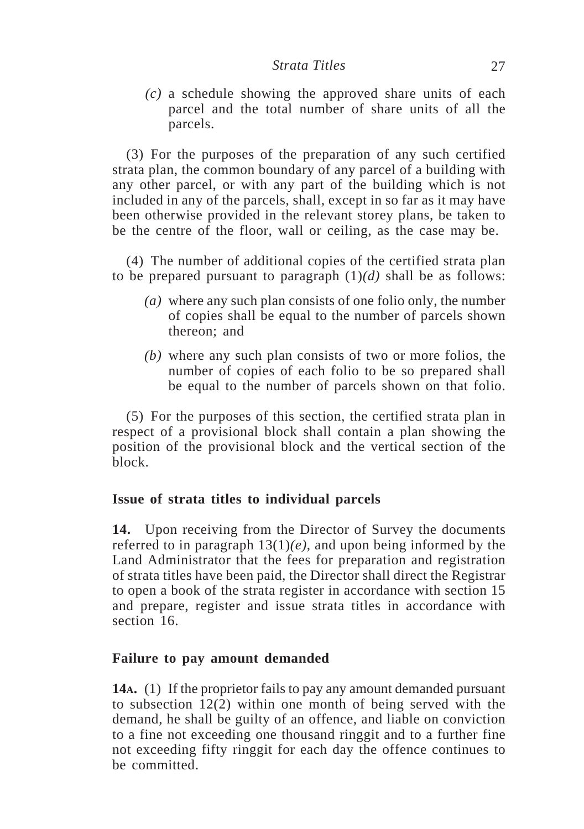*(c)* a schedule showing the approved share units of each parcel and the total number of share units of all the parcels.

(3) For the purposes of the preparation of any such certified strata plan, the common boundary of any parcel of a building with any other parcel, or with any part of the building which is not included in any of the parcels, shall, except in so far as it may have been otherwise provided in the relevant storey plans, be taken to be the centre of the floor, wall or ceiling, as the case may be.

(4) The number of additional copies of the certified strata plan to be prepared pursuant to paragraph  $(1)(d)$  shall be as follows:

- *(a)* where any such plan consists of one folio only, the number of copies shall be equal to the number of parcels shown thereon; and
- *(b)* where any such plan consists of two or more folios, the number of copies of each folio to be so prepared shall be equal to the number of parcels shown on that folio.

(5) For the purposes of this section, the certified strata plan in respect of a provisional block shall contain a plan showing the position of the provisional block and the vertical section of the block.

# **Issue of strata titles to individual parcels**

**14.** Upon receiving from the Director of Survey the documents referred to in paragraph  $13(1)(e)$ , and upon being informed by the Land Administrator that the fees for preparation and registration of strata titles have been paid, the Director shall direct the Registrar to open a book of the strata register in accordance with section 15 and prepare, register and issue strata titles in accordance with section 16.

## **Failure to pay amount demanded**

**14A.** (1) If the proprietor fails to pay any amount demanded pursuant to subsection 12(2) within one month of being served with the demand, he shall be guilty of an offence, and liable on conviction to a fine not exceeding one thousand ringgit and to a further fine not exceeding fifty ringgit for each day the offence continues to be committed.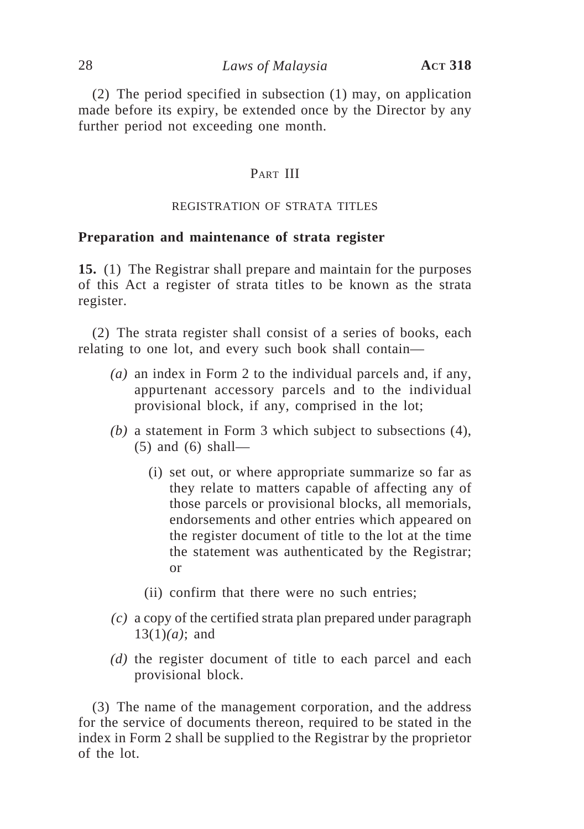(2) The period specified in subsection (1) may, on application made before its expiry, be extended once by the Director by any further period not exceeding one month.

## PART III

#### REGISTRATION OF STRATA TITLES

#### **Preparation and maintenance of strata register**

**15.** (1) The Registrar shall prepare and maintain for the purposes of this Act a register of strata titles to be known as the strata register.

(2) The strata register shall consist of a series of books, each relating to one lot, and every such book shall contain—

- *(a)* an index in Form 2 to the individual parcels and, if any, appurtenant accessory parcels and to the individual provisional block, if any, comprised in the lot;
- *(b)* a statement in Form 3 which subject to subsections (4), (5) and (6) shall—
	- (i) set out, or where appropriate summarize so far as they relate to matters capable of affecting any of those parcels or provisional blocks, all memorials, endorsements and other entries which appeared on the register document of title to the lot at the time the statement was authenticated by the Registrar; or
	- (ii) confirm that there were no such entries;
- *(c)* a copy of the certified strata plan prepared under paragraph 13(1)*(a)*; and
- *(d)* the register document of title to each parcel and each provisional block.

(3) The name of the management corporation, and the address for the service of documents thereon, required to be stated in the index in Form 2 shall be supplied to the Registrar by the proprietor of the lot.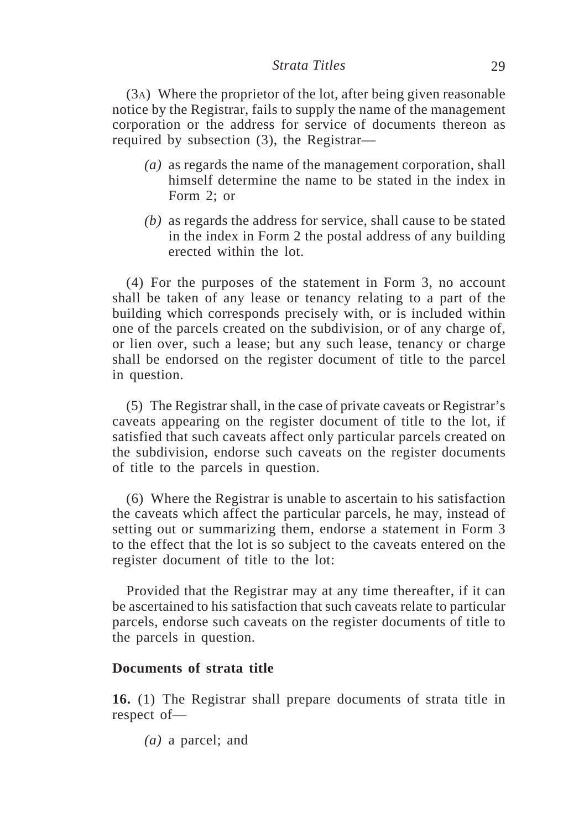(3A) Where the proprietor of the lot, after being given reasonable notice by the Registrar, fails to supply the name of the management corporation or the address for service of documents thereon as required by subsection (3), the Registrar—

- *(a)* as regards the name of the management corporation, shall himself determine the name to be stated in the index in Form 2; or
- *(b)* as regards the address for service, shall cause to be stated in the index in Form 2 the postal address of any building erected within the lot.

(4) For the purposes of the statement in Form 3, no account shall be taken of any lease or tenancy relating to a part of the building which corresponds precisely with, or is included within one of the parcels created on the subdivision, or of any charge of, or lien over, such a lease; but any such lease, tenancy or charge shall be endorsed on the register document of title to the parcel in question.

(5) The Registrar shall, in the case of private caveats or Registrar's caveats appearing on the register document of title to the lot, if satisfied that such caveats affect only particular parcels created on the subdivision, endorse such caveats on the register documents of title to the parcels in question.

(6) Where the Registrar is unable to ascertain to his satisfaction the caveats which affect the particular parcels, he may, instead of setting out or summarizing them, endorse a statement in Form 3 to the effect that the lot is so subject to the caveats entered on the register document of title to the lot:

Provided that the Registrar may at any time thereafter, if it can be ascertained to his satisfaction that such caveats relate to particular parcels, endorse such caveats on the register documents of title to the parcels in question.

## **Documents of strata title**

**16.** (1) The Registrar shall prepare documents of strata title in respect of—

*(a)* a parcel; and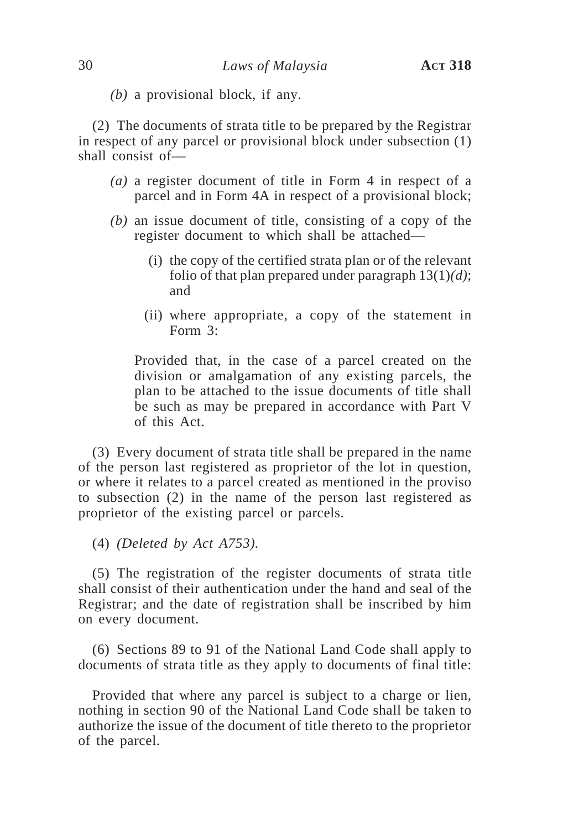*(b)* a provisional block, if any.

(2) The documents of strata title to be prepared by the Registrar in respect of any parcel or provisional block under subsection (1) shall consist of—

- *(a)* a register document of title in Form 4 in respect of a parcel and in Form 4A in respect of a provisional block;
- *(b)* an issue document of title, consisting of a copy of the register document to which shall be attached—
	- (i) the copy of the certified strata plan or of the relevant folio of that plan prepared under paragraph 13(1)*(d)*; and
	- (ii) where appropriate, a copy of the statement in Form 3:

Provided that, in the case of a parcel created on the division or amalgamation of any existing parcels, the plan to be attached to the issue documents of title shall be such as may be prepared in accordance with Part V of this Act.

(3) Every document of strata title shall be prepared in the name of the person last registered as proprietor of the lot in question, or where it relates to a parcel created as mentioned in the proviso to subsection (2) in the name of the person last registered as proprietor of the existing parcel or parcels.

(4) *(Deleted by Act A753).*

(5) The registration of the register documents of strata title shall consist of their authentication under the hand and seal of the Registrar; and the date of registration shall be inscribed by him on every document.

(6) Sections 89 to 91 of the National Land Code shall apply to documents of strata title as they apply to documents of final title:

Provided that where any parcel is subject to a charge or lien, nothing in section 90 of the National Land Code shall be taken to authorize the issue of the document of title thereto to the proprietor of the parcel.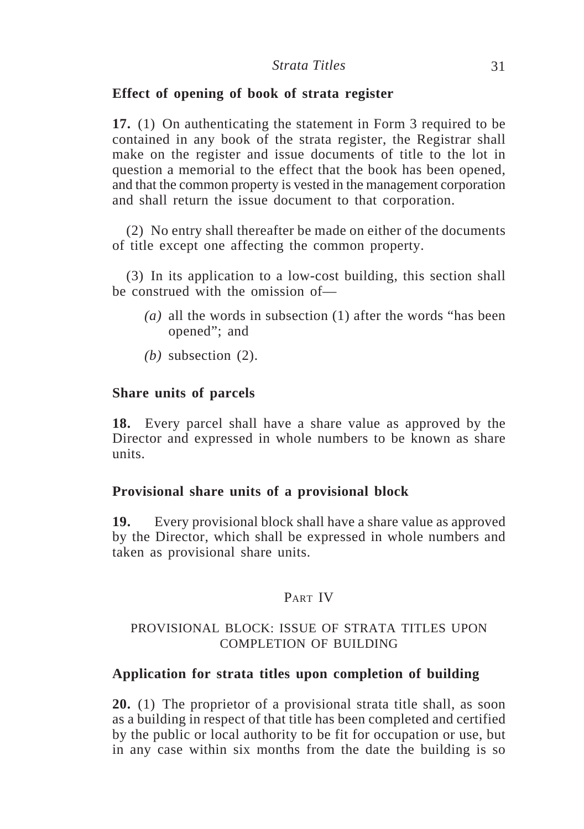## **Effect of opening of book of strata register**

**17.** (1) On authenticating the statement in Form 3 required to be contained in any book of the strata register, the Registrar shall make on the register and issue documents of title to the lot in question a memorial to the effect that the book has been opened, and that the common property is vested in the management corporation and shall return the issue document to that corporation.

(2) No entry shall thereafter be made on either of the documents of title except one affecting the common property.

(3) In its application to a low-cost building, this section shall be construed with the omission of—

- *(a)* all the words in subsection (1) after the words "has been opened"; and
- *(b)* subsection (2).

## **Share units of parcels**

**18.** Every parcel shall have a share value as approved by the Director and expressed in whole numbers to be known as share units.

# **Provisional share units of a provisional block**

**19.** Every provisional block shall have a share value as approved by the Director, which shall be expressed in whole numbers and taken as provisional share units.

## PART IV

## PROVISIONAL BLOCK: ISSUE OF STRATA TITLES UPON COMPLETION OF BUILDING

## **Application for strata titles upon completion of building**

**20.** (1) The proprietor of a provisional strata title shall, as soon as a building in respect of that title has been completed and certified by the public or local authority to be fit for occupation or use, but in any case within six months from the date the building is so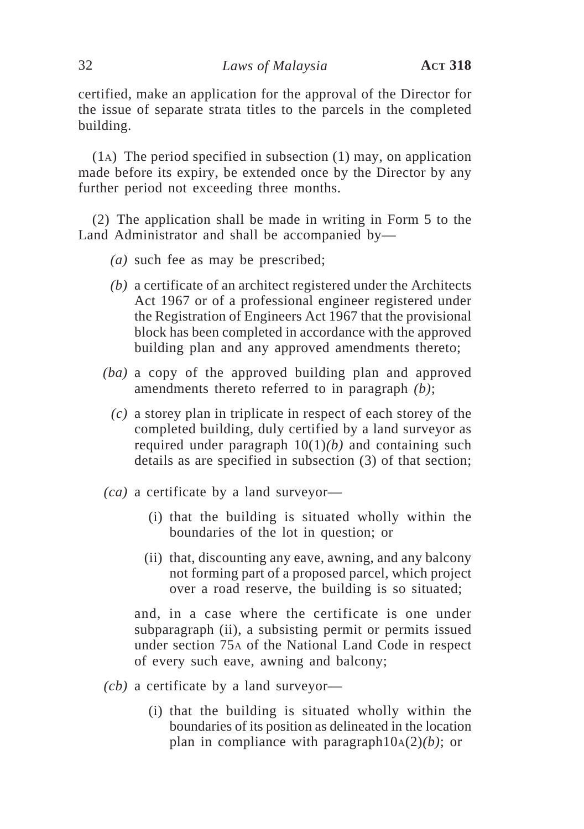certified, make an application for the approval of the Director for the issue of separate strata titles to the parcels in the completed building.

(1A) The period specified in subsection (1) may, on application made before its expiry, be extended once by the Director by any further period not exceeding three months.

(2) The application shall be made in writing in Form 5 to the Land Administrator and shall be accompanied by—

- *(a)* such fee as may be prescribed;
- *(b)* a certificate of an architect registered under the Architects Act 1967 or of a professional engineer registered under the Registration of Engineers Act 1967 that the provisional block has been completed in accordance with the approved building plan and any approved amendments thereto;
- *(ba)* a copy of the approved building plan and approved amendments thereto referred to in paragraph *(b)*;
	- *(c)* a storey plan in triplicate in respect of each storey of the completed building, duly certified by a land surveyor as required under paragraph 10(1)*(b)* and containing such details as are specified in subsection (3) of that section;
- *(ca)* a certificate by a land surveyor—
	- (i) that the building is situated wholly within the boundaries of the lot in question; or
	- (ii) that, discounting any eave, awning, and any balcony not forming part of a proposed parcel, which project over a road reserve, the building is so situated;

and, in a case where the certificate is one under subparagraph (ii), a subsisting permit or permits issued under section 75A of the National Land Code in respect of every such eave, awning and balcony;

- *(cb)* a certificate by a land surveyor—
	- (i) that the building is situated wholly within the boundaries of its position as delineated in the location plan in compliance with paragraph $10_A(2)(b)$ ; or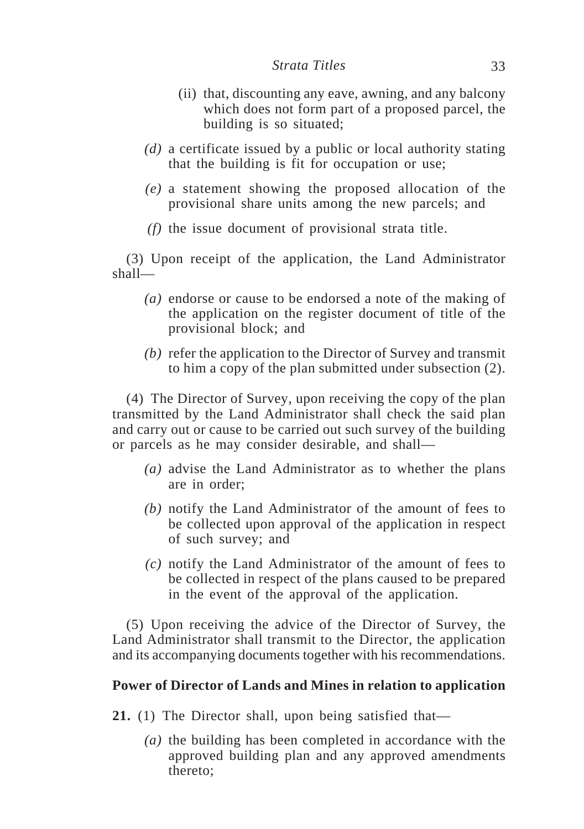- (ii) that, discounting any eave, awning, and any balcony which does not form part of a proposed parcel, the building is so situated;
- *(d)* a certificate issued by a public or local authority stating that the building is fit for occupation or use;
- *(e)* a statement showing the proposed allocation of the provisional share units among the new parcels; and
- *(f)* the issue document of provisional strata title.

(3) Upon receipt of the application, the Land Administrator shall—

- *(a)* endorse or cause to be endorsed a note of the making of the application on the register document of title of the provisional block; and
- *(b)* refer the application to the Director of Survey and transmit to him a copy of the plan submitted under subsection (2).

(4) The Director of Survey, upon receiving the copy of the plan transmitted by the Land Administrator shall check the said plan and carry out or cause to be carried out such survey of the building or parcels as he may consider desirable, and shall—

- *(a)* advise the Land Administrator as to whether the plans are in order;
- *(b)* notify the Land Administrator of the amount of fees to be collected upon approval of the application in respect of such survey; and
- *(c)* notify the Land Administrator of the amount of fees to be collected in respect of the plans caused to be prepared in the event of the approval of the application.

(5) Upon receiving the advice of the Director of Survey, the Land Administrator shall transmit to the Director, the application and its accompanying documents together with his recommendations.

## **Power of Director of Lands and Mines in relation to application**

- **21.** (1) The Director shall, upon being satisfied that—
	- *(a)* the building has been completed in accordance with the approved building plan and any approved amendments thereto;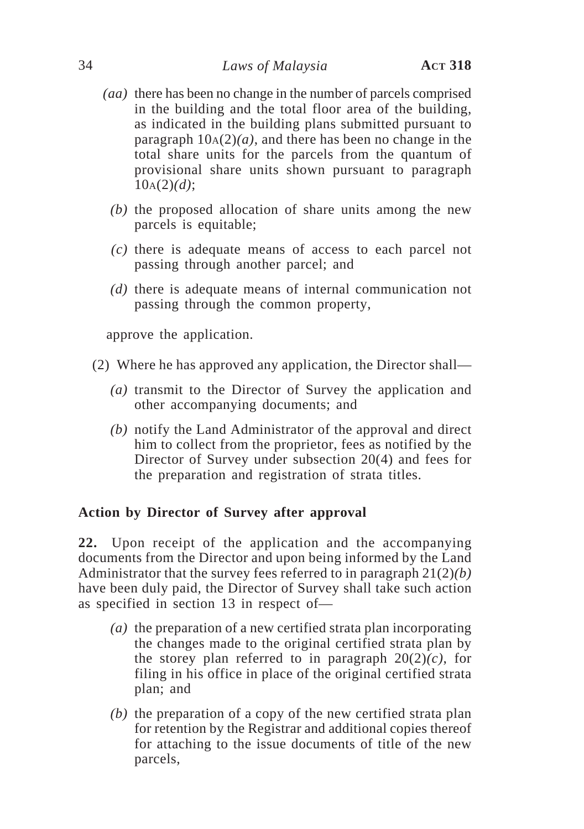- *(aa)* there has been no change in the number of parcels comprised in the building and the total floor area of the building, as indicated in the building plans submitted pursuant to paragraph  $10A(2)(a)$ , and there has been no change in the total share units for the parcels from the quantum of provisional share units shown pursuant to paragraph 10A(2)*(d)*;
	- *(b)* the proposed allocation of share units among the new parcels is equitable;
	- *(c)* there is adequate means of access to each parcel not passing through another parcel; and
	- *(d)* there is adequate means of internal communication not passing through the common property,

approve the application.

- (2) Where he has approved any application, the Director shall—
	- *(a)* transmit to the Director of Survey the application and other accompanying documents; and
	- *(b)* notify the Land Administrator of the approval and direct him to collect from the proprietor, fees as notified by the Director of Survey under subsection 20(4) and fees for the preparation and registration of strata titles.

# **Action by Director of Survey after approval**

**22.** Upon receipt of the application and the accompanying documents from the Director and upon being informed by the Land Administrator that the survey fees referred to in paragraph 21(2)*(b)* have been duly paid, the Director of Survey shall take such action as specified in section 13 in respect of—

- *(a)* the preparation of a new certified strata plan incorporating the changes made to the original certified strata plan by the storey plan referred to in paragraph  $20(2)(c)$ , for filing in his office in place of the original certified strata plan; and
- *(b)* the preparation of a copy of the new certified strata plan for retention by the Registrar and additional copies thereof for attaching to the issue documents of title of the new parcels,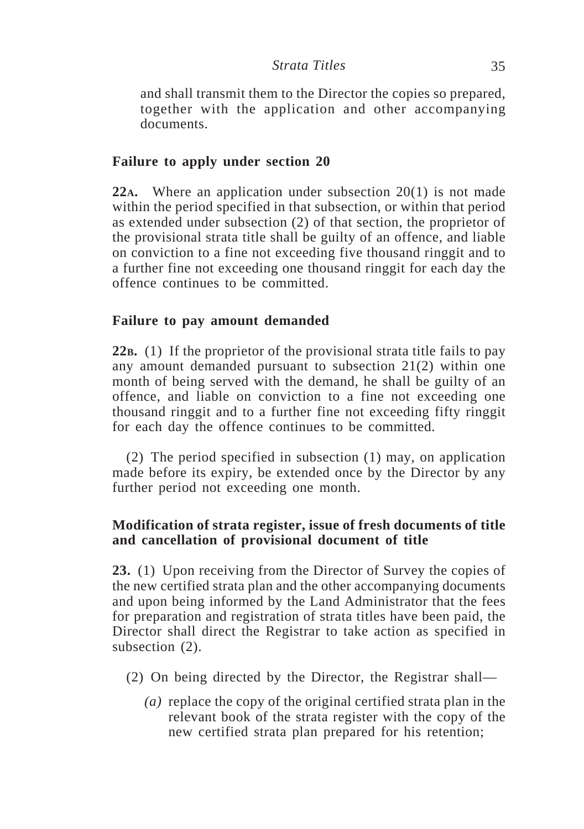and shall transmit them to the Director the copies so prepared, together with the application and other accompanying documents.

# **Failure to apply under section 20**

**22A.** Where an application under subsection 20(1) is not made within the period specified in that subsection, or within that period as extended under subsection (2) of that section, the proprietor of the provisional strata title shall be guilty of an offence, and liable on conviction to a fine not exceeding five thousand ringgit and to a further fine not exceeding one thousand ringgit for each day the offence continues to be committed.

# **Failure to pay amount demanded**

**22B.** (1) If the proprietor of the provisional strata title fails to pay any amount demanded pursuant to subsection 21(2) within one month of being served with the demand, he shall be guilty of an offence, and liable on conviction to a fine not exceeding one thousand ringgit and to a further fine not exceeding fifty ringgit for each day the offence continues to be committed.

(2) The period specified in subsection (1) may, on application made before its expiry, be extended once by the Director by any further period not exceeding one month.

# **Modification of strata register, issue of fresh documents of title and cancellation of provisional document of title**

**23.** (1) Upon receiving from the Director of Survey the copies of the new certified strata plan and the other accompanying documents and upon being informed by the Land Administrator that the fees for preparation and registration of strata titles have been paid, the Director shall direct the Registrar to take action as specified in subsection  $(2)$ .

- (2) On being directed by the Director, the Registrar shall—
	- *(a)* replace the copy of the original certified strata plan in the relevant book of the strata register with the copy of the new certified strata plan prepared for his retention;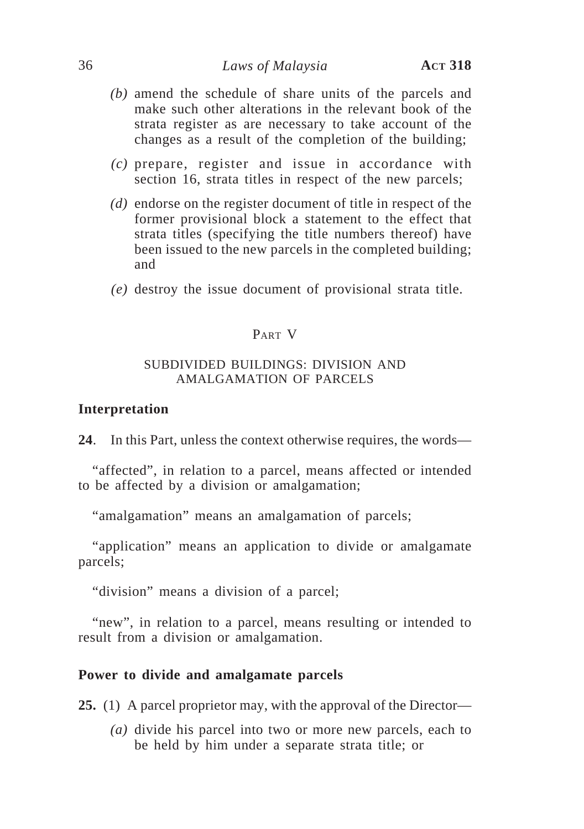- *(b)* amend the schedule of share units of the parcels and make such other alterations in the relevant book of the strata register as are necessary to take account of the changes as a result of the completion of the building;
- *(c)* prepare, register and issue in accordance with section 16, strata titles in respect of the new parcels;
- *(d)* endorse on the register document of title in respect of the former provisional block a statement to the effect that strata titles (specifying the title numbers thereof) have been issued to the new parcels in the completed building; and
- *(e)* destroy the issue document of provisional strata title.

## PART V

## SUBDIVIDED BUILDINGS: DIVISION AND AMALGAMATION OF PARCELS

#### **Interpretation**

**24**. In this Part, unless the context otherwise requires, the words—

"affected", in relation to a parcel, means affected or intended to be affected by a division or amalgamation;

"amalgamation" means an amalgamation of parcels;

"application" means an application to divide or amalgamate parcels;

"division" means a division of a parcel;

"new", in relation to a parcel, means resulting or intended to result from a division or amalgamation.

## **Power to divide and amalgamate parcels**

**25.** (1) A parcel proprietor may, with the approval of the Director—

*(a)* divide his parcel into two or more new parcels, each to be held by him under a separate strata title; or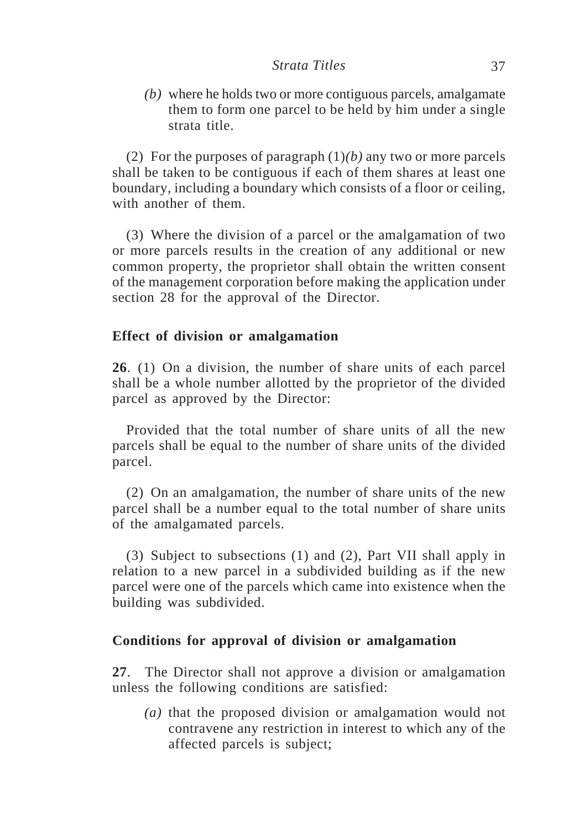*(b)* where he holds two or more contiguous parcels, amalgamate them to form one parcel to be held by him under a single strata title.

(2) For the purposes of paragraph (1)*(b)* any two or more parcels shall be taken to be contiguous if each of them shares at least one boundary, including a boundary which consists of a floor or ceiling, with another of them.

(3) Where the division of a parcel or the amalgamation of two or more parcels results in the creation of any additional or new common property, the proprietor shall obtain the written consent of the management corporation before making the application under section 28 for the approval of the Director.

## **Effect of division or amalgamation**

**26**. (1) On a division, the number of share units of each parcel shall be a whole number allotted by the proprietor of the divided parcel as approved by the Director:

Provided that the total number of share units of all the new parcels shall be equal to the number of share units of the divided parcel.

(2) On an amalgamation, the number of share units of the new parcel shall be a number equal to the total number of share units of the amalgamated parcels.

(3) Subject to subsections (1) and (2), Part VII shall apply in relation to a new parcel in a subdivided building as if the new parcel were one of the parcels which came into existence when the building was subdivided.

# **Conditions for approval of division or amalgamation**

**27**. The Director shall not approve a division or amalgamation unless the following conditions are satisfied:

*(a)* that the proposed division or amalgamation would not contravene any restriction in interest to which any of the affected parcels is subject;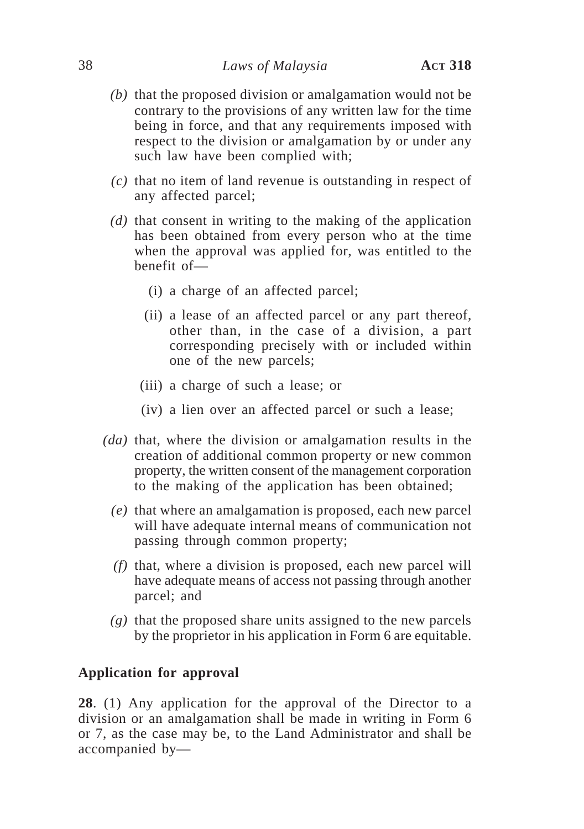- *(b)* that the proposed division or amalgamation would not be contrary to the provisions of any written law for the time being in force, and that any requirements imposed with respect to the division or amalgamation by or under any such law have been complied with;
- *(c)* that no item of land revenue is outstanding in respect of any affected parcel;
- *(d)* that consent in writing to the making of the application has been obtained from every person who at the time when the approval was applied for, was entitled to the benefit of—
	- (i) a charge of an affected parcel;
	- (ii) a lease of an affected parcel or any part thereof, other than, in the case of a division, a part corresponding precisely with or included within one of the new parcels;
	- (iii) a charge of such a lease; or
	- (iv) a lien over an affected parcel or such a lease;
- *(da)* that, where the division or amalgamation results in the creation of additional common property or new common property, the written consent of the management corporation to the making of the application has been obtained;
	- *(e)* that where an amalgamation is proposed, each new parcel will have adequate internal means of communication not passing through common property;
	- *(f)* that, where a division is proposed, each new parcel will have adequate means of access not passing through another parcel; and
	- *(g)* that the proposed share units assigned to the new parcels by the proprietor in his application in Form 6 are equitable.

### **Application for approval**

**28**. (1) Any application for the approval of the Director to a division or an amalgamation shall be made in writing in Form 6 or 7, as the case may be, to the Land Administrator and shall be accompanied by—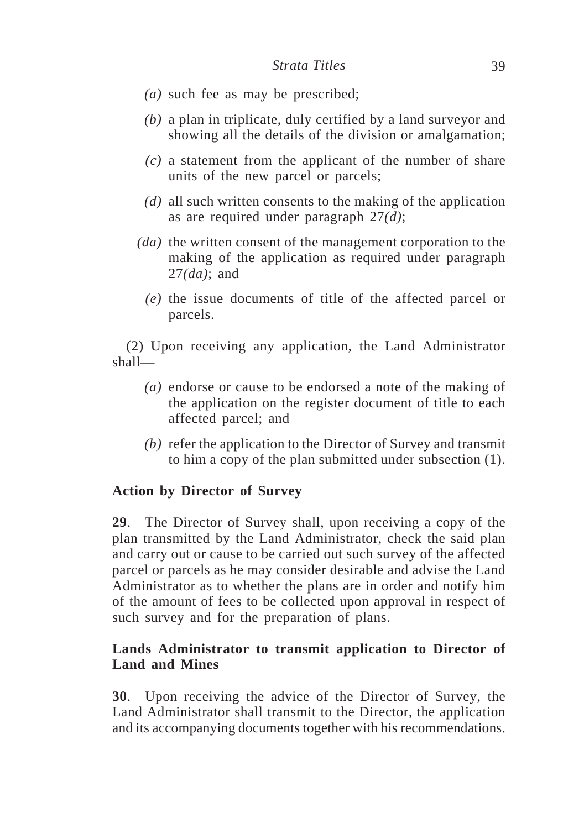- *(a)* such fee as may be prescribed;
- *(b)* a plan in triplicate, duly certified by a land surveyor and showing all the details of the division or amalgamation;
- *(c)* a statement from the applicant of the number of share units of the new parcel or parcels;
- *(d)* all such written consents to the making of the application as are required under paragraph 27*(d)*;
- *(da)* the written consent of the management corporation to the making of the application as required under paragraph 27*(da)*; and
	- *(e)* the issue documents of title of the affected parcel or parcels.

(2) Upon receiving any application, the Land Administrator shall—

- *(a)* endorse or cause to be endorsed a note of the making of the application on the register document of title to each affected parcel; and
- *(b)* refer the application to the Director of Survey and transmit to him a copy of the plan submitted under subsection (1).

# **Action by Director of Survey**

**29**. The Director of Survey shall, upon receiving a copy of the plan transmitted by the Land Administrator, check the said plan and carry out or cause to be carried out such survey of the affected parcel or parcels as he may consider desirable and advise the Land Administrator as to whether the plans are in order and notify him of the amount of fees to be collected upon approval in respect of such survey and for the preparation of plans.

# **Lands Administrator to transmit application to Director of Land and Mines**

**30**. Upon receiving the advice of the Director of Survey, the Land Administrator shall transmit to the Director, the application and its accompanying documents together with his recommendations.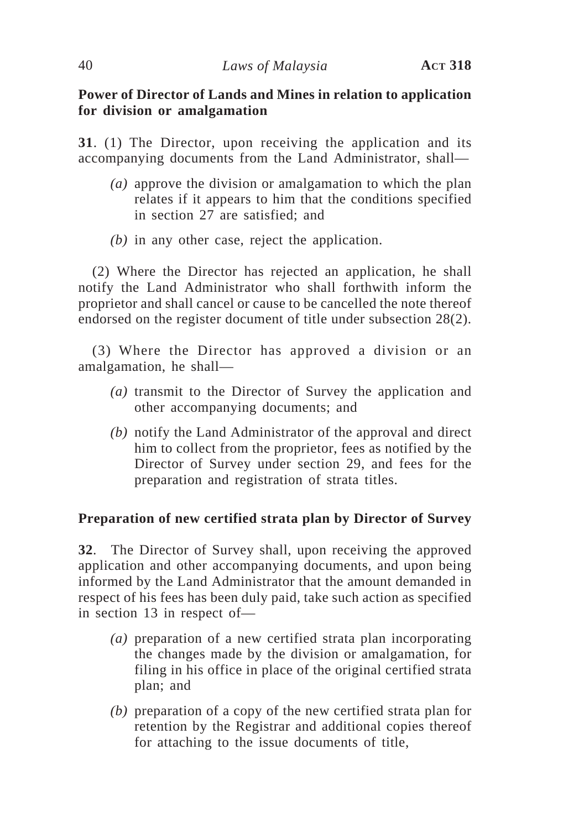# **Power of Director of Lands and Mines in relation to application for division or amalgamation**

**31**. (1) The Director, upon receiving the application and its accompanying documents from the Land Administrator, shall—

- *(a)* approve the division or amalgamation to which the plan relates if it appears to him that the conditions specified in section 27 are satisfied; and
- *(b)* in any other case, reject the application.

(2) Where the Director has rejected an application, he shall notify the Land Administrator who shall forthwith inform the proprietor and shall cancel or cause to be cancelled the note thereof endorsed on the register document of title under subsection 28(2).

(3) Where the Director has approved a division or an amalgamation, he shall—

- *(a)* transmit to the Director of Survey the application and other accompanying documents; and
- *(b)* notify the Land Administrator of the approval and direct him to collect from the proprietor, fees as notified by the Director of Survey under section 29, and fees for the preparation and registration of strata titles.

# **Preparation of new certified strata plan by Director of Survey**

**32**. The Director of Survey shall, upon receiving the approved application and other accompanying documents, and upon being informed by the Land Administrator that the amount demanded in respect of his fees has been duly paid, take such action as specified in section 13 in respect of—

- *(a)* preparation of a new certified strata plan incorporating the changes made by the division or amalgamation, for filing in his office in place of the original certified strata plan; and
- *(b)* preparation of a copy of the new certified strata plan for retention by the Registrar and additional copies thereof for attaching to the issue documents of title,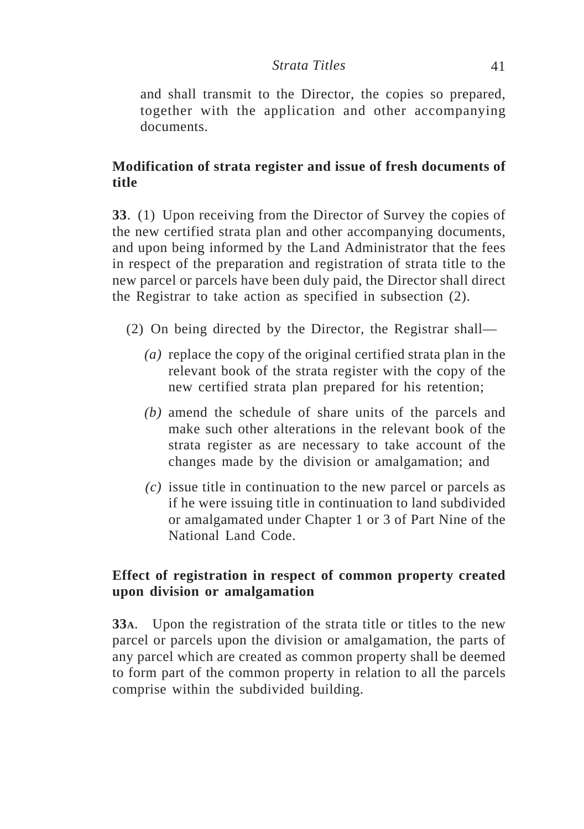and shall transmit to the Director, the copies so prepared, together with the application and other accompanying documents.

# **Modification of strata register and issue of fresh documents of title**

**33**. (1) Upon receiving from the Director of Survey the copies of the new certified strata plan and other accompanying documents, and upon being informed by the Land Administrator that the fees in respect of the preparation and registration of strata title to the new parcel or parcels have been duly paid, the Director shall direct the Registrar to take action as specified in subsection (2).

- (2) On being directed by the Director, the Registrar shall—
	- *(a)* replace the copy of the original certified strata plan in the relevant book of the strata register with the copy of the new certified strata plan prepared for his retention;
	- *(b)* amend the schedule of share units of the parcels and make such other alterations in the relevant book of the strata register as are necessary to take account of the changes made by the division or amalgamation; and
	- *(c)* issue title in continuation to the new parcel or parcels as if he were issuing title in continuation to land subdivided or amalgamated under Chapter 1 or 3 of Part Nine of the National Land Code.

# **Effect of registration in respect of common property created upon division or amalgamation**

**33A**. Upon the registration of the strata title or titles to the new parcel or parcels upon the division or amalgamation, the parts of any parcel which are created as common property shall be deemed to form part of the common property in relation to all the parcels comprise within the subdivided building.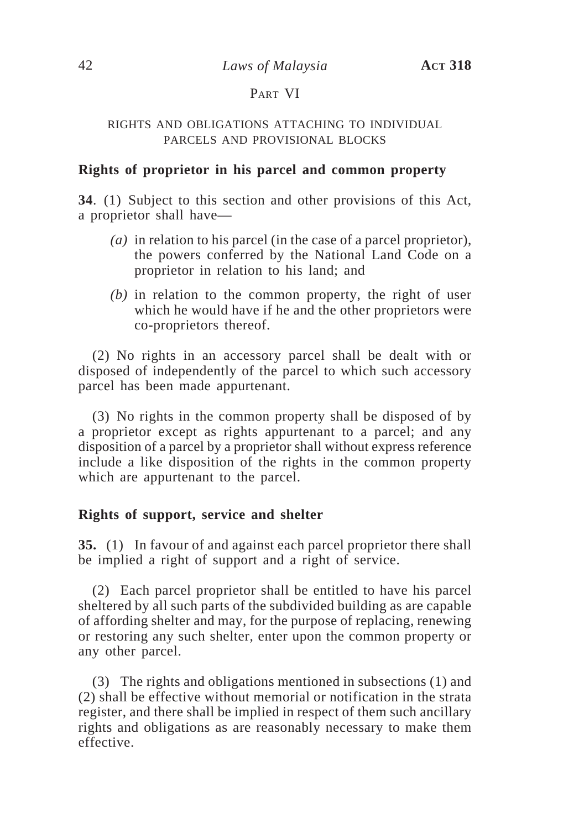## PART VI

#### RIGHTS AND OBLIGATIONS ATTACHING TO INDIVIDUAL PARCELS AND PROVISIONAL BLOCKS

### **Rights of proprietor in his parcel and common property**

**34**. (1) Subject to this section and other provisions of this Act, a proprietor shall have—

- *(a)* in relation to his parcel (in the case of a parcel proprietor), the powers conferred by the National Land Code on a proprietor in relation to his land; and
- *(b)* in relation to the common property, the right of user which he would have if he and the other proprietors were co-proprietors thereof.

(2) No rights in an accessory parcel shall be dealt with or disposed of independently of the parcel to which such accessory parcel has been made appurtenant.

(3) No rights in the common property shall be disposed of by a proprietor except as rights appurtenant to a parcel; and any disposition of a parcel by a proprietor shall without express reference include a like disposition of the rights in the common property which are appurtenant to the parcel.

### **Rights of support, service and shelter**

**35.** (1) In favour of and against each parcel proprietor there shall be implied a right of support and a right of service.

(2) Each parcel proprietor shall be entitled to have his parcel sheltered by all such parts of the subdivided building as are capable of affording shelter and may, for the purpose of replacing, renewing or restoring any such shelter, enter upon the common property or any other parcel.

(3) The rights and obligations mentioned in subsections (1) and (2) shall be effective without memorial or notification in the strata register, and there shall be implied in respect of them such ancillary rights and obligations as are reasonably necessary to make them effective.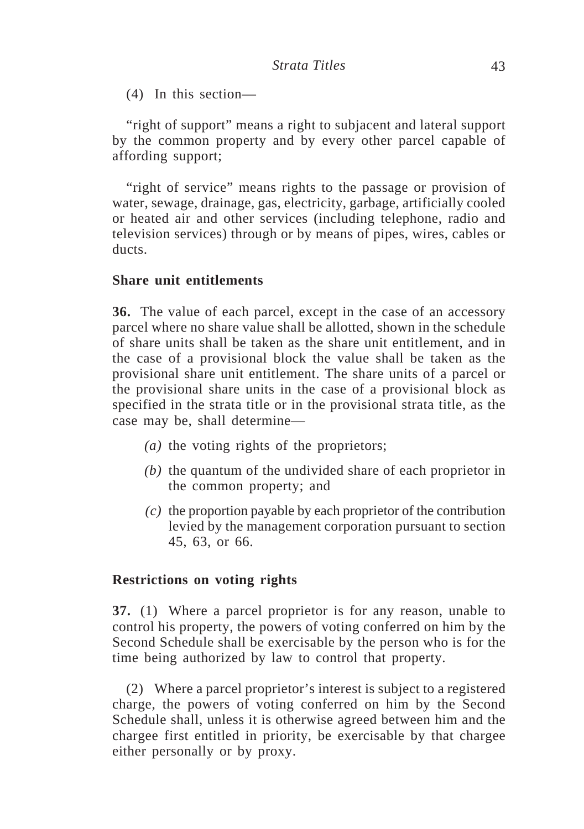(4) In this section—

"right of support" means a right to subjacent and lateral support by the common property and by every other parcel capable of affording support;

"right of service" means rights to the passage or provision of water, sewage, drainage, gas, electricity, garbage, artificially cooled or heated air and other services (including telephone, radio and television services) through or by means of pipes, wires, cables or ducts.

### **Share unit entitlements**

**36.** The value of each parcel, except in the case of an accessory parcel where no share value shall be allotted, shown in the schedule of share units shall be taken as the share unit entitlement, and in the case of a provisional block the value shall be taken as the provisional share unit entitlement. The share units of a parcel or the provisional share units in the case of a provisional block as specified in the strata title or in the provisional strata title, as the case may be, shall determine—

- *(a)* the voting rights of the proprietors;
- *(b)* the quantum of the undivided share of each proprietor in the common property; and
- *(c)* the proportion payable by each proprietor of the contribution levied by the management corporation pursuant to section 45, 63, or 66.

#### **Restrictions on voting rights**

**37.** (1) Where a parcel proprietor is for any reason, unable to control his property, the powers of voting conferred on him by the Second Schedule shall be exercisable by the person who is for the time being authorized by law to control that property.

(2) Where a parcel proprietor's interest is subject to a registered charge, the powers of voting conferred on him by the Second Schedule shall, unless it is otherwise agreed between him and the chargee first entitled in priority, be exercisable by that chargee either personally or by proxy.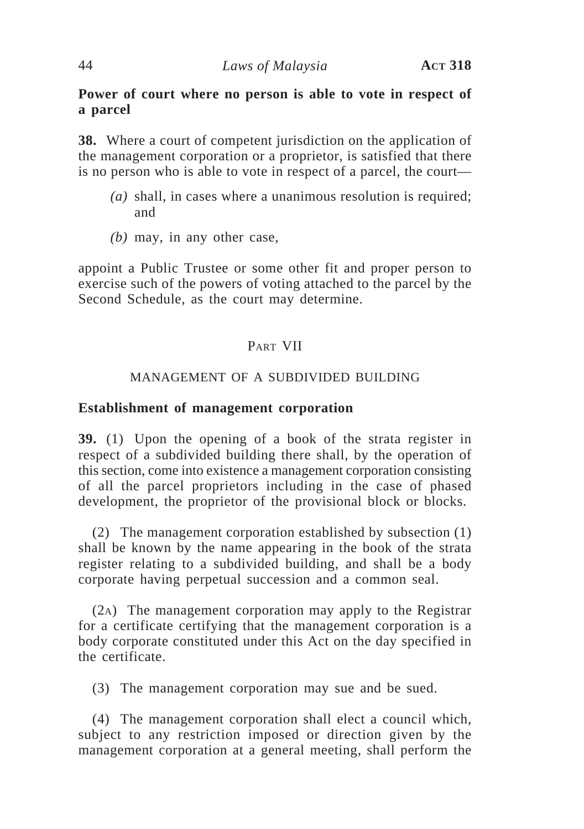# **Power of court where no person is able to vote in respect of a parcel**

**38.** Where a court of competent jurisdiction on the application of the management corporation or a proprietor, is satisfied that there is no person who is able to vote in respect of a parcel, the court—

- *(a)* shall, in cases where a unanimous resolution is required; and
- *(b)* may, in any other case,

appoint a Public Trustee or some other fit and proper person to exercise such of the powers of voting attached to the parcel by the Second Schedule, as the court may determine.

# PART VII

## MANAGEMENT OF A SUBDIVIDED BUILDING

## **Establishment of management corporation**

**39.** (1) Upon the opening of a book of the strata register in respect of a subdivided building there shall, by the operation of this section, come into existence a management corporation consisting of all the parcel proprietors including in the case of phased development, the proprietor of the provisional block or blocks.

(2) The management corporation established by subsection (1) shall be known by the name appearing in the book of the strata register relating to a subdivided building, and shall be a body corporate having perpetual succession and a common seal.

(2A) The management corporation may apply to the Registrar for a certificate certifying that the management corporation is a body corporate constituted under this Act on the day specified in the certificate.

(3) The management corporation may sue and be sued.

(4) The management corporation shall elect a council which, subject to any restriction imposed or direction given by the management corporation at a general meeting, shall perform the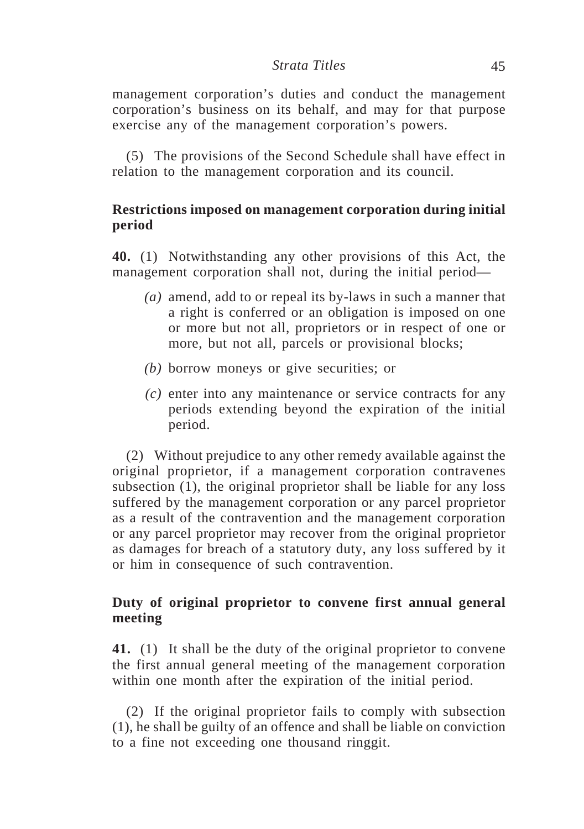#### *Strata Titles* 45

management corporation's duties and conduct the management corporation's business on its behalf, and may for that purpose exercise any of the management corporation's powers.

(5) The provisions of the Second Schedule shall have effect in relation to the management corporation and its council.

## **Restrictions imposed on management corporation during initial period**

**40.** (1) Notwithstanding any other provisions of this Act, the management corporation shall not, during the initial period—

- *(a)* amend, add to or repeal its by-laws in such a manner that a right is conferred or an obligation is imposed on one or more but not all, proprietors or in respect of one or more, but not all, parcels or provisional blocks;
- *(b)* borrow moneys or give securities; or
- *(c)* enter into any maintenance or service contracts for any periods extending beyond the expiration of the initial period.

(2) Without prejudice to any other remedy available against the original proprietor, if a management corporation contravenes subsection (1), the original proprietor shall be liable for any loss suffered by the management corporation or any parcel proprietor as a result of the contravention and the management corporation or any parcel proprietor may recover from the original proprietor as damages for breach of a statutory duty, any loss suffered by it or him in consequence of such contravention.

## **Duty of original proprietor to convene first annual general meeting**

**41.** (1) It shall be the duty of the original proprietor to convene the first annual general meeting of the management corporation within one month after the expiration of the initial period.

(2) If the original proprietor fails to comply with subsection (1), he shall be guilty of an offence and shall be liable on conviction to a fine not exceeding one thousand ringgit.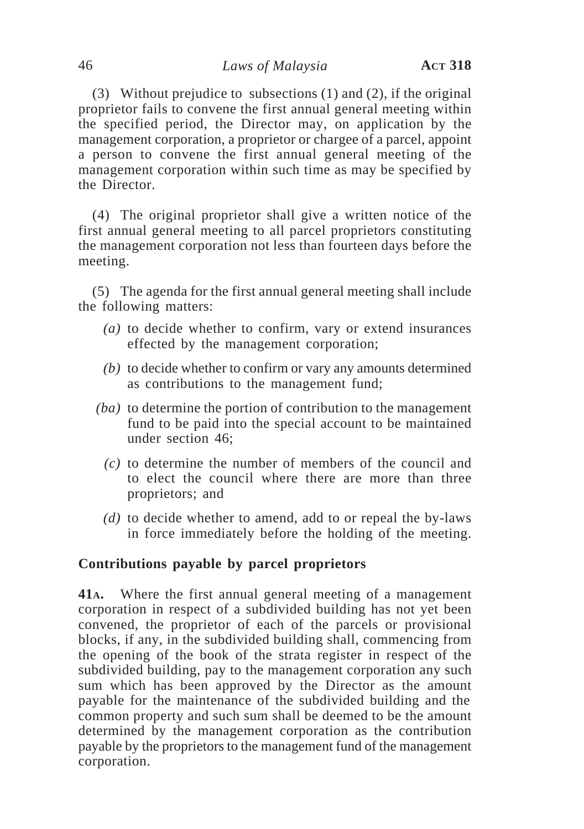(3) Without prejudice to subsections (1) and (2), if the original proprietor fails to convene the first annual general meeting within the specified period, the Director may, on application by the management corporation, a proprietor or chargee of a parcel, appoint a person to convene the first annual general meeting of the management corporation within such time as may be specified by the Director.

(4) The original proprietor shall give a written notice of the first annual general meeting to all parcel proprietors constituting the management corporation not less than fourteen days before the meeting.

(5) The agenda for the first annual general meeting shall include the following matters:

- *(a)* to decide whether to confirm, vary or extend insurances effected by the management corporation;
- *(b)* to decide whether to confirm or vary any amounts determined as contributions to the management fund;
- *(ba)* to determine the portion of contribution to the management fund to be paid into the special account to be maintained under section 46;
	- *(c)* to determine the number of members of the council and to elect the council where there are more than three proprietors; and
	- *(d)* to decide whether to amend, add to or repeal the by-laws in force immediately before the holding of the meeting.

# **Contributions payable by parcel proprietors**

**41A.** Where the first annual general meeting of a management corporation in respect of a subdivided building has not yet been convened, the proprietor of each of the parcels or provisional blocks, if any, in the subdivided building shall, commencing from the opening of the book of the strata register in respect of the subdivided building, pay to the management corporation any such sum which has been approved by the Director as the amount payable for the maintenance of the subdivided building and the common property and such sum shall be deemed to be the amount determined by the management corporation as the contribution payable by the proprietors to the management fund of the management corporation.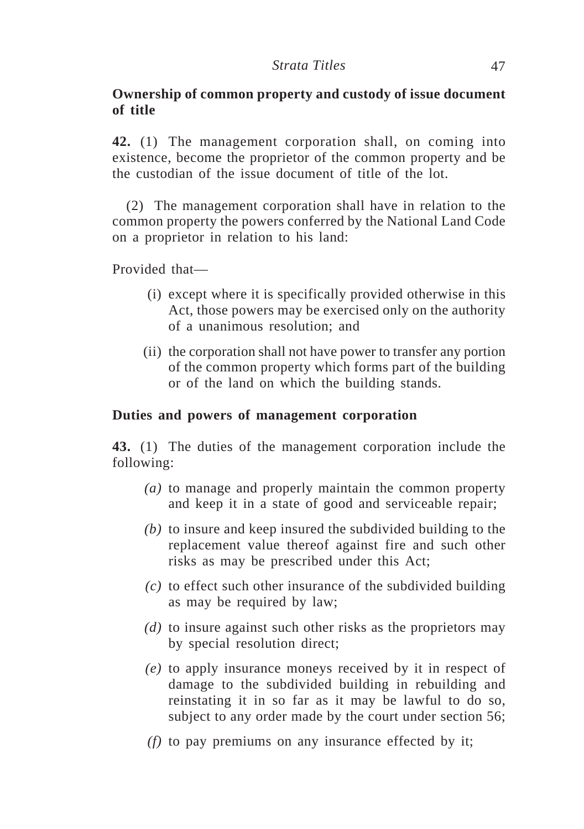# **Ownership of common property and custody of issue document of title**

**42.** (1) The management corporation shall, on coming into existence, become the proprietor of the common property and be the custodian of the issue document of title of the lot.

(2) The management corporation shall have in relation to the common property the powers conferred by the National Land Code on a proprietor in relation to his land:

Provided that—

- (i) except where it is specifically provided otherwise in this Act, those powers may be exercised only on the authority of a unanimous resolution; and
- (ii) the corporation shall not have power to transfer any portion of the common property which forms part of the building or of the land on which the building stands.

## **Duties and powers of management corporation**

**43.** (1) The duties of the management corporation include the following:

- *(a)* to manage and properly maintain the common property and keep it in a state of good and serviceable repair;
- *(b)* to insure and keep insured the subdivided building to the replacement value thereof against fire and such other risks as may be prescribed under this Act;
- *(c)* to effect such other insurance of the subdivided building as may be required by law;
- *(d)* to insure against such other risks as the proprietors may by special resolution direct;
- *(e)* to apply insurance moneys received by it in respect of damage to the subdivided building in rebuilding and reinstating it in so far as it may be lawful to do so, subject to any order made by the court under section 56;
- *(f)* to pay premiums on any insurance effected by it;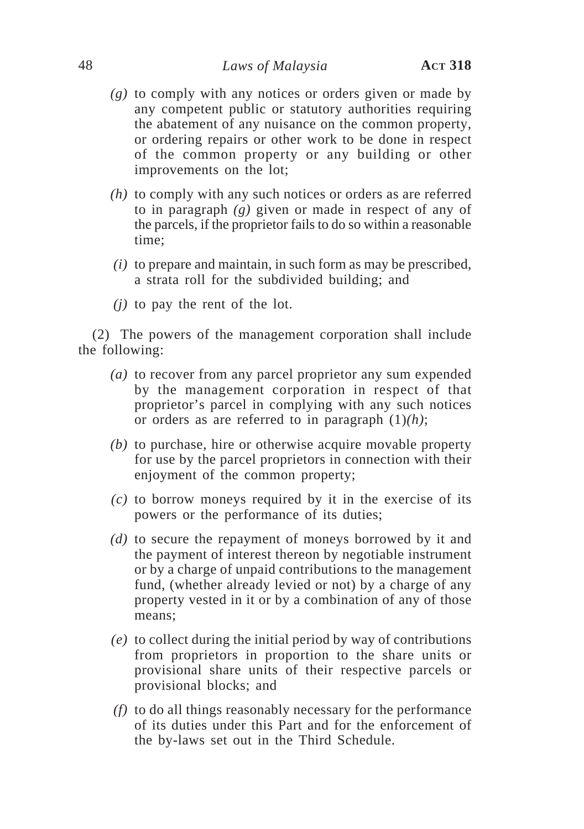### 48 *Laws of Malaysia* **ACT 318**

- *(g)* to comply with any notices or orders given or made by any competent public or statutory authorities requiring the abatement of any nuisance on the common property, or ordering repairs or other work to be done in respect of the common property or any building or other improvements on the lot;
- *(h)* to comply with any such notices or orders as are referred to in paragraph *(g)* given or made in respect of any of the parcels, if the proprietor fails to do so within a reasonable time;
- *(i)* to prepare and maintain, in such form as may be prescribed, a strata roll for the subdivided building; and
- *(j)* to pay the rent of the lot.

(2) The powers of the management corporation shall include the following:

- *(a)* to recover from any parcel proprietor any sum expended by the management corporation in respect of that proprietor's parcel in complying with any such notices or orders as are referred to in paragraph (1)*(h)*;
- *(b)* to purchase, hire or otherwise acquire movable property for use by the parcel proprietors in connection with their enjoyment of the common property;
- *(c)* to borrow moneys required by it in the exercise of its powers or the performance of its duties;
- *(d)* to secure the repayment of moneys borrowed by it and the payment of interest thereon by negotiable instrument or by a charge of unpaid contributions to the management fund, (whether already levied or not) by a charge of any property vested in it or by a combination of any of those means;
- *(e)* to collect during the initial period by way of contributions from proprietors in proportion to the share units or provisional share units of their respective parcels or provisional blocks; and
- *(f)* to do all things reasonably necessary for the performance of its duties under this Part and for the enforcement of the by-laws set out in the Third Schedule.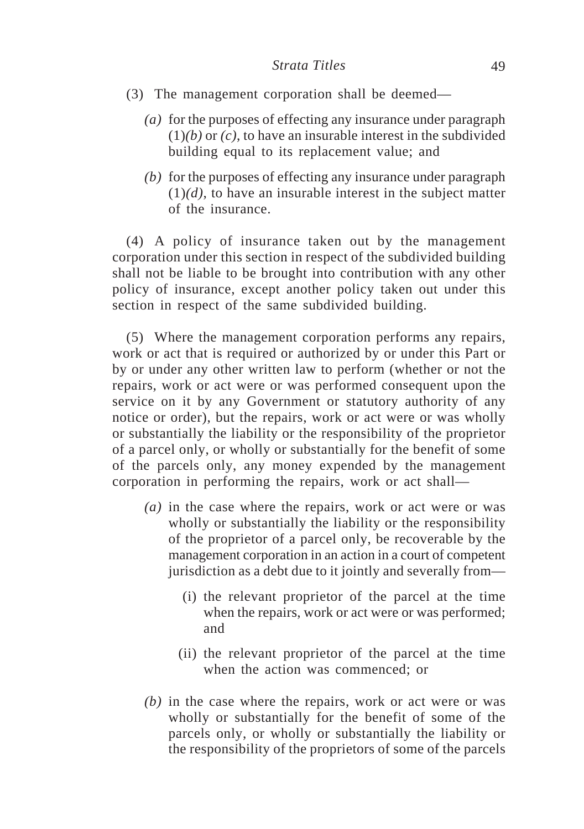- (3) The management corporation shall be deemed—
	- *(a)* for the purposes of effecting any insurance under paragraph (1)*(b)* or *(c)*, to have an insurable interest in the subdivided building equal to its replacement value; and
	- *(b)* for the purposes of effecting any insurance under paragraph  $(1)(d)$ , to have an insurable interest in the subject matter of the insurance.

(4) A policy of insurance taken out by the management corporation under this section in respect of the subdivided building shall not be liable to be brought into contribution with any other policy of insurance, except another policy taken out under this section in respect of the same subdivided building.

(5) Where the management corporation performs any repairs, work or act that is required or authorized by or under this Part or by or under any other written law to perform (whether or not the repairs, work or act were or was performed consequent upon the service on it by any Government or statutory authority of any notice or order), but the repairs, work or act were or was wholly or substantially the liability or the responsibility of the proprietor of a parcel only, or wholly or substantially for the benefit of some of the parcels only, any money expended by the management corporation in performing the repairs, work or act shall—

- *(a)* in the case where the repairs, work or act were or was wholly or substantially the liability or the responsibility of the proprietor of a parcel only, be recoverable by the management corporation in an action in a court of competent jurisdiction as a debt due to it jointly and severally from—
	- (i) the relevant proprietor of the parcel at the time when the repairs, work or act were or was performed; and
	- (ii) the relevant proprietor of the parcel at the time when the action was commenced; or
- *(b)* in the case where the repairs, work or act were or was wholly or substantially for the benefit of some of the parcels only, or wholly or substantially the liability or the responsibility of the proprietors of some of the parcels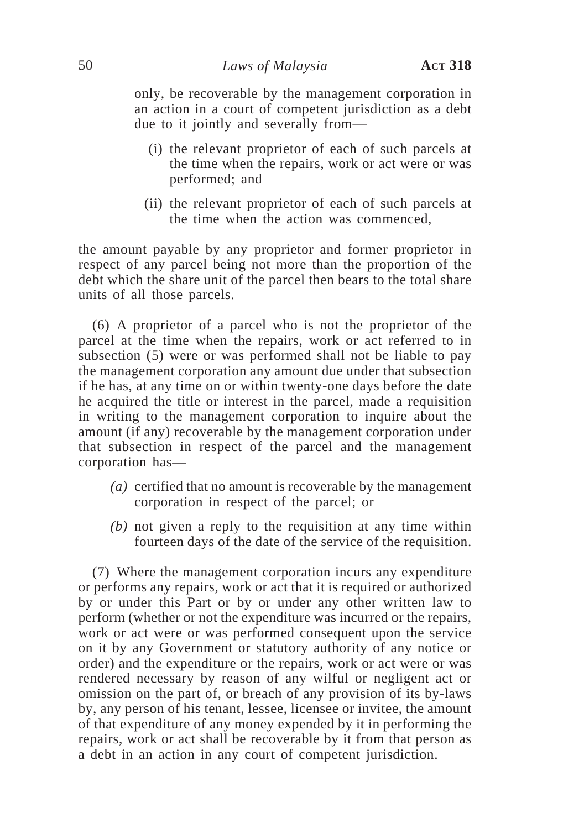only, be recoverable by the management corporation in an action in a court of competent jurisdiction as a debt due to it jointly and severally from—

- (i) the relevant proprietor of each of such parcels at the time when the repairs, work or act were or was performed; and
- (ii) the relevant proprietor of each of such parcels at the time when the action was commenced,

the amount payable by any proprietor and former proprietor in respect of any parcel being not more than the proportion of the debt which the share unit of the parcel then bears to the total share units of all those parcels.

(6) A proprietor of a parcel who is not the proprietor of the parcel at the time when the repairs, work or act referred to in subsection (5) were or was performed shall not be liable to pay the management corporation any amount due under that subsection if he has, at any time on or within twenty-one days before the date he acquired the title or interest in the parcel, made a requisition in writing to the management corporation to inquire about the amount (if any) recoverable by the management corporation under that subsection in respect of the parcel and the management corporation has—

- *(a)* certified that no amount is recoverable by the management corporation in respect of the parcel; or
- *(b)* not given a reply to the requisition at any time within fourteen days of the date of the service of the requisition.

(7) Where the management corporation incurs any expenditure or performs any repairs, work or act that it is required or authorized by or under this Part or by or under any other written law to perform (whether or not the expenditure was incurred or the repairs, work or act were or was performed consequent upon the service on it by any Government or statutory authority of any notice or order) and the expenditure or the repairs, work or act were or was rendered necessary by reason of any wilful or negligent act or omission on the part of, or breach of any provision of its by-laws by, any person of his tenant, lessee, licensee or invitee, the amount of that expenditure of any money expended by it in performing the repairs, work or act shall be recoverable by it from that person as a debt in an action in any court of competent jurisdiction.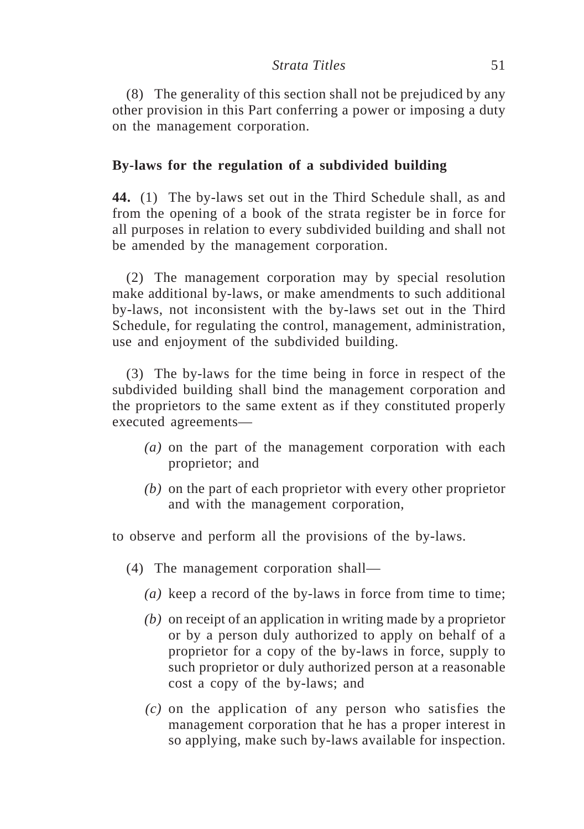(8) The generality of this section shall not be prejudiced by any other provision in this Part conferring a power or imposing a duty on the management corporation.

## **By-laws for the regulation of a subdivided building**

**44.** (1) The by-laws set out in the Third Schedule shall, as and from the opening of a book of the strata register be in force for all purposes in relation to every subdivided building and shall not be amended by the management corporation.

(2) The management corporation may by special resolution make additional by-laws, or make amendments to such additional by-laws, not inconsistent with the by-laws set out in the Third Schedule, for regulating the control, management, administration, use and enjoyment of the subdivided building.

(3) The by-laws for the time being in force in respect of the subdivided building shall bind the management corporation and the proprietors to the same extent as if they constituted properly executed agreements—

- *(a)* on the part of the management corporation with each proprietor; and
- *(b)* on the part of each proprietor with every other proprietor and with the management corporation,

to observe and perform all the provisions of the by-laws.

- (4) The management corporation shall—
	- *(a)* keep a record of the by-laws in force from time to time;
	- *(b)* on receipt of an application in writing made by a proprietor or by a person duly authorized to apply on behalf of a proprietor for a copy of the by-laws in force, supply to such proprietor or duly authorized person at a reasonable cost a copy of the by-laws; and
	- *(c)* on the application of any person who satisfies the management corporation that he has a proper interest in so applying, make such by-laws available for inspection.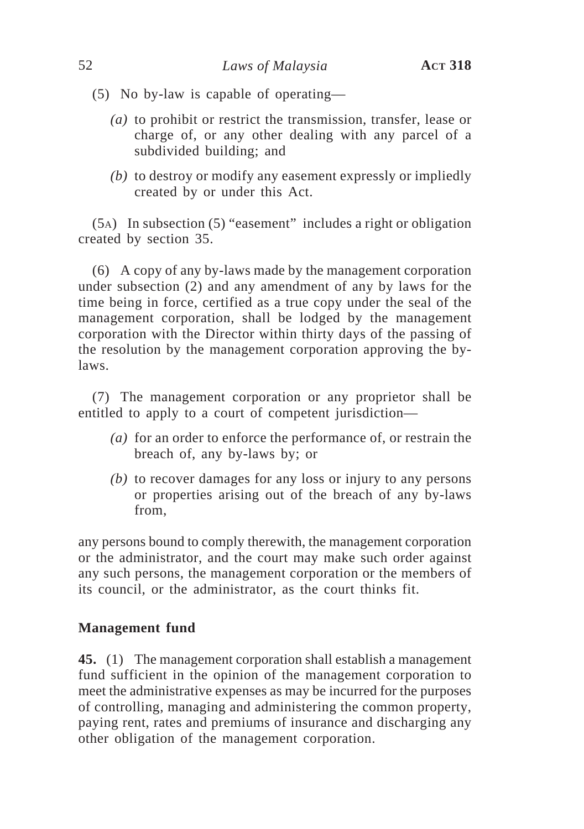- (5) No by-law is capable of operating—
	- *(a)* to prohibit or restrict the transmission, transfer, lease or charge of, or any other dealing with any parcel of a subdivided building; and
	- *(b)* to destroy or modify any easement expressly or impliedly created by or under this Act.

(5A) In subsection (5) "easement" includes a right or obligation created by section 35.

(6) A copy of any by-laws made by the management corporation under subsection (2) and any amendment of any by laws for the time being in force, certified as a true copy under the seal of the management corporation, shall be lodged by the management corporation with the Director within thirty days of the passing of the resolution by the management corporation approving the bylaws.

(7) The management corporation or any proprietor shall be entitled to apply to a court of competent jurisdiction—

- *(a)* for an order to enforce the performance of, or restrain the breach of, any by-laws by; or
- *(b)* to recover damages for any loss or injury to any persons or properties arising out of the breach of any by-laws from,

any persons bound to comply therewith, the management corporation or the administrator, and the court may make such order against any such persons, the management corporation or the members of its council, or the administrator, as the court thinks fit.

### **Management fund**

**45.** (1) The management corporation shall establish a management fund sufficient in the opinion of the management corporation to meet the administrative expenses as may be incurred for the purposes of controlling, managing and administering the common property, paying rent, rates and premiums of insurance and discharging any other obligation of the management corporation.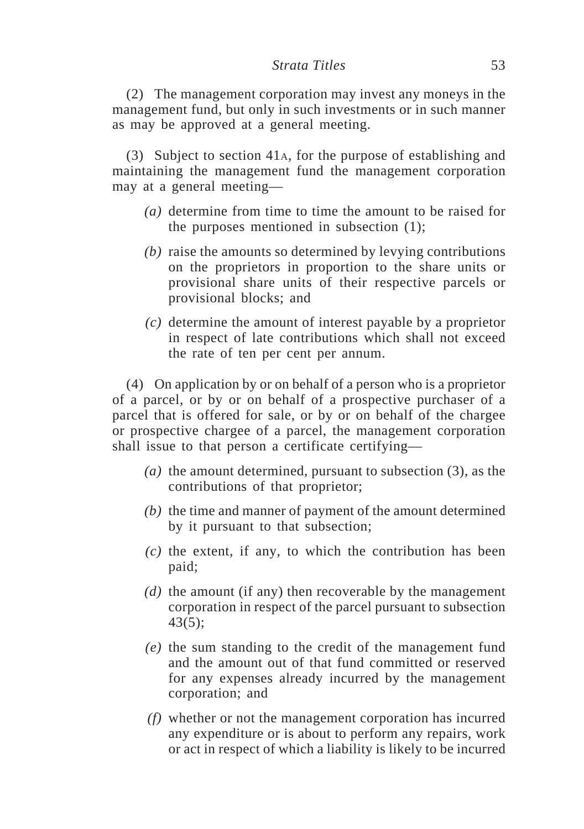#### *Strata Titles* 53

(2) The management corporation may invest any moneys in the management fund, but only in such investments or in such manner as may be approved at a general meeting.

(3) Subject to section 41A, for the purpose of establishing and maintaining the management fund the management corporation may at a general meeting—

- *(a)* determine from time to time the amount to be raised for the purposes mentioned in subsection (1);
- *(b)* raise the amounts so determined by levying contributions on the proprietors in proportion to the share units or provisional share units of their respective parcels or provisional blocks; and
- *(c)* determine the amount of interest payable by a proprietor in respect of late contributions which shall not exceed the rate of ten per cent per annum.

(4) On application by or on behalf of a person who is a proprietor of a parcel, or by or on behalf of a prospective purchaser of a parcel that is offered for sale, or by or on behalf of the chargee or prospective chargee of a parcel, the management corporation shall issue to that person a certificate certifying—

- *(a)* the amount determined, pursuant to subsection (3), as the contributions of that proprietor;
- *(b)* the time and manner of payment of the amount determined by it pursuant to that subsection;
- *(c)* the extent, if any, to which the contribution has been paid;
- *(d)* the amount (if any) then recoverable by the management corporation in respect of the parcel pursuant to subsection 43(5);
- *(e)* the sum standing to the credit of the management fund and the amount out of that fund committed or reserved for any expenses already incurred by the management corporation; and
- *(f)* whether or not the management corporation has incurred any expenditure or is about to perform any repairs, work or act in respect of which a liability is likely to be incurred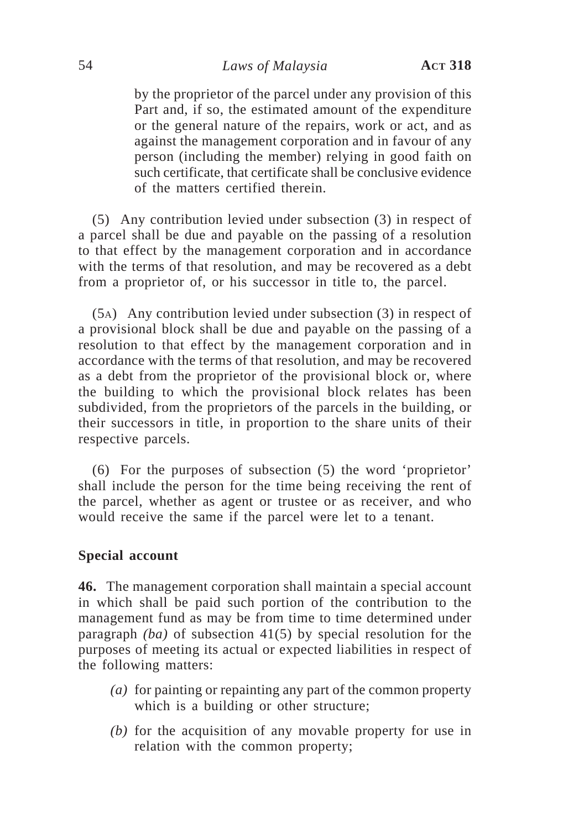## 54 *Laws of Malaysia* **ACT 318**

by the proprietor of the parcel under any provision of this Part and, if so, the estimated amount of the expenditure or the general nature of the repairs, work or act, and as against the management corporation and in favour of any person (including the member) relying in good faith on such certificate, that certificate shall be conclusive evidence of the matters certified therein.

(5) Any contribution levied under subsection (3) in respect of a parcel shall be due and payable on the passing of a resolution to that effect by the management corporation and in accordance with the terms of that resolution, and may be recovered as a debt from a proprietor of, or his successor in title to, the parcel.

(5A) Any contribution levied under subsection (3) in respect of a provisional block shall be due and payable on the passing of a resolution to that effect by the management corporation and in accordance with the terms of that resolution, and may be recovered as a debt from the proprietor of the provisional block or, where the building to which the provisional block relates has been subdivided, from the proprietors of the parcels in the building, or their successors in title, in proportion to the share units of their respective parcels.

(6) For the purposes of subsection (5) the word 'proprietor' shall include the person for the time being receiving the rent of the parcel, whether as agent or trustee or as receiver, and who would receive the same if the parcel were let to a tenant.

### **Special account**

**46.** The management corporation shall maintain a special account in which shall be paid such portion of the contribution to the management fund as may be from time to time determined under paragraph *(ba)* of subsection 41(5) by special resolution for the purposes of meeting its actual or expected liabilities in respect of the following matters:

- *(a)* for painting or repainting any part of the common property which is a building or other structure;
- *(b)* for the acquisition of any movable property for use in relation with the common property;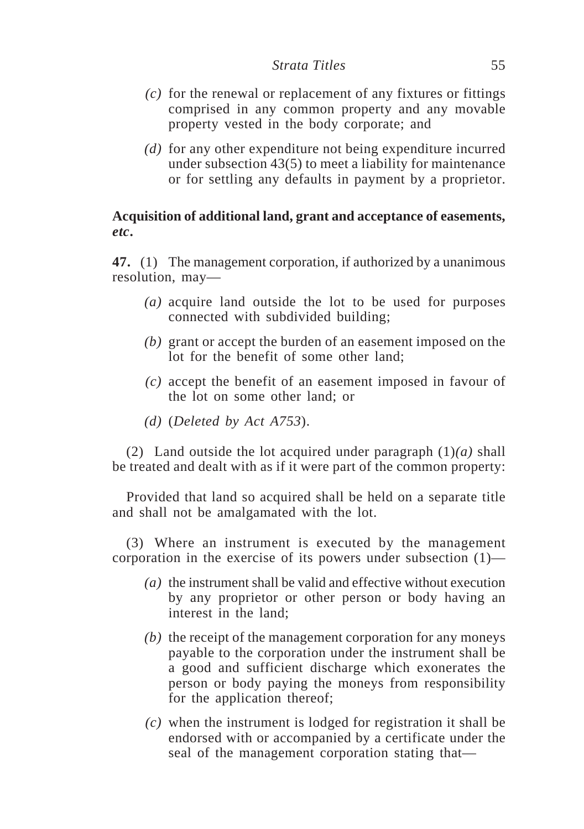- *(c)* for the renewal or replacement of any fixtures or fittings comprised in any common property and any movable property vested in the body corporate; and
- *(d)* for any other expenditure not being expenditure incurred under subsection 43(5) to meet a liability for maintenance or for settling any defaults in payment by a proprietor.

# **Acquisition of additional land, grant and acceptance of easements,** *etc***.**

**47.** (1) The management corporation, if authorized by a unanimous resolution, may—

- *(a)* acquire land outside the lot to be used for purposes connected with subdivided building;
- *(b)* grant or accept the burden of an easement imposed on the lot for the benefit of some other land;
- *(c)* accept the benefit of an easement imposed in favour of the lot on some other land; or
- *(d)* (*Deleted by Act A753*).

(2) Land outside the lot acquired under paragraph (1)*(a)* shall be treated and dealt with as if it were part of the common property:

Provided that land so acquired shall be held on a separate title and shall not be amalgamated with the lot.

(3) Where an instrument is executed by the management corporation in the exercise of its powers under subsection (1)—

- *(a)* the instrument shall be valid and effective without execution by any proprietor or other person or body having an interest in the land;
- *(b)* the receipt of the management corporation for any moneys payable to the corporation under the instrument shall be a good and sufficient discharge which exonerates the person or body paying the moneys from responsibility for the application thereof;
- *(c)* when the instrument is lodged for registration it shall be endorsed with or accompanied by a certificate under the seal of the management corporation stating that—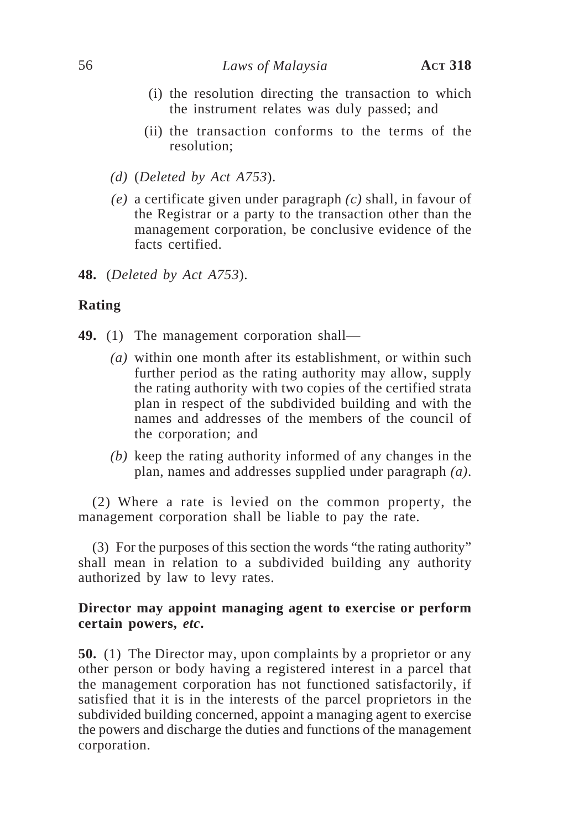- (i) the resolution directing the transaction to which the instrument relates was duly passed; and
- (ii) the transaction conforms to the terms of the resolution;
- *(d)* (*Deleted by Act A753*).
- *(e)* a certificate given under paragraph *(c)* shall, in favour of the Registrar or a party to the transaction other than the management corporation, be conclusive evidence of the facts certified.
- **48.** (*Deleted by Act A753*).

### **Rating**

- **49.** (1) The management corporation shall—
	- *(a)* within one month after its establishment, or within such further period as the rating authority may allow, supply the rating authority with two copies of the certified strata plan in respect of the subdivided building and with the names and addresses of the members of the council of the corporation; and
	- *(b)* keep the rating authority informed of any changes in the plan, names and addresses supplied under paragraph *(a)*.

(2) Where a rate is levied on the common property, the management corporation shall be liable to pay the rate.

(3) For the purposes of this section the words "the rating authority" shall mean in relation to a subdivided building any authority authorized by law to levy rates.

### **Director may appoint managing agent to exercise or perform certain powers,** *etc***.**

**50.** (1) The Director may, upon complaints by a proprietor or any other person or body having a registered interest in a parcel that the management corporation has not functioned satisfactorily, if satisfied that it is in the interests of the parcel proprietors in the subdivided building concerned, appoint a managing agent to exercise the powers and discharge the duties and functions of the management corporation.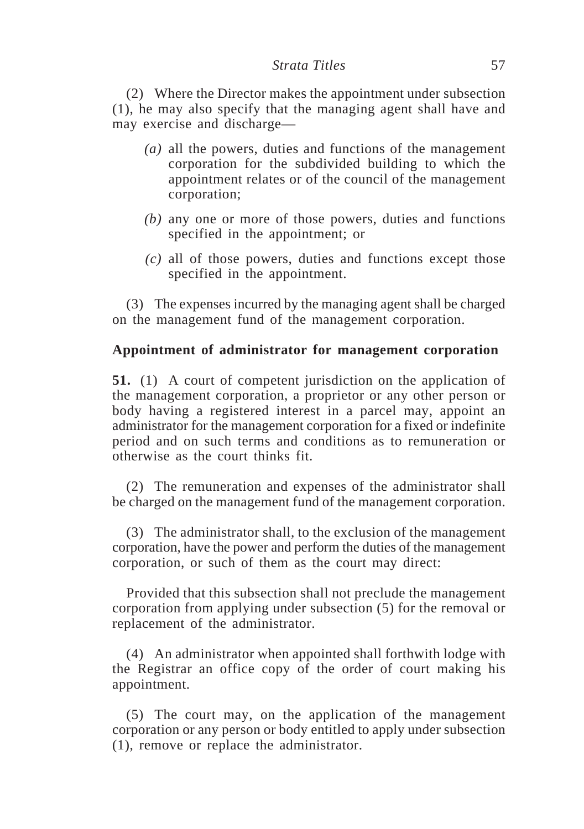#### *Strata Titles* 57

(2) Where the Director makes the appointment under subsection (1), he may also specify that the managing agent shall have and may exercise and discharge—

- *(a)* all the powers, duties and functions of the management corporation for the subdivided building to which the appointment relates or of the council of the management corporation;
- *(b)* any one or more of those powers, duties and functions specified in the appointment; or
- *(c)* all of those powers, duties and functions except those specified in the appointment.

(3) The expenses incurred by the managing agent shall be charged on the management fund of the management corporation.

## **Appointment of administrator for management corporation**

**51.** (1) A court of competent jurisdiction on the application of the management corporation, a proprietor or any other person or body having a registered interest in a parcel may, appoint an administrator for the management corporation for a fixed or indefinite period and on such terms and conditions as to remuneration or otherwise as the court thinks fit.

(2) The remuneration and expenses of the administrator shall be charged on the management fund of the management corporation.

(3) The administrator shall, to the exclusion of the management corporation, have the power and perform the duties of the management corporation, or such of them as the court may direct:

Provided that this subsection shall not preclude the management corporation from applying under subsection (5) for the removal or replacement of the administrator.

(4) An administrator when appointed shall forthwith lodge with the Registrar an office copy of the order of court making his appointment.

(5) The court may, on the application of the management corporation or any person or body entitled to apply under subsection (1), remove or replace the administrator.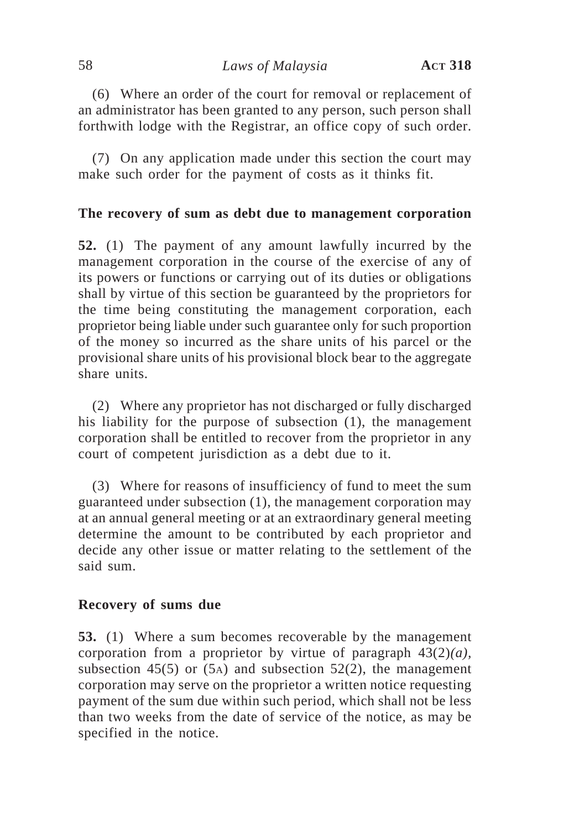(6) Where an order of the court for removal or replacement of an administrator has been granted to any person, such person shall forthwith lodge with the Registrar, an office copy of such order.

(7) On any application made under this section the court may make such order for the payment of costs as it thinks fit.

## **The recovery of sum as debt due to management corporation**

**52.** (1) The payment of any amount lawfully incurred by the management corporation in the course of the exercise of any of its powers or functions or carrying out of its duties or obligations shall by virtue of this section be guaranteed by the proprietors for the time being constituting the management corporation, each proprietor being liable under such guarantee only for such proportion of the money so incurred as the share units of his parcel or the provisional share units of his provisional block bear to the aggregate share units.

(2) Where any proprietor has not discharged or fully discharged his liability for the purpose of subsection (1), the management corporation shall be entitled to recover from the proprietor in any court of competent jurisdiction as a debt due to it.

(3) Where for reasons of insufficiency of fund to meet the sum guaranteed under subsection (1), the management corporation may at an annual general meeting or at an extraordinary general meeting determine the amount to be contributed by each proprietor and decide any other issue or matter relating to the settlement of the said sum.

### **Recovery of sums due**

**53.** (1) Where a sum becomes recoverable by the management corporation from a proprietor by virtue of paragraph 43(2)*(a),* subsection 45(5) or  $(5)$  and subsection 52(2), the management corporation may serve on the proprietor a written notice requesting payment of the sum due within such period, which shall not be less than two weeks from the date of service of the notice, as may be specified in the notice.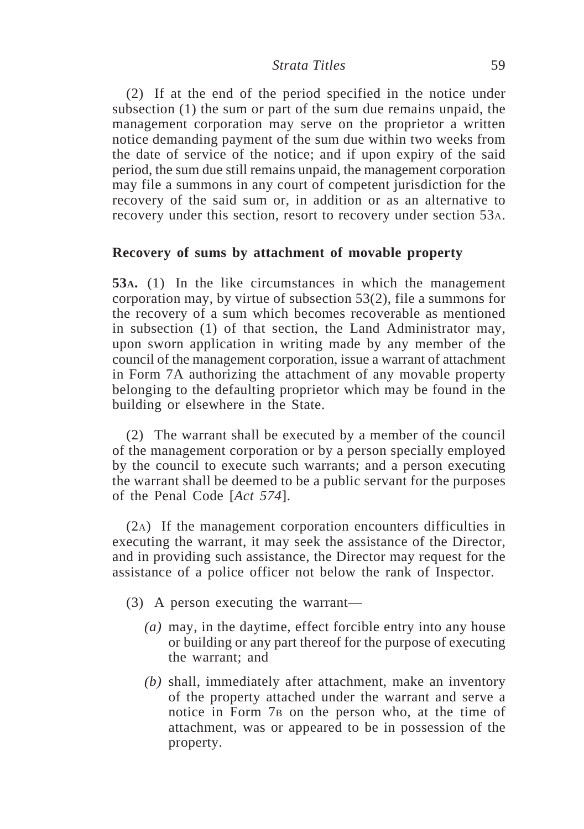#### *Strata Titles* 59

(2) If at the end of the period specified in the notice under subsection (1) the sum or part of the sum due remains unpaid, the management corporation may serve on the proprietor a written notice demanding payment of the sum due within two weeks from the date of service of the notice; and if upon expiry of the said period, the sum due still remains unpaid, the management corporation may file a summons in any court of competent jurisdiction for the recovery of the said sum or, in addition or as an alternative to recovery under this section, resort to recovery under section 53A.

### **Recovery of sums by attachment of movable property**

**53A.** (1) In the like circumstances in which the management corporation may, by virtue of subsection 53(2), file a summons for the recovery of a sum which becomes recoverable as mentioned in subsection (1) of that section, the Land Administrator may, upon sworn application in writing made by any member of the council of the management corporation, issue a warrant of attachment in Form 7A authorizing the attachment of any movable property belonging to the defaulting proprietor which may be found in the building or elsewhere in the State.

(2) The warrant shall be executed by a member of the council of the management corporation or by a person specially employed by the council to execute such warrants; and a person executing the warrant shall be deemed to be a public servant for the purposes of the Penal Code [*Act 574*].

(2A) If the management corporation encounters difficulties in executing the warrant, it may seek the assistance of the Director, and in providing such assistance, the Director may request for the assistance of a police officer not below the rank of Inspector.

- (3) A person executing the warrant—
	- *(a)* may, in the daytime, effect forcible entry into any house or building or any part thereof for the purpose of executing the warrant; and
	- *(b)* shall, immediately after attachment, make an inventory of the property attached under the warrant and serve a notice in Form 7B on the person who, at the time of attachment, was or appeared to be in possession of the property.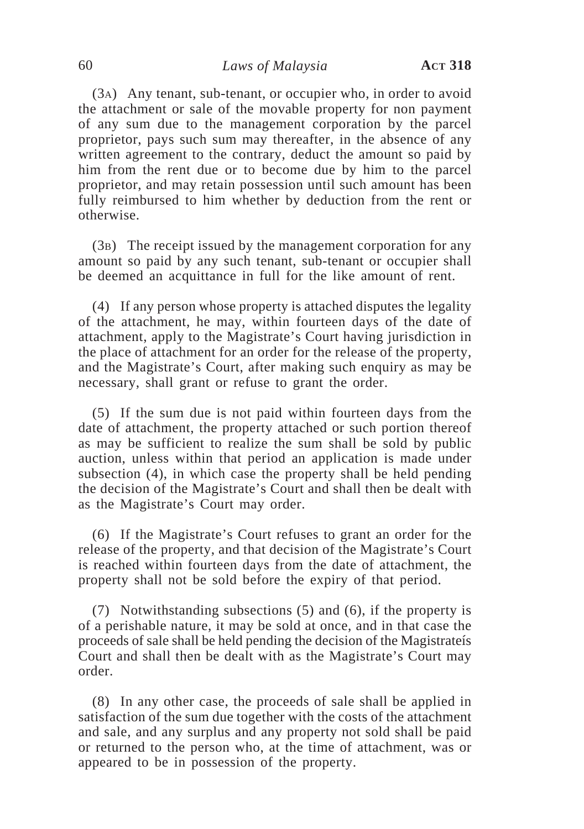(3A) Any tenant, sub-tenant, or occupier who, in order to avoid the attachment or sale of the movable property for non payment of any sum due to the management corporation by the parcel proprietor, pays such sum may thereafter, in the absence of any written agreement to the contrary, deduct the amount so paid by him from the rent due or to become due by him to the parcel proprietor, and may retain possession until such amount has been fully reimbursed to him whether by deduction from the rent or otherwise.

(3B) The receipt issued by the management corporation for any amount so paid by any such tenant, sub-tenant or occupier shall be deemed an acquittance in full for the like amount of rent.

(4) If any person whose property is attached disputes the legality of the attachment, he may, within fourteen days of the date of attachment, apply to the Magistrate's Court having jurisdiction in the place of attachment for an order for the release of the property, and the Magistrate's Court, after making such enquiry as may be necessary, shall grant or refuse to grant the order.

(5) If the sum due is not paid within fourteen days from the date of attachment, the property attached or such portion thereof as may be sufficient to realize the sum shall be sold by public auction, unless within that period an application is made under subsection (4), in which case the property shall be held pending the decision of the Magistrate's Court and shall then be dealt with as the Magistrate's Court may order.

(6) If the Magistrate's Court refuses to grant an order for the release of the property, and that decision of the Magistrate's Court is reached within fourteen days from the date of attachment, the property shall not be sold before the expiry of that period.

(7) Notwithstanding subsections (5) and (6), if the property is of a perishable nature, it may be sold at once, and in that case the proceeds of sale shall be held pending the decision of the Magistrateís Court and shall then be dealt with as the Magistrate's Court may order.

(8) In any other case, the proceeds of sale shall be applied in satisfaction of the sum due together with the costs of the attachment and sale, and any surplus and any property not sold shall be paid or returned to the person who, at the time of attachment, was or appeared to be in possession of the property.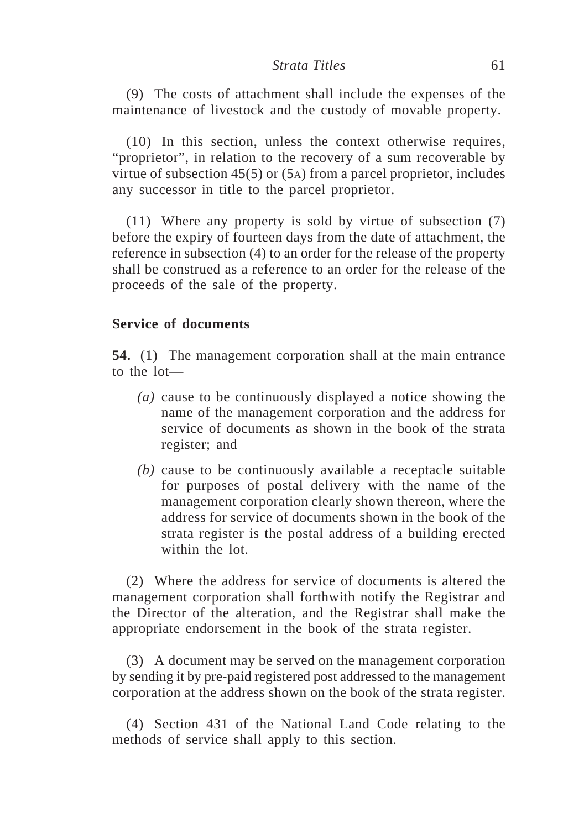#### *Strata Titles* 61

(9) The costs of attachment shall include the expenses of the maintenance of livestock and the custody of movable property.

(10) In this section, unless the context otherwise requires, "proprietor", in relation to the recovery of a sum recoverable by virtue of subsection 45(5) or (5A) from a parcel proprietor, includes any successor in title to the parcel proprietor.

(11) Where any property is sold by virtue of subsection (7) before the expiry of fourteen days from the date of attachment, the reference in subsection (4) to an order for the release of the property shall be construed as a reference to an order for the release of the proceeds of the sale of the property.

### **Service of documents**

**54.** (1) The management corporation shall at the main entrance to the lot—

- *(a)* cause to be continuously displayed a notice showing the name of the management corporation and the address for service of documents as shown in the book of the strata register; and
- *(b)* cause to be continuously available a receptacle suitable for purposes of postal delivery with the name of the management corporation clearly shown thereon, where the address for service of documents shown in the book of the strata register is the postal address of a building erected within the lot.

(2) Where the address for service of documents is altered the management corporation shall forthwith notify the Registrar and the Director of the alteration, and the Registrar shall make the appropriate endorsement in the book of the strata register.

(3) A document may be served on the management corporation by sending it by pre-paid registered post addressed to the management corporation at the address shown on the book of the strata register.

(4) Section 431 of the National Land Code relating to the methods of service shall apply to this section.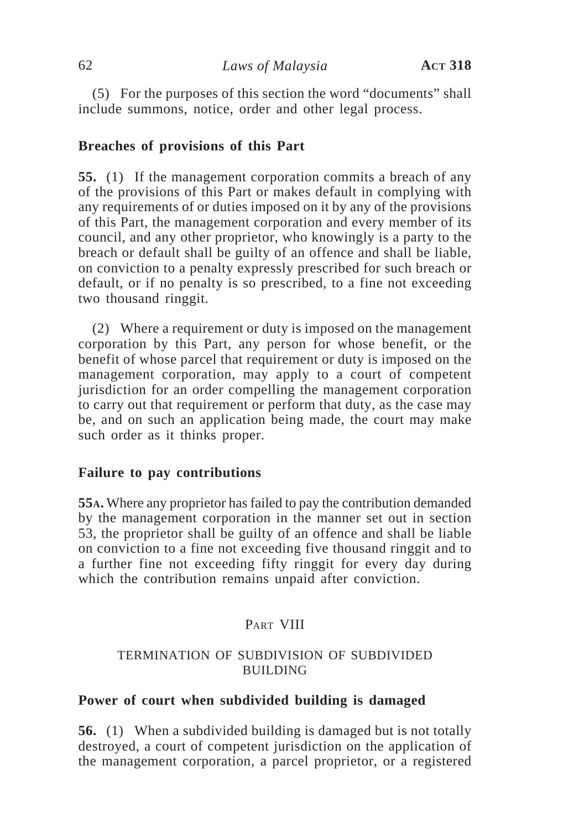(5) For the purposes of this section the word "documents" shall include summons, notice, order and other legal process.

### **Breaches of provisions of this Part**

**55.** (1) If the management corporation commits a breach of any of the provisions of this Part or makes default in complying with any requirements of or duties imposed on it by any of the provisions of this Part, the management corporation and every member of its council, and any other proprietor, who knowingly is a party to the breach or default shall be guilty of an offence and shall be liable, on conviction to a penalty expressly prescribed for such breach or default, or if no penalty is so prescribed, to a fine not exceeding two thousand ringgit.

(2) Where a requirement or duty is imposed on the management corporation by this Part, any person for whose benefit, or the benefit of whose parcel that requirement or duty is imposed on the management corporation, may apply to a court of competent jurisdiction for an order compelling the management corporation to carry out that requirement or perform that duty, as the case may be, and on such an application being made, the court may make such order as it thinks proper.

### **Failure to pay contributions**

**55A.** Where any proprietor has failed to pay the contribution demanded by the management corporation in the manner set out in section 53, the proprietor shall be guilty of an offence and shall be liable on conviction to a fine not exceeding five thousand ringgit and to a further fine not exceeding fifty ringgit for every day during which the contribution remains unpaid after conviction.

# PART VIII

### TERMINATION OF SUBDIVISION OF SUBDIVIDED BUILDING

### **Power of court when subdivided building is damaged**

**56.** (1) When a subdivided building is damaged but is not totally destroyed, a court of competent jurisdiction on the application of the management corporation, a parcel proprietor, or a registered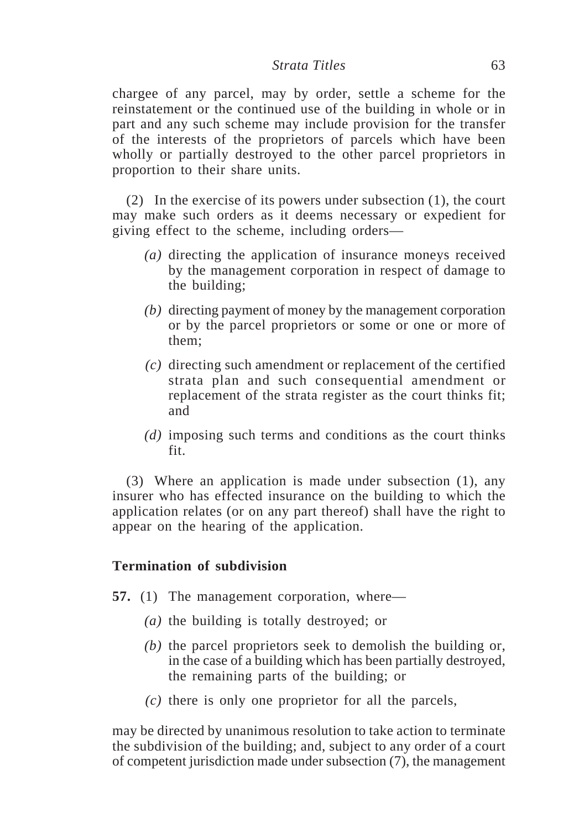#### *Strata Titles* 63

chargee of any parcel, may by order, settle a scheme for the reinstatement or the continued use of the building in whole or in part and any such scheme may include provision for the transfer of the interests of the proprietors of parcels which have been wholly or partially destroyed to the other parcel proprietors in proportion to their share units.

(2) In the exercise of its powers under subsection (1), the court may make such orders as it deems necessary or expedient for giving effect to the scheme, including orders—

- *(a)* directing the application of insurance moneys received by the management corporation in respect of damage to the building;
- *(b)* directing payment of money by the management corporation or by the parcel proprietors or some or one or more of them;
- *(c)* directing such amendment or replacement of the certified strata plan and such consequential amendment or replacement of the strata register as the court thinks fit; and
- *(d)* imposing such terms and conditions as the court thinks fit.

(3) Where an application is made under subsection (1), any insurer who has effected insurance on the building to which the application relates (or on any part thereof) shall have the right to appear on the hearing of the application.

### **Termination of subdivision**

- **57.** (1) The management corporation, where—
	- *(a)* the building is totally destroyed; or
	- *(b)* the parcel proprietors seek to demolish the building or, in the case of a building which has been partially destroyed, the remaining parts of the building; or
	- *(c)* there is only one proprietor for all the parcels,

may be directed by unanimous resolution to take action to terminate the subdivision of the building; and, subject to any order of a court of competent jurisdiction made under subsection (7), the management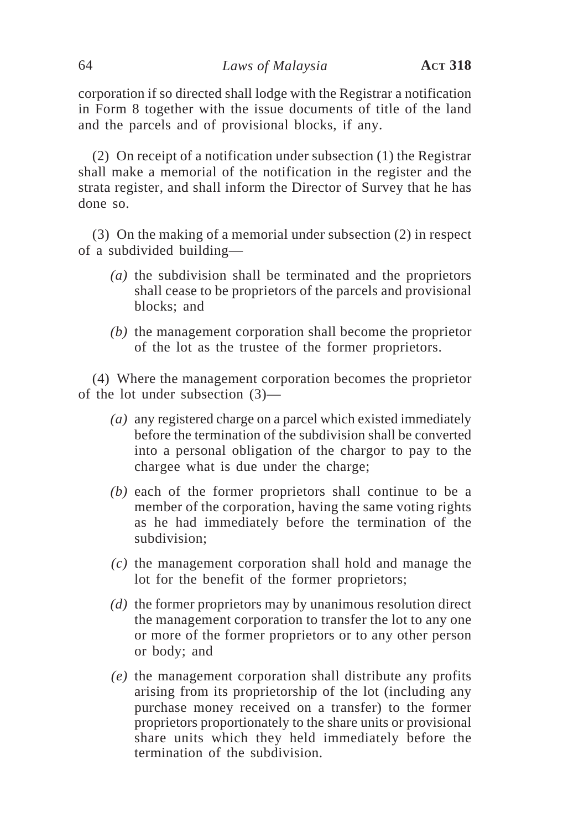corporation if so directed shall lodge with the Registrar a notification in Form 8 together with the issue documents of title of the land and the parcels and of provisional blocks, if any.

(2) On receipt of a notification under subsection (1) the Registrar shall make a memorial of the notification in the register and the strata register, and shall inform the Director of Survey that he has done so.

(3) On the making of a memorial under subsection (2) in respect of a subdivided building—

- *(a)* the subdivision shall be terminated and the proprietors shall cease to be proprietors of the parcels and provisional blocks; and
- *(b)* the management corporation shall become the proprietor of the lot as the trustee of the former proprietors.

(4) Where the management corporation becomes the proprietor of the lot under subsection (3)—

- *(a)* any registered charge on a parcel which existed immediately before the termination of the subdivision shall be converted into a personal obligation of the chargor to pay to the chargee what is due under the charge;
- *(b)* each of the former proprietors shall continue to be a member of the corporation, having the same voting rights as he had immediately before the termination of the subdivision;
- *(c)* the management corporation shall hold and manage the lot for the benefit of the former proprietors;
- *(d)* the former proprietors may by unanimous resolution direct the management corporation to transfer the lot to any one or more of the former proprietors or to any other person or body; and
- *(e)* the management corporation shall distribute any profits arising from its proprietorship of the lot (including any purchase money received on a transfer) to the former proprietors proportionately to the share units or provisional share units which they held immediately before the termination of the subdivision.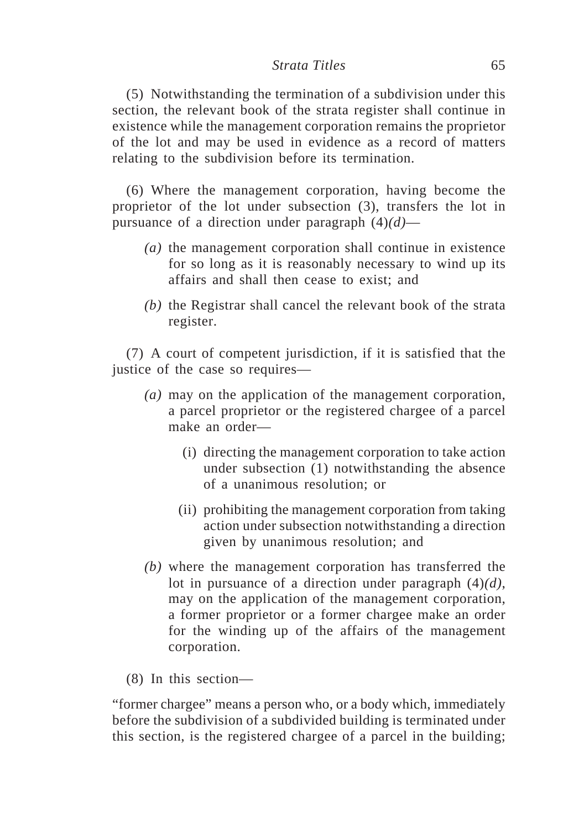#### *Strata Titles* 65

(5) Notwithstanding the termination of a subdivision under this section, the relevant book of the strata register shall continue in existence while the management corporation remains the proprietor of the lot and may be used in evidence as a record of matters relating to the subdivision before its termination.

(6) Where the management corporation, having become the proprietor of the lot under subsection (3), transfers the lot in pursuance of a direction under paragraph (4)*(d)*—

- *(a)* the management corporation shall continue in existence for so long as it is reasonably necessary to wind up its affairs and shall then cease to exist; and
- *(b)* the Registrar shall cancel the relevant book of the strata register.

(7) A court of competent jurisdiction, if it is satisfied that the justice of the case so requires—

- *(a)* may on the application of the management corporation, a parcel proprietor or the registered chargee of a parcel make an order—
	- (i) directing the management corporation to take action under subsection (1) notwithstanding the absence of a unanimous resolution; or
	- (ii) prohibiting the management corporation from taking action under subsection notwithstanding a direction given by unanimous resolution; and
- *(b)* where the management corporation has transferred the lot in pursuance of a direction under paragraph (4)*(d)*, may on the application of the management corporation, a former proprietor or a former chargee make an order for the winding up of the affairs of the management corporation.
- (8) In this section—

"former chargee" means a person who, or a body which, immediately before the subdivision of a subdivided building is terminated under this section, is the registered chargee of a parcel in the building;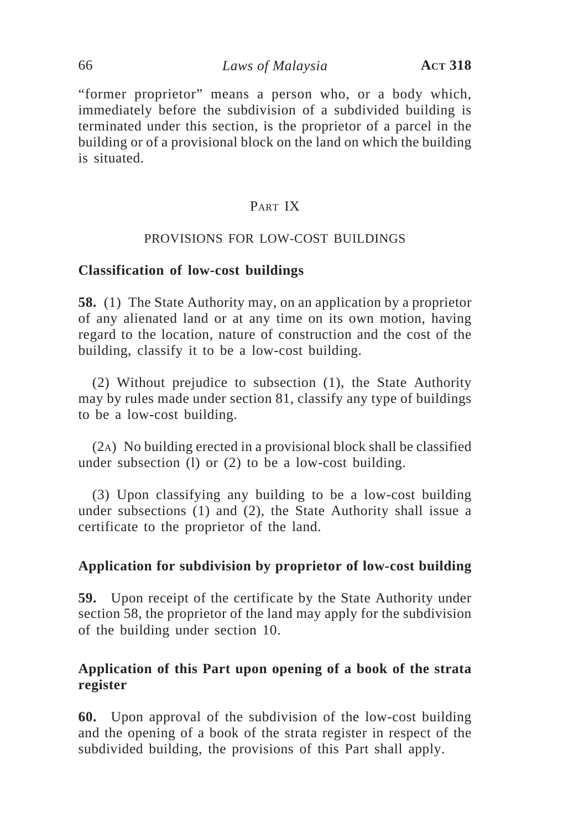### 66 *Laws of Malaysia* **ACT 318**

"former proprietor" means a person who, or a body which, immediately before the subdivision of a subdivided building is terminated under this section, is the proprietor of a parcel in the building or of a provisional block on the land on which the building is situated.

# PART IX

#### PROVISIONS FOR LOW-COST BUILDINGS

### **Classification of low-cost buildings**

**58.** (1) The State Authority may, on an application by a proprietor of any alienated land or at any time on its own motion, having regard to the location, nature of construction and the cost of the building, classify it to be a low-cost building.

(2) Without prejudice to subsection (1), the State Authority may by rules made under section 81, classify any type of buildings to be a low-cost building.

(2A) No building erected in a provisional block shall be classified under subsection (l) or (2) to be a low-cost building.

(3) Upon classifying any building to be a low-cost building under subsections (1) and (2), the State Authority shall issue a certificate to the proprietor of the land.

### **Application for subdivision by proprietor of low-cost building**

**59.** Upon receipt of the certificate by the State Authority under section 58, the proprietor of the land may apply for the subdivision of the building under section 10.

## **Application of this Part upon opening of a book of the strata register**

**60.** Upon approval of the subdivision of the low-cost building and the opening of a book of the strata register in respect of the subdivided building, the provisions of this Part shall apply.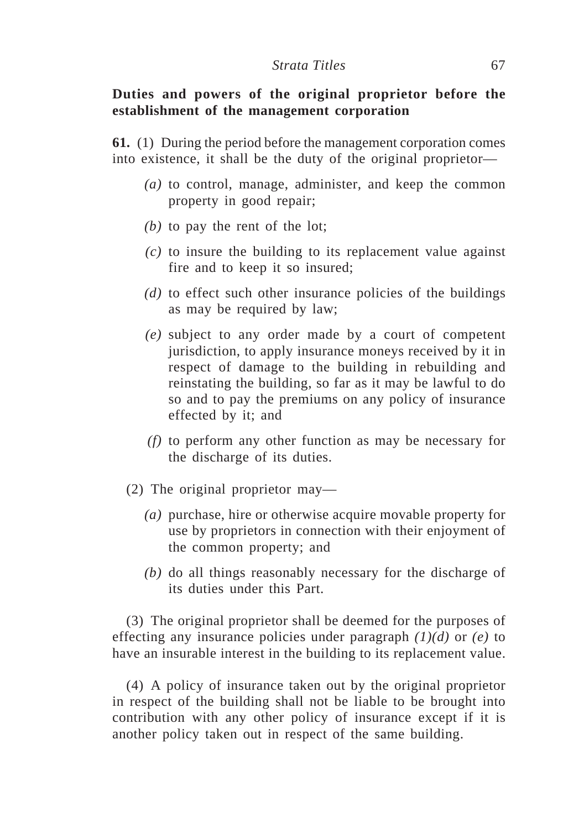## **Duties and powers of the original proprietor before the establishment of the management corporation**

**61.** (1) During the period before the management corporation comes into existence, it shall be the duty of the original proprietor—

- *(a)* to control, manage, administer, and keep the common property in good repair;
- *(b)* to pay the rent of the lot;
- *(c)* to insure the building to its replacement value against fire and to keep it so insured;
- *(d)* to effect such other insurance policies of the buildings as may be required by law;
- *(e)* subject to any order made by a court of competent jurisdiction, to apply insurance moneys received by it in respect of damage to the building in rebuilding and reinstating the building, so far as it may be lawful to do so and to pay the premiums on any policy of insurance effected by it; and
- *(f)* to perform any other function as may be necessary for the discharge of its duties.
- (2) The original proprietor may—
	- *(a)* purchase, hire or otherwise acquire movable property for use by proprietors in connection with their enjoyment of the common property; and
	- *(b)* do all things reasonably necessary for the discharge of its duties under this Part.

(3) The original proprietor shall be deemed for the purposes of effecting any insurance policies under paragraph *(1)(d)* or *(e)* to have an insurable interest in the building to its replacement value.

(4) A policy of insurance taken out by the original proprietor in respect of the building shall not be liable to be brought into contribution with any other policy of insurance except if it is another policy taken out in respect of the same building.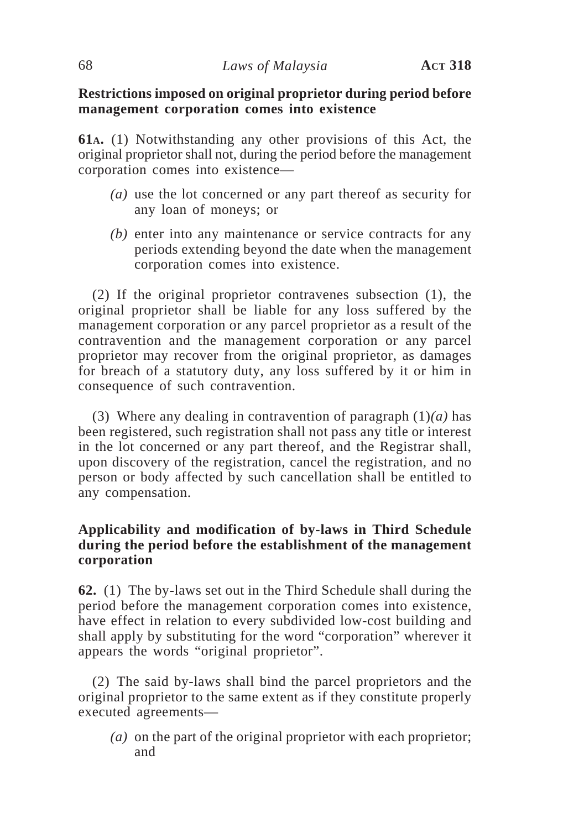## **Restrictions imposed on original proprietor during period before management corporation comes into existence**

**61A.** (1) Notwithstanding any other provisions of this Act, the original proprietor shall not, during the period before the management corporation comes into existence—

- *(a)* use the lot concerned or any part thereof as security for any loan of moneys; or
- *(b)* enter into any maintenance or service contracts for any periods extending beyond the date when the management corporation comes into existence.

(2) If the original proprietor contravenes subsection (1), the original proprietor shall be liable for any loss suffered by the management corporation or any parcel proprietor as a result of the contravention and the management corporation or any parcel proprietor may recover from the original proprietor, as damages for breach of a statutory duty, any loss suffered by it or him in consequence of such contravention.

(3) Where any dealing in contravention of paragraph  $(1)(a)$  has been registered, such registration shall not pass any title or interest in the lot concerned or any part thereof, and the Registrar shall, upon discovery of the registration, cancel the registration, and no person or body affected by such cancellation shall be entitled to any compensation.

## **Applicability and modification of by-laws in Third Schedule during the period before the establishment of the management corporation**

**62.** (1) The by-laws set out in the Third Schedule shall during the period before the management corporation comes into existence, have effect in relation to every subdivided low-cost building and shall apply by substituting for the word "corporation" wherever it appears the words "original proprietor".

(2) The said by-laws shall bind the parcel proprietors and the original proprietor to the same extent as if they constitute properly executed agreements—

*(a)* on the part of the original proprietor with each proprietor; and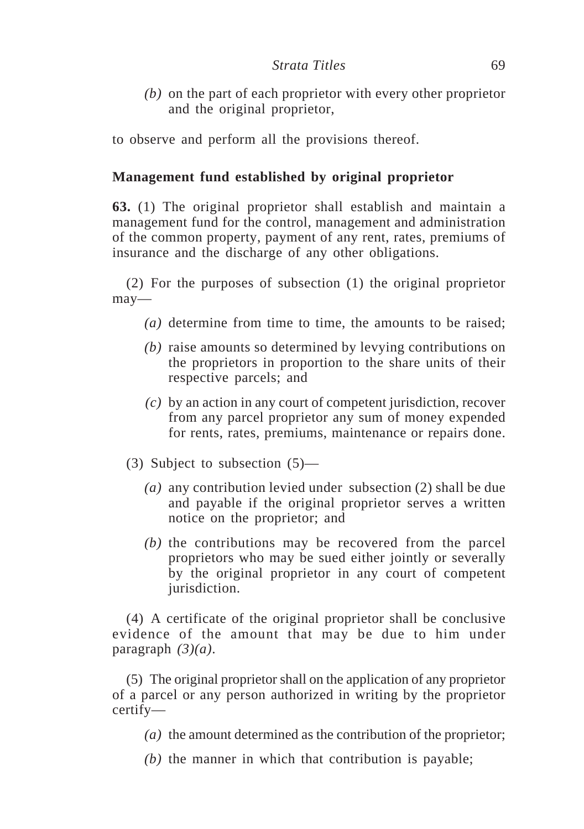*(b)* on the part of each proprietor with every other proprietor and the original proprietor,

to observe and perform all the provisions thereof.

# **Management fund established by original proprietor**

**63.** (1) The original proprietor shall establish and maintain a management fund for the control, management and administration of the common property, payment of any rent, rates, premiums of insurance and the discharge of any other obligations.

(2) For the purposes of subsection (1) the original proprietor may—

- *(a)* determine from time to time, the amounts to be raised;
- *(b)* raise amounts so determined by levying contributions on the proprietors in proportion to the share units of their respective parcels; and
- *(c)* by an action in any court of competent jurisdiction, recover from any parcel proprietor any sum of money expended for rents, rates, premiums, maintenance or repairs done.
- (3) Subject to subsection (5)—
	- *(a)* any contribution levied under subsection (2) shall be due and payable if the original proprietor serves a written notice on the proprietor; and
	- *(b)* the contributions may be recovered from the parcel proprietors who may be sued either jointly or severally by the original proprietor in any court of competent jurisdiction.

(4) A certificate of the original proprietor shall be conclusive evidence of the amount that may be due to him under paragraph *(3)(a)*.

(5) The original proprietor shall on the application of any proprietor of a parcel or any person authorized in writing by the proprietor certify—

*(a)* the amount determined as the contribution of the proprietor;

*(b)* the manner in which that contribution is payable;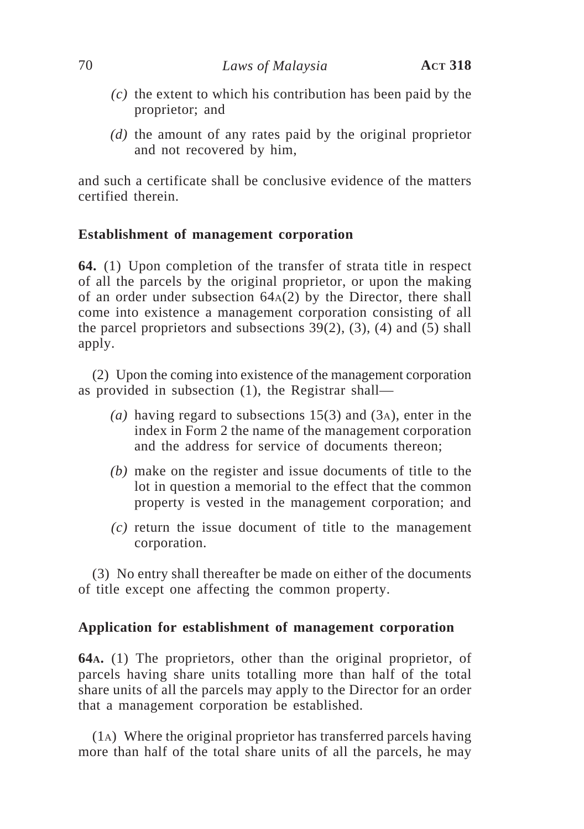- *(c)* the extent to which his contribution has been paid by the proprietor; and
- *(d)* the amount of any rates paid by the original proprietor and not recovered by him,

and such a certificate shall be conclusive evidence of the matters certified therein.

### **Establishment of management corporation**

**64.** (1) Upon completion of the transfer of strata title in respect of all the parcels by the original proprietor, or upon the making of an order under subsection 64A(2) by the Director, there shall come into existence a management corporation consisting of all the parcel proprietors and subsections  $39(2)$ , (3), (4) and (5) shall apply.

(2) Upon the coming into existence of the management corporation as provided in subsection (1), the Registrar shall—

- *(a)* having regard to subsections 15(3) and (3A), enter in the index in Form 2 the name of the management corporation and the address for service of documents thereon;
- *(b)* make on the register and issue documents of title to the lot in question a memorial to the effect that the common property is vested in the management corporation; and
- *(c)* return the issue document of title to the management corporation.

(3) No entry shall thereafter be made on either of the documents of title except one affecting the common property.

#### **Application for establishment of management corporation**

**64A.** (1) The proprietors, other than the original proprietor, of parcels having share units totalling more than half of the total share units of all the parcels may apply to the Director for an order that a management corporation be established.

(1A) Where the original proprietor has transferred parcels having more than half of the total share units of all the parcels, he may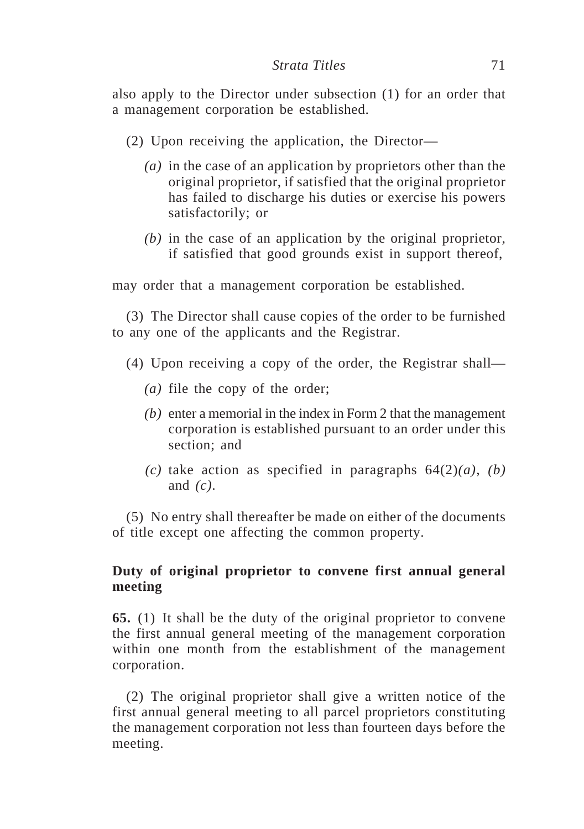also apply to the Director under subsection (1) for an order that a management corporation be established.

- (2) Upon receiving the application, the Director—
	- *(a)* in the case of an application by proprietors other than the original proprietor, if satisfied that the original proprietor has failed to discharge his duties or exercise his powers satisfactorily; or
	- *(b)* in the case of an application by the original proprietor, if satisfied that good grounds exist in support thereof,

may order that a management corporation be established.

(3) The Director shall cause copies of the order to be furnished to any one of the applicants and the Registrar.

- (4) Upon receiving a copy of the order, the Registrar shall—
	- *(a)* file the copy of the order;
	- *(b)* enter a memorial in the index in Form 2 that the management corporation is established pursuant to an order under this section; and
	- *(c)* take action as specified in paragraphs 64(2)*(a)*, *(b)* and *(c)*.

(5) No entry shall thereafter be made on either of the documents of title except one affecting the common property.

## **Duty of original proprietor to convene first annual general meeting**

**65.** (1) It shall be the duty of the original proprietor to convene the first annual general meeting of the management corporation within one month from the establishment of the management corporation.

(2) The original proprietor shall give a written notice of the first annual general meeting to all parcel proprietors constituting the management corporation not less than fourteen days before the meeting.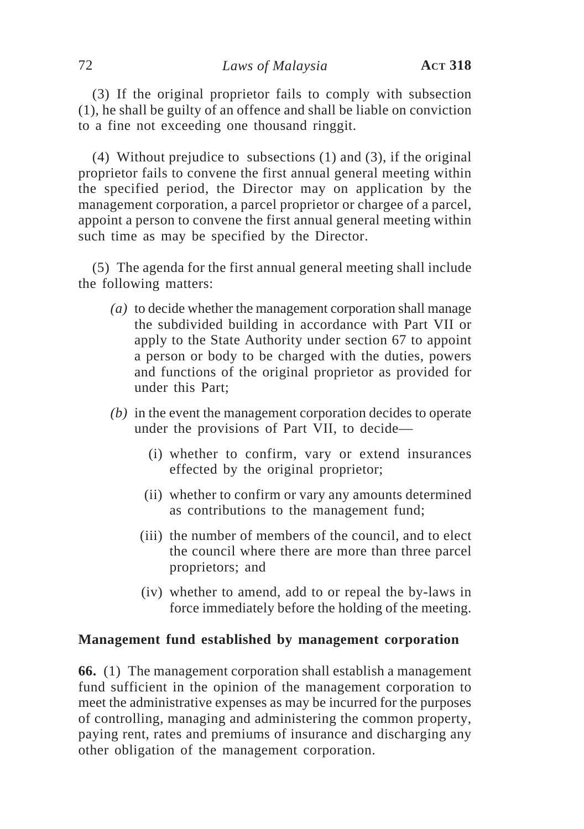(3) If the original proprietor fails to comply with subsection (1), he shall be guilty of an offence and shall be liable on conviction to a fine not exceeding one thousand ringgit.

(4) Without prejudice to subsections (1) and (3), if the original proprietor fails to convene the first annual general meeting within the specified period, the Director may on application by the management corporation, a parcel proprietor or chargee of a parcel, appoint a person to convene the first annual general meeting within such time as may be specified by the Director.

(5) The agenda for the first annual general meeting shall include the following matters:

- *(a)* to decide whether the management corporation shall manage the subdivided building in accordance with Part VII or apply to the State Authority under section 67 to appoint a person or body to be charged with the duties, powers and functions of the original proprietor as provided for under this Part;
- *(b)* in the event the management corporation decides to operate under the provisions of Part VII, to decide—
	- (i) whether to confirm, vary or extend insurances effected by the original proprietor;
	- (ii) whether to confirm or vary any amounts determined as contributions to the management fund;
	- (iii) the number of members of the council, and to elect the council where there are more than three parcel proprietors; and
	- (iv) whether to amend, add to or repeal the by-laws in force immediately before the holding of the meeting.

# **Management fund established by management corporation**

**66.** (1) The management corporation shall establish a management fund sufficient in the opinion of the management corporation to meet the administrative expenses as may be incurred for the purposes of controlling, managing and administering the common property, paying rent, rates and premiums of insurance and discharging any other obligation of the management corporation.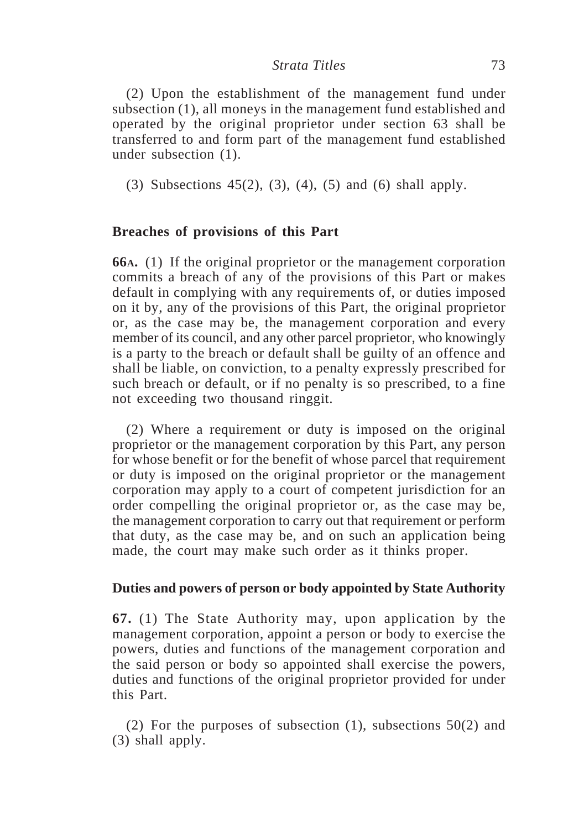(2) Upon the establishment of the management fund under subsection (1), all moneys in the management fund established and operated by the original proprietor under section 63 shall be transferred to and form part of the management fund established under subsection (1).

(3) Subsections 45(2), (3), (4), (5) and (6) shall apply.

# **Breaches of provisions of this Part**

**66A.** (1) If the original proprietor or the management corporation commits a breach of any of the provisions of this Part or makes default in complying with any requirements of, or duties imposed on it by, any of the provisions of this Part, the original proprietor or, as the case may be, the management corporation and every member of its council, and any other parcel proprietor, who knowingly is a party to the breach or default shall be guilty of an offence and shall be liable, on conviction, to a penalty expressly prescribed for such breach or default, or if no penalty is so prescribed, to a fine not exceeding two thousand ringgit.

(2) Where a requirement or duty is imposed on the original proprietor or the management corporation by this Part, any person for whose benefit or for the benefit of whose parcel that requirement or duty is imposed on the original proprietor or the management corporation may apply to a court of competent jurisdiction for an order compelling the original proprietor or, as the case may be, the management corporation to carry out that requirement or perform that duty, as the case may be, and on such an application being made, the court may make such order as it thinks proper.

# **Duties and powers of person or body appointed by State Authority**

**67.** (1) The State Authority may, upon application by the management corporation, appoint a person or body to exercise the powers, duties and functions of the management corporation and the said person or body so appointed shall exercise the powers, duties and functions of the original proprietor provided for under this Part.

(2) For the purposes of subsection (1), subsections  $50(2)$  and (3) shall apply.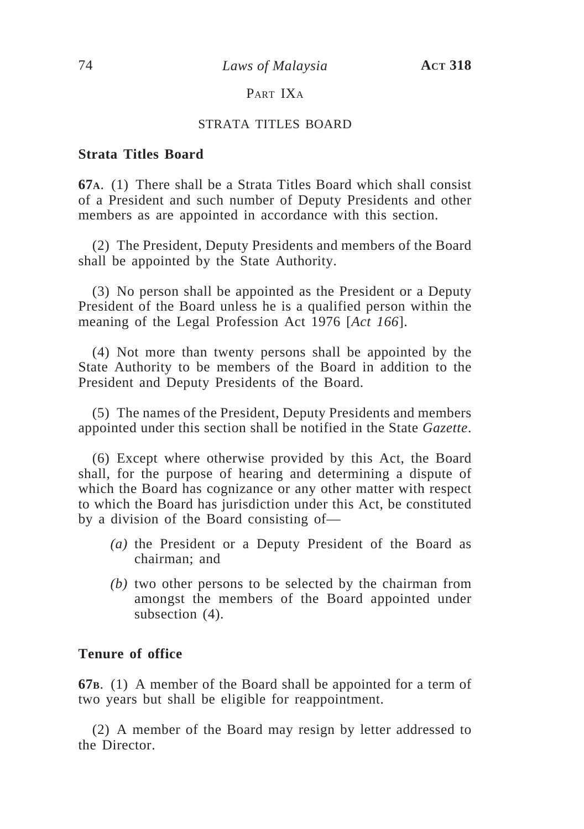# PART IXA

## STRATA TITLES BOARD

## **Strata Titles Board**

**67A**. (1) There shall be a Strata Titles Board which shall consist of a President and such number of Deputy Presidents and other members as are appointed in accordance with this section.

(2) The President, Deputy Presidents and members of the Board shall be appointed by the State Authority.

(3) No person shall be appointed as the President or a Deputy President of the Board unless he is a qualified person within the meaning of the Legal Profession Act 1976 [*Act 166*].

(4) Not more than twenty persons shall be appointed by the State Authority to be members of the Board in addition to the President and Deputy Presidents of the Board.

(5) The names of the President, Deputy Presidents and members appointed under this section shall be notified in the State *Gazette*.

(6) Except where otherwise provided by this Act, the Board shall, for the purpose of hearing and determining a dispute of which the Board has cognizance or any other matter with respect to which the Board has jurisdiction under this Act, be constituted by a division of the Board consisting of—

- *(a)* the President or a Deputy President of the Board as chairman; and
- *(b)* two other persons to be selected by the chairman from amongst the members of the Board appointed under subsection  $(4)$ .

## **Tenure of office**

**67B**. (1) A member of the Board shall be appointed for a term of two years but shall be eligible for reappointment.

(2) A member of the Board may resign by letter addressed to the Director.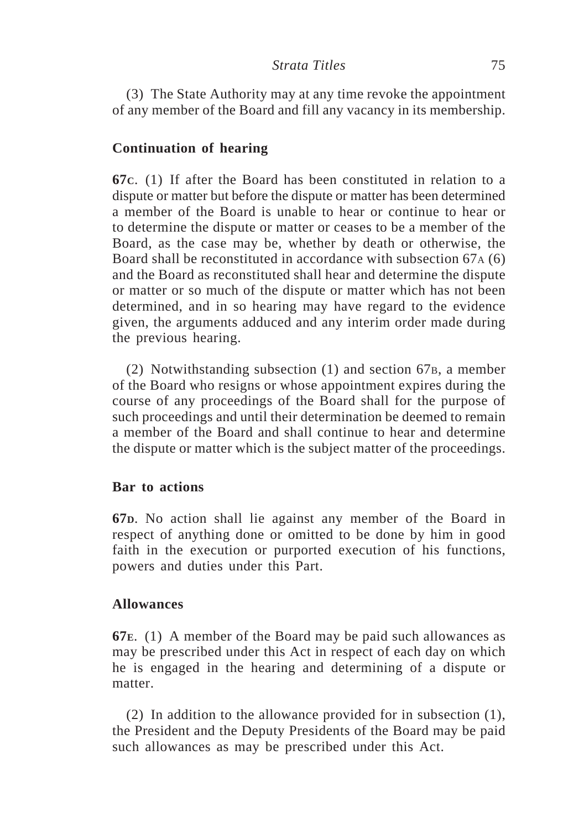(3) The State Authority may at any time revoke the appointment of any member of the Board and fill any vacancy in its membership.

# **Continuation of hearing**

**67C**. (1) If after the Board has been constituted in relation to a dispute or matter but before the dispute or matter has been determined a member of the Board is unable to hear or continue to hear or to determine the dispute or matter or ceases to be a member of the Board, as the case may be, whether by death or otherwise, the Board shall be reconstituted in accordance with subsection 67A (6) and the Board as reconstituted shall hear and determine the dispute or matter or so much of the dispute or matter which has not been determined, and in so hearing may have regard to the evidence given, the arguments adduced and any interim order made during the previous hearing.

(2) Notwithstanding subsection (1) and section 67B, a member of the Board who resigns or whose appointment expires during the course of any proceedings of the Board shall for the purpose of such proceedings and until their determination be deemed to remain a member of the Board and shall continue to hear and determine the dispute or matter which is the subject matter of the proceedings.

## **Bar to actions**

**67D**. No action shall lie against any member of the Board in respect of anything done or omitted to be done by him in good faith in the execution or purported execution of his functions, powers and duties under this Part.

# **Allowances**

**67E**. (1) A member of the Board may be paid such allowances as may be prescribed under this Act in respect of each day on which he is engaged in the hearing and determining of a dispute or matter.

(2) In addition to the allowance provided for in subsection (1), the President and the Deputy Presidents of the Board may be paid such allowances as may be prescribed under this Act.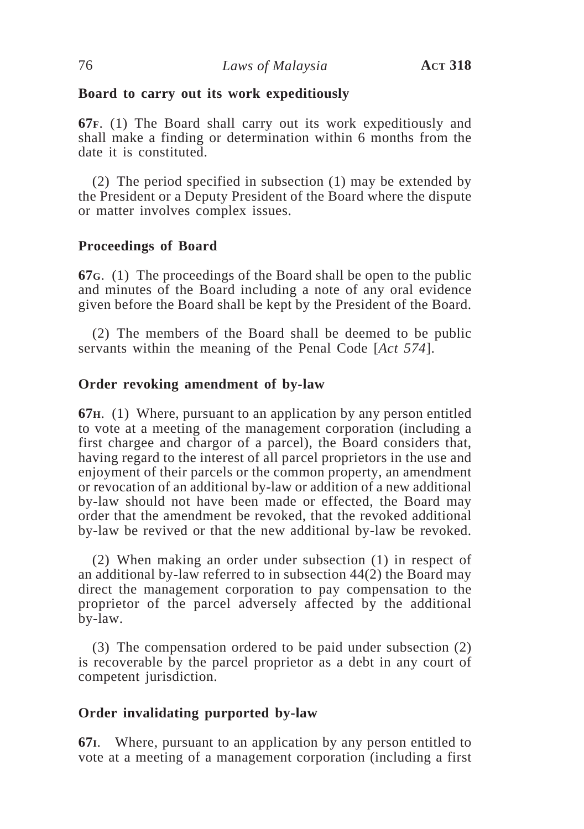## **Board to carry out its work expeditiously**

**67F**. (1) The Board shall carry out its work expeditiously and shall make a finding or determination within 6 months from the date it is constituted.

(2) The period specified in subsection (1) may be extended by the President or a Deputy President of the Board where the dispute or matter involves complex issues.

# **Proceedings of Board**

**67G**. (1) The proceedings of the Board shall be open to the public and minutes of the Board including a note of any oral evidence given before the Board shall be kept by the President of the Board.

(2) The members of the Board shall be deemed to be public servants within the meaning of the Penal Code [*Act 574*].

# **Order revoking amendment of by-law**

**67H**. (1) Where, pursuant to an application by any person entitled to vote at a meeting of the management corporation (including a first chargee and chargor of a parcel), the Board considers that, having regard to the interest of all parcel proprietors in the use and enjoyment of their parcels or the common property, an amendment or revocation of an additional by-law or addition of a new additional by-law should not have been made or effected, the Board may order that the amendment be revoked, that the revoked additional by-law be revived or that the new additional by-law be revoked.

(2) When making an order under subsection (1) in respect of an additional by-law referred to in subsection 44(2) the Board may direct the management corporation to pay compensation to the proprietor of the parcel adversely affected by the additional by-law.

(3) The compensation ordered to be paid under subsection (2) is recoverable by the parcel proprietor as a debt in any court of competent jurisdiction.

# **Order invalidating purported by-law**

**67I**. Where, pursuant to an application by any person entitled to vote at a meeting of a management corporation (including a first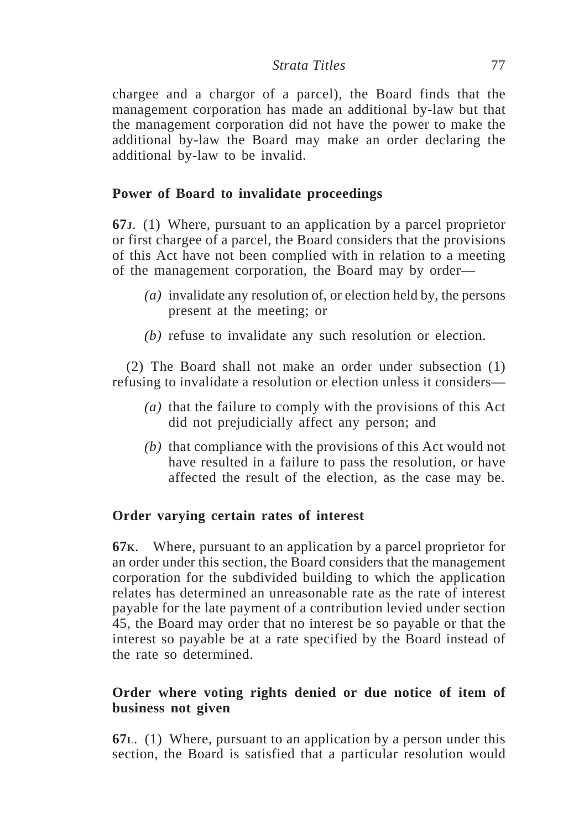chargee and a chargor of a parcel), the Board finds that the management corporation has made an additional by-law but that the management corporation did not have the power to make the additional by-law the Board may make an order declaring the additional by-law to be invalid.

# **Power of Board to invalidate proceedings**

**67J**. (1) Where, pursuant to an application by a parcel proprietor or first chargee of a parcel, the Board considers that the provisions of this Act have not been complied with in relation to a meeting of the management corporation, the Board may by order—

- *(a)* invalidate any resolution of, or election held by, the persons present at the meeting; or
- *(b)* refuse to invalidate any such resolution or election.

(2) The Board shall not make an order under subsection (1) refusing to invalidate a resolution or election unless it considers—

- *(a)* that the failure to comply with the provisions of this Act did not prejudicially affect any person; and
- *(b)* that compliance with the provisions of this Act would not have resulted in a failure to pass the resolution, or have affected the result of the election, as the case may be.

# **Order varying certain rates of interest**

**67K**. Where, pursuant to an application by a parcel proprietor for an order under this section, the Board considers that the management corporation for the subdivided building to which the application relates has determined an unreasonable rate as the rate of interest payable for the late payment of a contribution levied under section 45, the Board may order that no interest be so payable or that the interest so payable be at a rate specified by the Board instead of the rate so determined.

# **Order where voting rights denied or due notice of item of business not given**

**67L**. (1) Where, pursuant to an application by a person under this section, the Board is satisfied that a particular resolution would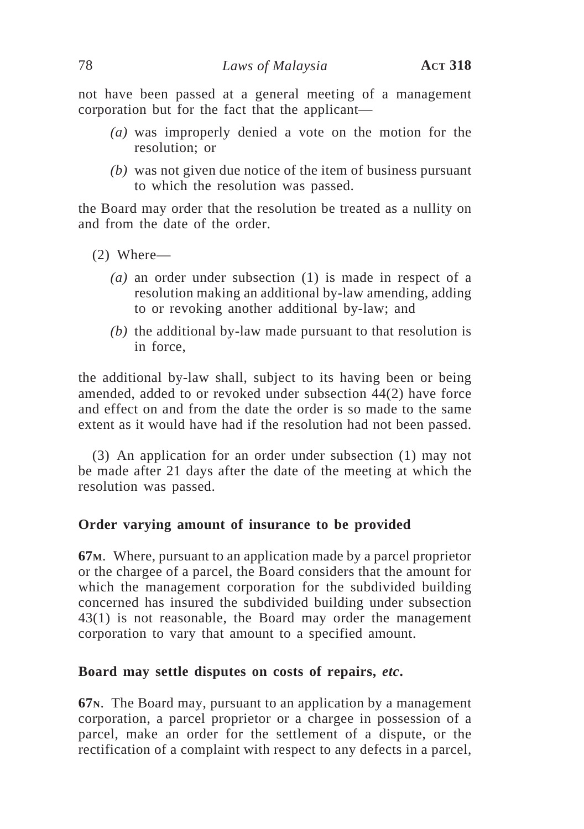not have been passed at a general meeting of a management corporation but for the fact that the applicant—

- *(a)* was improperly denied a vote on the motion for the resolution; or
- *(b)* was not given due notice of the item of business pursuant to which the resolution was passed.

the Board may order that the resolution be treated as a nullity on and from the date of the order.

- (2) Where—
	- *(a)* an order under subsection (1) is made in respect of a resolution making an additional by-law amending, adding to or revoking another additional by-law; and
	- *(b)* the additional by-law made pursuant to that resolution is in force,

the additional by-law shall, subject to its having been or being amended, added to or revoked under subsection 44(2) have force and effect on and from the date the order is so made to the same extent as it would have had if the resolution had not been passed.

(3) An application for an order under subsection (1) may not be made after 21 days after the date of the meeting at which the resolution was passed.

# **Order varying amount of insurance to be provided**

**67M**. Where, pursuant to an application made by a parcel proprietor or the chargee of a parcel, the Board considers that the amount for which the management corporation for the subdivided building concerned has insured the subdivided building under subsection 43(1) is not reasonable, the Board may order the management corporation to vary that amount to a specified amount.

# **Board may settle disputes on costs of repairs,** *etc***.**

**67N**. The Board may, pursuant to an application by a management corporation, a parcel proprietor or a chargee in possession of a parcel, make an order for the settlement of a dispute, or the rectification of a complaint with respect to any defects in a parcel,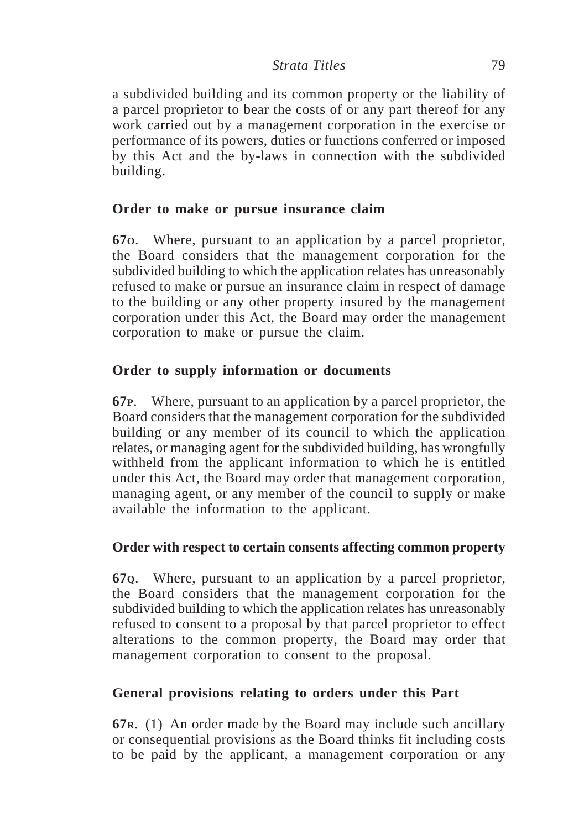a subdivided building and its common property or the liability of a parcel proprietor to bear the costs of or any part thereof for any work carried out by a management corporation in the exercise or performance of its powers, duties or functions conferred or imposed by this Act and the by-laws in connection with the subdivided building.

# **Order to make or pursue insurance claim**

**67O**. Where, pursuant to an application by a parcel proprietor, the Board considers that the management corporation for the subdivided building to which the application relates has unreasonably refused to make or pursue an insurance claim in respect of damage to the building or any other property insured by the management corporation under this Act, the Board may order the management corporation to make or pursue the claim.

# **Order to supply information or documents**

**67P**. Where, pursuant to an application by a parcel proprietor, the Board considers that the management corporation for the subdivided building or any member of its council to which the application relates, or managing agent for the subdivided building, has wrongfully withheld from the applicant information to which he is entitled under this Act, the Board may order that management corporation, managing agent, or any member of the council to supply or make available the information to the applicant.

# **Order with respect to certain consents affecting common property**

**67Q**. Where, pursuant to an application by a parcel proprietor, the Board considers that the management corporation for the subdivided building to which the application relates has unreasonably refused to consent to a proposal by that parcel proprietor to effect alterations to the common property, the Board may order that management corporation to consent to the proposal.

# **General provisions relating to orders under this Part**

**67R**. (1) An order made by the Board may include such ancillary or consequential provisions as the Board thinks fit including costs to be paid by the applicant, a management corporation or any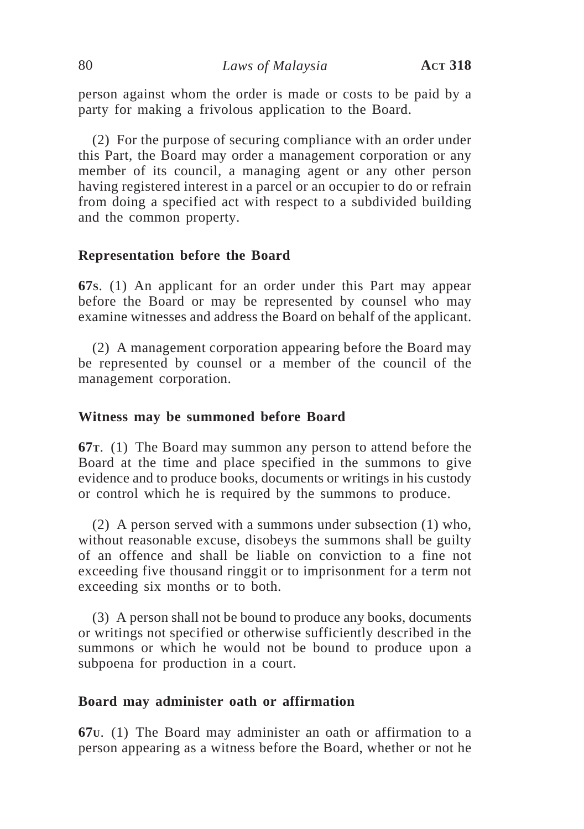person against whom the order is made or costs to be paid by a party for making a frivolous application to the Board.

(2) For the purpose of securing compliance with an order under this Part, the Board may order a management corporation or any member of its council, a managing agent or any other person having registered interest in a parcel or an occupier to do or refrain from doing a specified act with respect to a subdivided building and the common property.

## **Representation before the Board**

**67S**. (1) An applicant for an order under this Part may appear before the Board or may be represented by counsel who may examine witnesses and address the Board on behalf of the applicant.

(2) A management corporation appearing before the Board may be represented by counsel or a member of the council of the management corporation.

## **Witness may be summoned before Board**

**67T**. (1) The Board may summon any person to attend before the Board at the time and place specified in the summons to give evidence and to produce books, documents or writings in his custody or control which he is required by the summons to produce.

(2) A person served with a summons under subsection (1) who, without reasonable excuse, disobeys the summons shall be guilty of an offence and shall be liable on conviction to a fine not exceeding five thousand ringgit or to imprisonment for a term not exceeding six months or to both.

(3) A person shall not be bound to produce any books, documents or writings not specified or otherwise sufficiently described in the summons or which he would not be bound to produce upon a subpoena for production in a court.

## **Board may administer oath or affirmation**

**67U**. (1) The Board may administer an oath or affirmation to a person appearing as a witness before the Board, whether or not he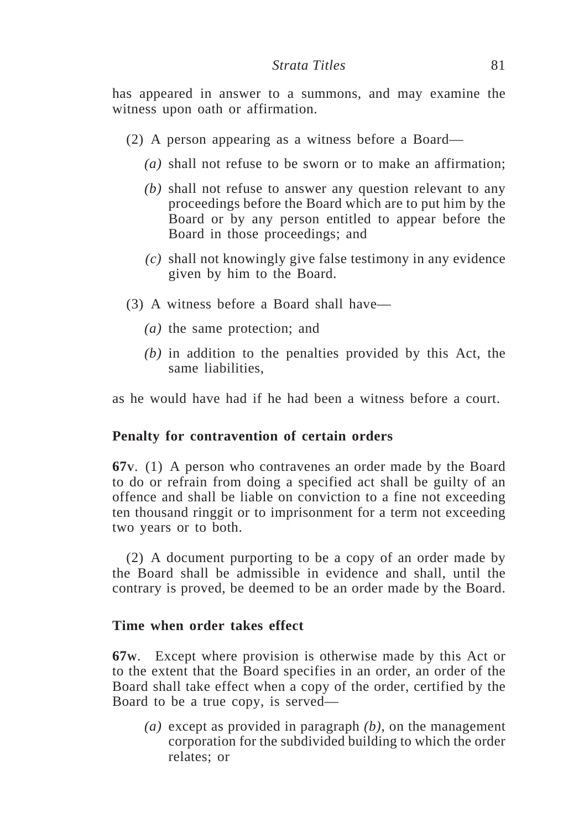has appeared in answer to a summons, and may examine the witness upon oath or affirmation.

- (2) A person appearing as a witness before a Board—
	- *(a)* shall not refuse to be sworn or to make an affirmation;
	- *(b)* shall not refuse to answer any question relevant to any proceedings before the Board which are to put him by the Board or by any person entitled to appear before the Board in those proceedings; and
	- *(c)* shall not knowingly give false testimony in any evidence given by him to the Board.
- (3) A witness before a Board shall have—
	- *(a)* the same protection; and
	- *(b)* in addition to the penalties provided by this Act, the same liabilities,

as he would have had if he had been a witness before a court.

## **Penalty for contravention of certain orders**

**67V**. (1) A person who contravenes an order made by the Board to do or refrain from doing a specified act shall be guilty of an offence and shall be liable on conviction to a fine not exceeding ten thousand ringgit or to imprisonment for a term not exceeding two years or to both.

(2) A document purporting to be a copy of an order made by the Board shall be admissible in evidence and shall, until the contrary is proved, be deemed to be an order made by the Board.

## **Time when order takes effect**

**67W**. Except where provision is otherwise made by this Act or to the extent that the Board specifies in an order, an order of the Board shall take effect when a copy of the order, certified by the Board to be a true copy, is served—

*(a)* except as provided in paragraph *(b)*, on the management corporation for the subdivided building to which the order relates; or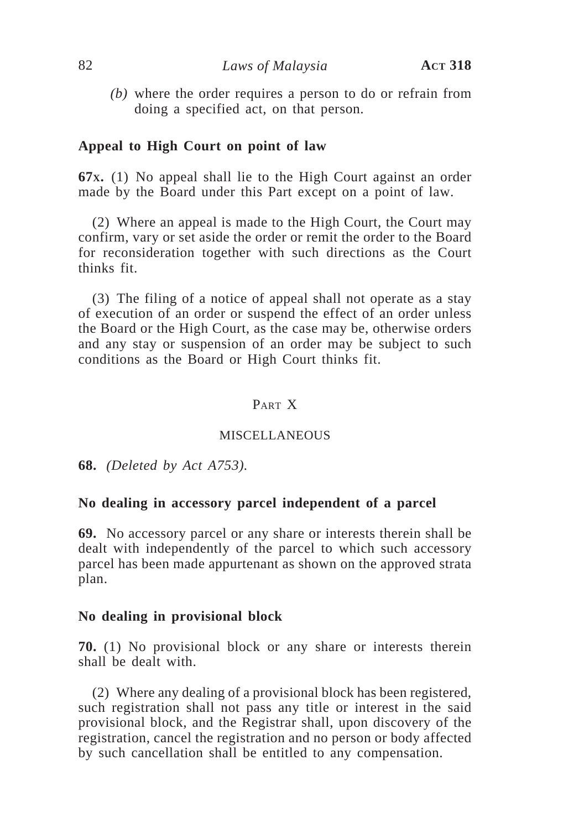*(b)* where the order requires a person to do or refrain from doing a specified act, on that person.

## **Appeal to High Court on point of law**

**67X.** (1) No appeal shall lie to the High Court against an order made by the Board under this Part except on a point of law.

(2) Where an appeal is made to the High Court, the Court may confirm, vary or set aside the order or remit the order to the Board for reconsideration together with such directions as the Court thinks fit.

(3) The filing of a notice of appeal shall not operate as a stay of execution of an order or suspend the effect of an order unless the Board or the High Court, as the case may be, otherwise orders and any stay or suspension of an order may be subject to such conditions as the Board or High Court thinks fit.

# PART X

#### MISCELLANEOUS

**68.** *(Deleted by Act A753).*

## **No dealing in accessory parcel independent of a parcel**

**69.** No accessory parcel or any share or interests therein shall be dealt with independently of the parcel to which such accessory parcel has been made appurtenant as shown on the approved strata plan.

#### **No dealing in provisional block**

**70.** (1) No provisional block or any share or interests therein shall be dealt with.

(2) Where any dealing of a provisional block has been registered, such registration shall not pass any title or interest in the said provisional block, and the Registrar shall, upon discovery of the registration, cancel the registration and no person or body affected by such cancellation shall be entitled to any compensation.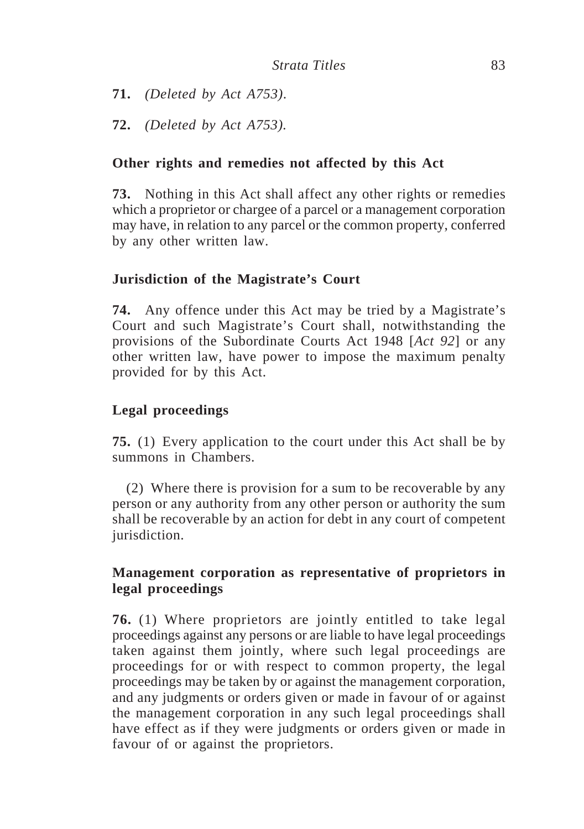**71.** *(Deleted by Act A753)*.

**72.** *(Deleted by Act A753).*

# **Other rights and remedies not affected by this Act**

**73.** Nothing in this Act shall affect any other rights or remedies which a proprietor or chargee of a parcel or a management corporation may have, in relation to any parcel or the common property, conferred by any other written law.

# **Jurisdiction of the Magistrate's Court**

**74.** Any offence under this Act may be tried by a Magistrate's Court and such Magistrate's Court shall, notwithstanding the provisions of the Subordinate Courts Act 1948 [*Act 92*] or any other written law, have power to impose the maximum penalty provided for by this Act.

# **Legal proceedings**

**75.** (1) Every application to the court under this Act shall be by summons in Chambers.

(2) Where there is provision for a sum to be recoverable by any person or any authority from any other person or authority the sum shall be recoverable by an action for debt in any court of competent jurisdiction.

# **Management corporation as representative of proprietors in legal proceedings**

**76.** (1) Where proprietors are jointly entitled to take legal proceedings against any persons or are liable to have legal proceedings taken against them jointly, where such legal proceedings are proceedings for or with respect to common property, the legal proceedings may be taken by or against the management corporation, and any judgments or orders given or made in favour of or against the management corporation in any such legal proceedings shall have effect as if they were judgments or orders given or made in favour of or against the proprietors.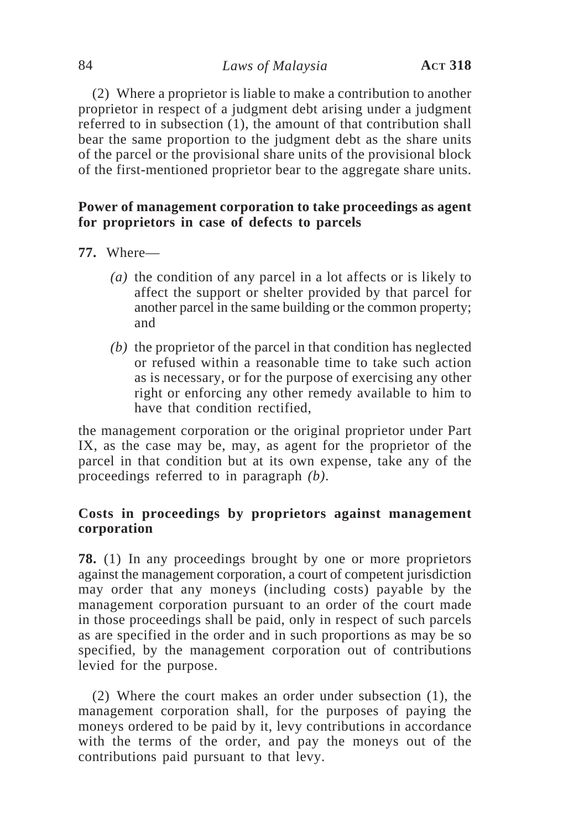(2) Where a proprietor is liable to make a contribution to another proprietor in respect of a judgment debt arising under a judgment referred to in subsection (1), the amount of that contribution shall bear the same proportion to the judgment debt as the share units of the parcel or the provisional share units of the provisional block of the first-mentioned proprietor bear to the aggregate share units.

# **Power of management corporation to take proceedings as agent for proprietors in case of defects to parcels**

- **77.** Where—
	- *(a)* the condition of any parcel in a lot affects or is likely to affect the support or shelter provided by that parcel for another parcel in the same building or the common property; and
	- *(b)* the proprietor of the parcel in that condition has neglected or refused within a reasonable time to take such action as is necessary, or for the purpose of exercising any other right or enforcing any other remedy available to him to have that condition rectified,

the management corporation or the original proprietor under Part IX, as the case may be, may, as agent for the proprietor of the parcel in that condition but at its own expense, take any of the proceedings referred to in paragraph *(b)*.

# **Costs in proceedings by proprietors against management corporation**

**78.** (1) In any proceedings brought by one or more proprietors against the management corporation, a court of competent jurisdiction may order that any moneys (including costs) payable by the management corporation pursuant to an order of the court made in those proceedings shall be paid, only in respect of such parcels as are specified in the order and in such proportions as may be so specified, by the management corporation out of contributions levied for the purpose.

(2) Where the court makes an order under subsection (1), the management corporation shall, for the purposes of paying the moneys ordered to be paid by it, levy contributions in accordance with the terms of the order, and pay the moneys out of the contributions paid pursuant to that levy.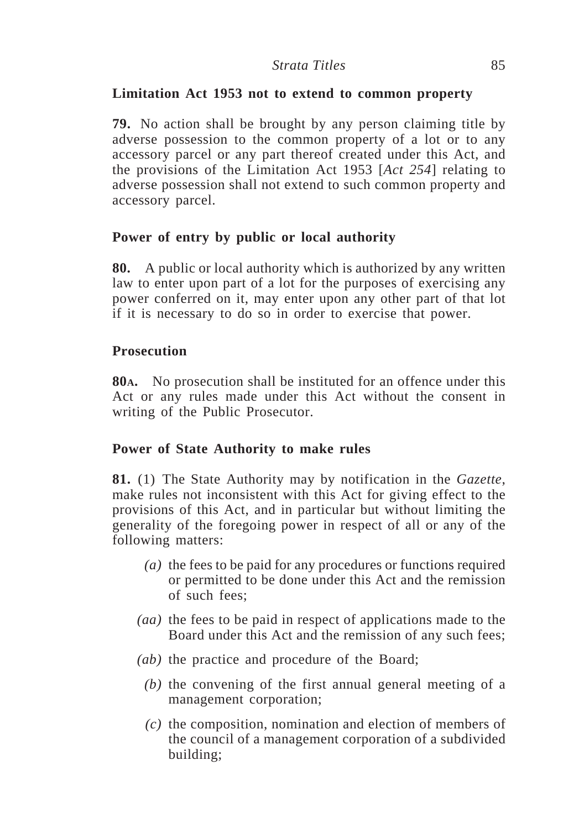# **Limitation Act 1953 not to extend to common property**

**79.** No action shall be brought by any person claiming title by adverse possession to the common property of a lot or to any accessory parcel or any part thereof created under this Act, and the provisions of the Limitation Act 1953 [*Act 254*] relating to adverse possession shall not extend to such common property and accessory parcel.

# **Power of entry by public or local authority**

**80.** A public or local authority which is authorized by any written law to enter upon part of a lot for the purposes of exercising any power conferred on it, may enter upon any other part of that lot if it is necessary to do so in order to exercise that power.

# **Prosecution**

**80A.** No prosecution shall be instituted for an offence under this Act or any rules made under this Act without the consent in writing of the Public Prosecutor.

# **Power of State Authority to make rules**

**81.** (1) The State Authority may by notification in the *Gazette*, make rules not inconsistent with this Act for giving effect to the provisions of this Act, and in particular but without limiting the generality of the foregoing power in respect of all or any of the following matters:

- *(a)* the fees to be paid for any procedures or functions required or permitted to be done under this Act and the remission of such fees;
- *(aa)* the fees to be paid in respect of applications made to the Board under this Act and the remission of any such fees;
- *(ab)* the practice and procedure of the Board;
	- *(b)* the convening of the first annual general meeting of a management corporation;
	- *(c)* the composition, nomination and election of members of the council of a management corporation of a subdivided building;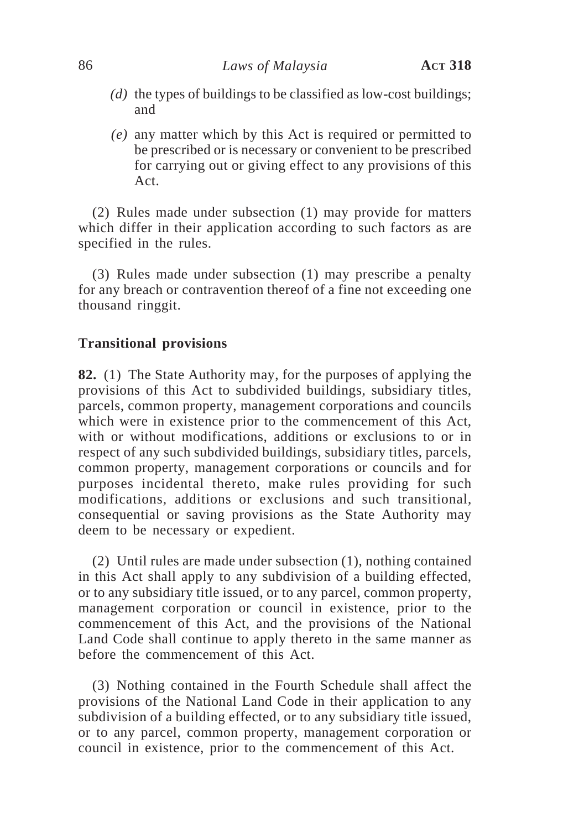- *(d)* the types of buildings to be classified as low-cost buildings; and
- *(e)* any matter which by this Act is required or permitted to be prescribed or is necessary or convenient to be prescribed for carrying out or giving effect to any provisions of this Act.

(2) Rules made under subsection (1) may provide for matters which differ in their application according to such factors as are specified in the rules.

(3) Rules made under subsection (1) may prescribe a penalty for any breach or contravention thereof of a fine not exceeding one thousand ringgit.

# **Transitional provisions**

**82.** (1) The State Authority may, for the purposes of applying the provisions of this Act to subdivided buildings, subsidiary titles, parcels, common property, management corporations and councils which were in existence prior to the commencement of this Act, with or without modifications, additions or exclusions to or in respect of any such subdivided buildings, subsidiary titles, parcels, common property, management corporations or councils and for purposes incidental thereto, make rules providing for such modifications, additions or exclusions and such transitional, consequential or saving provisions as the State Authority may deem to be necessary or expedient.

(2) Until rules are made under subsection (1), nothing contained in this Act shall apply to any subdivision of a building effected, or to any subsidiary title issued, or to any parcel, common property, management corporation or council in existence, prior to the commencement of this Act, and the provisions of the National Land Code shall continue to apply thereto in the same manner as before the commencement of this Act.

(3) Nothing contained in the Fourth Schedule shall affect the provisions of the National Land Code in their application to any subdivision of a building effected, or to any subsidiary title issued, or to any parcel, common property, management corporation or council in existence, prior to the commencement of this Act.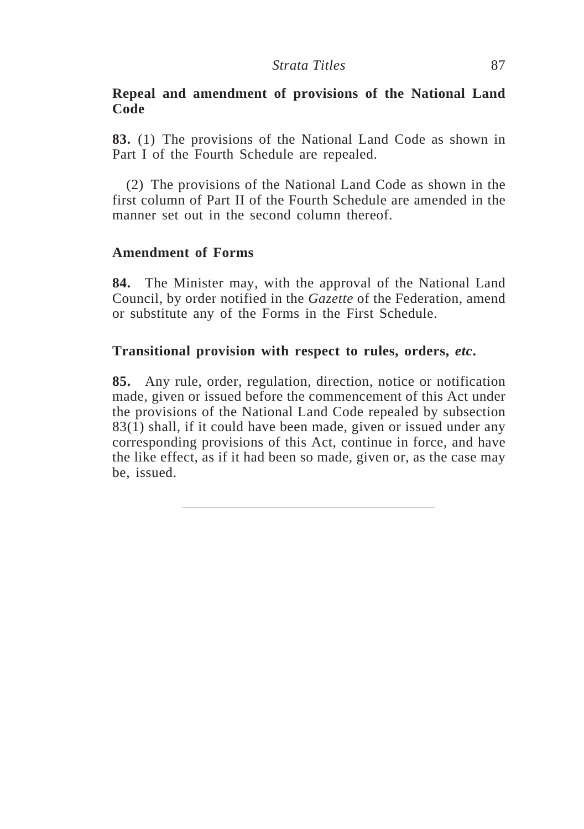# **Repeal and amendment of provisions of the National Land Code**

**83.** (1) The provisions of the National Land Code as shown in Part I of the Fourth Schedule are repealed.

(2) The provisions of the National Land Code as shown in the first column of Part II of the Fourth Schedule are amended in the manner set out in the second column thereof.

# **Amendment of Forms**

**84.** The Minister may, with the approval of the National Land Council, by order notified in the *Gazette* of the Federation, amend or substitute any of the Forms in the First Schedule.

# **Transitional provision with respect to rules, orders,** *etc***.**

**85.** Any rule, order, regulation, direction, notice or notification made, given or issued before the commencement of this Act under the provisions of the National Land Code repealed by subsection 83(1) shall, if it could have been made, given or issued under any corresponding provisions of this Act, continue in force, and have the like effect, as if it had been so made, given or, as the case may be, issued.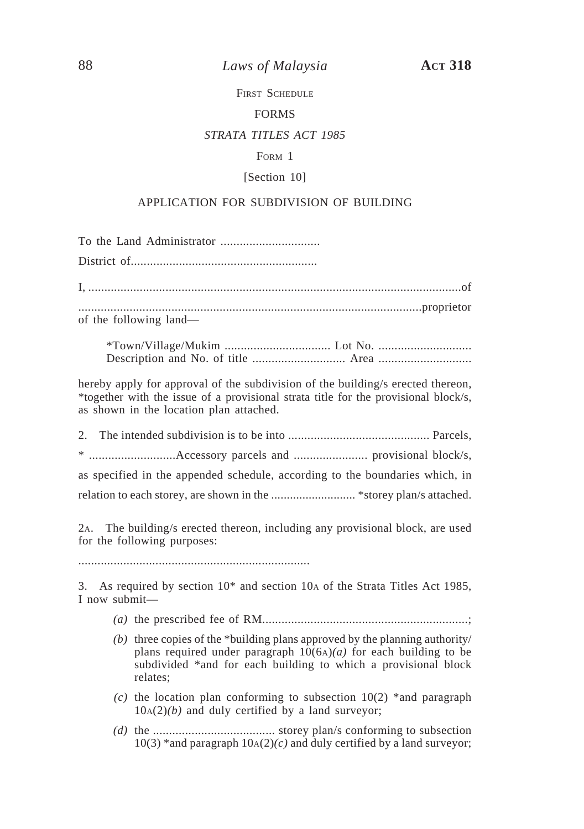88 *Laws of Malaysia* **ACT 318**

FIRST SCHEDULE

#### FORMS

### *STRATA TITLES ACT 1985*

## FORM 1

#### [Section 10]

## APPLICATION FOR SUBDIVISION OF BUILDING

To the Land Administrator ............................... District of.......................................................... I, ....................................................................................................................of ...........................................................................................................proprietor of the following land—

\*Town/Village/Mukim ................................. Lot No. ............................. Description and No. of title ............................. Area .............................

hereby apply for approval of the subdivision of the building/s erected thereon, \*together with the issue of a provisional strata title for the provisional block/s, as shown in the location plan attached.

| as specified in the appended schedule, according to the boundaries which, in |  |
|------------------------------------------------------------------------------|--|
|                                                                              |  |

2A. The building/s erected thereon, including any provisional block, are used for the following purposes:

........................................................................

3. As required by section 10\* and section 10A of the Strata Titles Act 1985, I now submit—

- *(a)* the prescribed fee of RM................................................................;
- *(b)* three copies of the \*building plans approved by the planning authority/ plans required under paragraph  $10(6A)(a)$  for each building to be subdivided \*and for each building to which a provisional block relates;
- *(c)* the location plan conforming to subsection 10(2) \*and paragraph  $10A(2)(b)$  and duly certified by a land surveyor;
- *(d)* the ...................................... storey plan/s conforming to subsection  $10(3)$  \*and paragraph  $10A(2)(c)$  and duly certified by a land surveyor;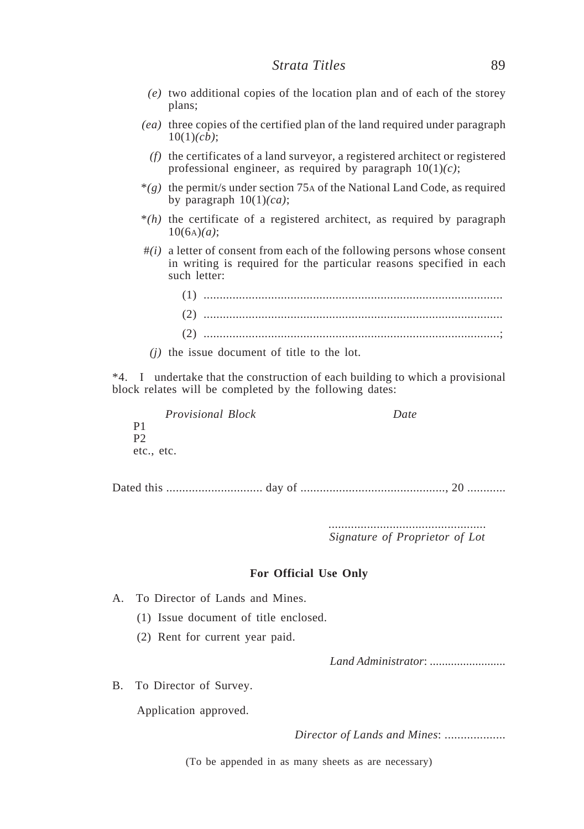- *(e)* two additional copies of the location plan and of each of the storey plans;
- *(ea)* three copies of the certified plan of the land required under paragraph 10(1)*(cb)*;
	- *(f)* the certificates of a land surveyor, a registered architect or registered professional engineer, as required by paragraph 10(1)*(c)*;
- \**(g)* the permit/s under section 75A of the National Land Code, as required by paragraph 10(1)*(ca)*;
- \**(h)* the certificate of a registered architect, as required by paragraph 10(6A)*(a)*;
- #*(i)* a letter of consent from each of the following persons whose consent in writing is required for the particular reasons specified in each such letter:

| (2) |  |
|-----|--|

*(j)* the issue document of title to the lot.

\*4. I undertake that the construction of each building to which a provisional block relates will be completed by the following dates:

*Provisional Block Date* P1 P2 etc., etc.

Dated this .............................. day of ............................................., 20 ............

................................................. *Signature of Proprietor of Lot*

#### **For Official Use Only**

A. To Director of Lands and Mines.

- (1) Issue document of title enclosed.
- (2) Rent for current year paid.

*Land Administrator*: .........................

B. To Director of Survey.

Application approved.

*Director of Lands and Mines*: ...................

(To be appended in as many sheets as are necessary)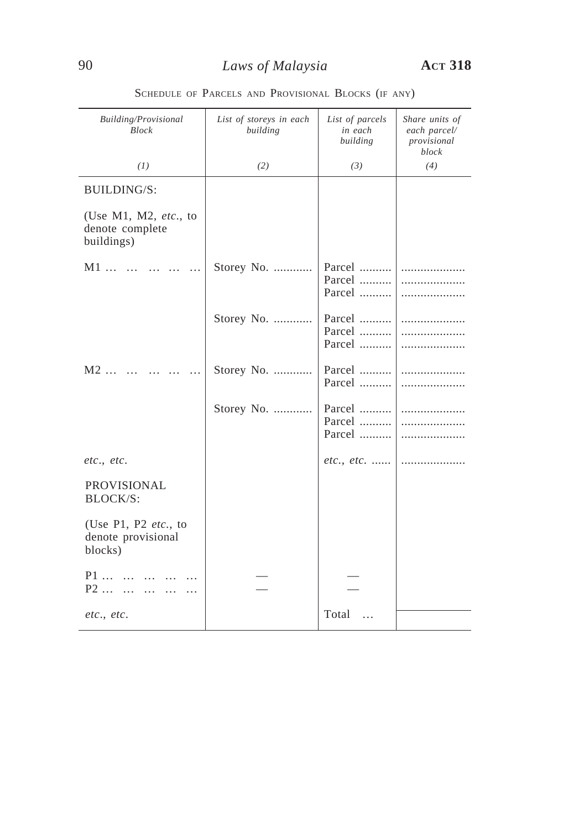| Building/Provisional<br><b>Block</b>                               | List of storeys in each<br>building | List of parcels<br>in each<br>building | Share units of<br>each parcel/<br>provisional<br>block |
|--------------------------------------------------------------------|-------------------------------------|----------------------------------------|--------------------------------------------------------|
| (1)                                                                | (2)                                 | (3)                                    | (4)                                                    |
| <b>BUILDING/S:</b>                                                 |                                     |                                        |                                                        |
| (Use M1, M2, $etc.,$ to<br>denote complete<br>buildings)           |                                     |                                        |                                                        |
| $M1$                                                               | Storey No.                          | Parcel<br>Parcel<br>Parcel             | .<br>.<br>.                                            |
|                                                                    | Storey No.                          | Parcel<br>Parcel<br>Parcel             | .<br>.<br>.                                            |
| $M2$<br>$\ddotsc$                                                  | Storey No.                          | Parcel<br>Parcel                       | .<br>.                                                 |
|                                                                    | Storey No.                          | Parcel<br>Parcel<br>Parcel             | .<br>.<br>.                                            |
| etc., etc.                                                         |                                     | $etc., etc.$                           | .                                                      |
| <b>PROVISIONAL</b><br><b>BLOCK/S:</b>                              |                                     |                                        |                                                        |
| (Use P1, P2 $etc.,$ to<br>denote provisional<br>blocks)            |                                     |                                        |                                                        |
| $P1$<br>$\mathbf{r}$<br>$P2$<br>$\ddotsc$<br>$\ddotsc$<br>$\cdots$ |                                     |                                        |                                                        |
| etc., etc.                                                         |                                     | Total<br>$\ddotsc$                     |                                                        |

SCHEDULE OF PARCELS AND PROVISIONAL BLOCKS (IF ANY)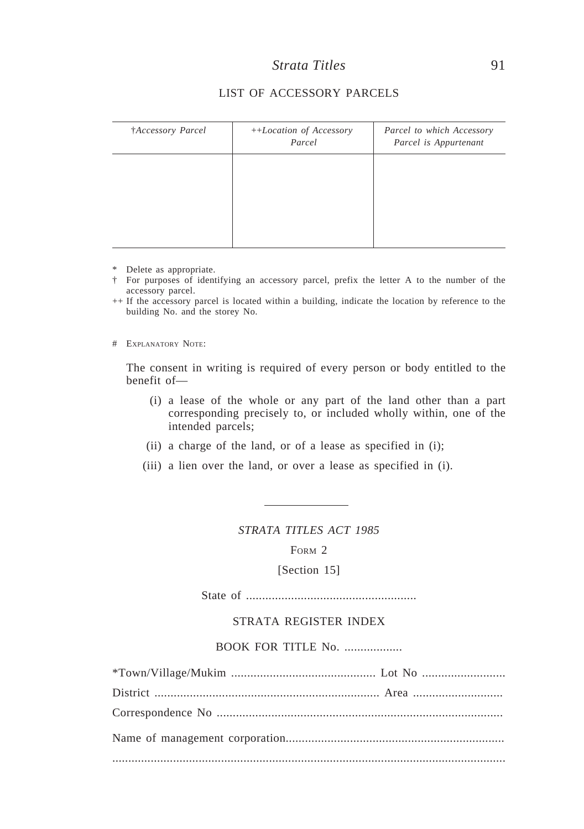| †Accessory Parcel | ++Location of Accessory<br>Parcel | Parcel to which Accessory<br>Parcel is Appurtenant |
|-------------------|-----------------------------------|----------------------------------------------------|
|                   |                                   |                                                    |
|                   |                                   |                                                    |
|                   |                                   |                                                    |

## LIST OF ACCESSORY PARCELS

\* Delete as appropriate.

† For purposes of identifying an accessory parcel, prefix the letter A to the number of the accessory parcel.

++ If the accessory parcel is located within a building, indicate the location by reference to the building No. and the storey No.

# EXPLANATORY NOTE:

The consent in writing is required of every person or body entitled to the benefit of—

- (i) a lease of the whole or any part of the land other than a part corresponding precisely to, or included wholly within, one of the intended parcels;
- (ii) a charge of the land, or of a lease as specified in (i);
- (iii) a lien over the land, or over a lease as specified in (i).

*STRATA TITLES ACT 1985*

FORM 2

[Section 15]

State of .....................................................

### STRATA REGISTER INDEX

### BOOK FOR TITLE No. ..................

\*Town/Village/Mukim ............................................. Lot No .......................... District ...................................................................... Area ............................ Correspondence No ......................................................................................... Name of management corporation.................................................................... ...........................................................................................................................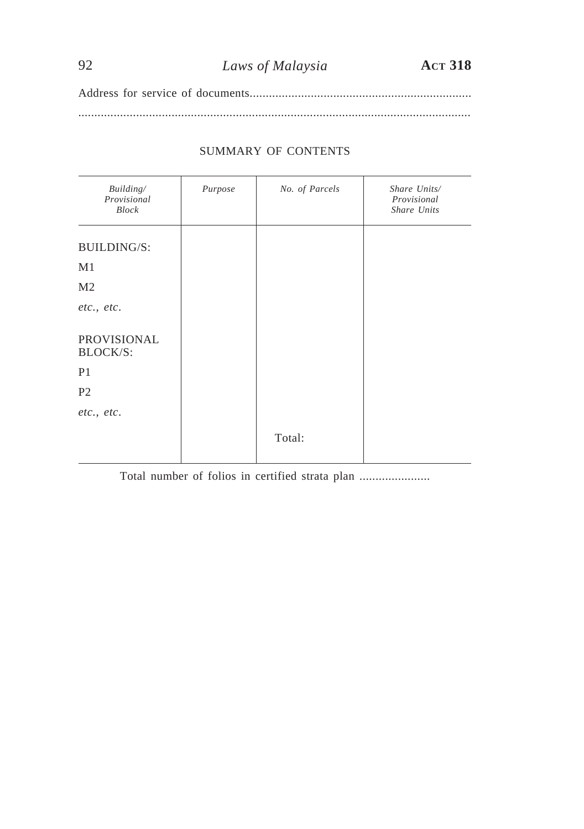Address for service of documents..................................................................... ..........................................................................................................................

## SUMMARY OF CONTENTS

| Building/<br>Provisional<br><b>Block</b> | Purpose | No. of Parcels | Share Units/<br>Provisional<br>Share Units |
|------------------------------------------|---------|----------------|--------------------------------------------|
| <b>BUILDING/S:</b>                       |         |                |                                            |
| M <sub>1</sub>                           |         |                |                                            |
| M <sub>2</sub>                           |         |                |                                            |
| etc., etc.                               |         |                |                                            |
| PROVISIONAL<br><b>BLOCK/S:</b>           |         |                |                                            |
| P <sub>1</sub>                           |         |                |                                            |
| P <sub>2</sub>                           |         |                |                                            |
| etc., etc.                               |         |                |                                            |
|                                          |         | Total:         |                                            |

Total number of folios in certified strata plan ......................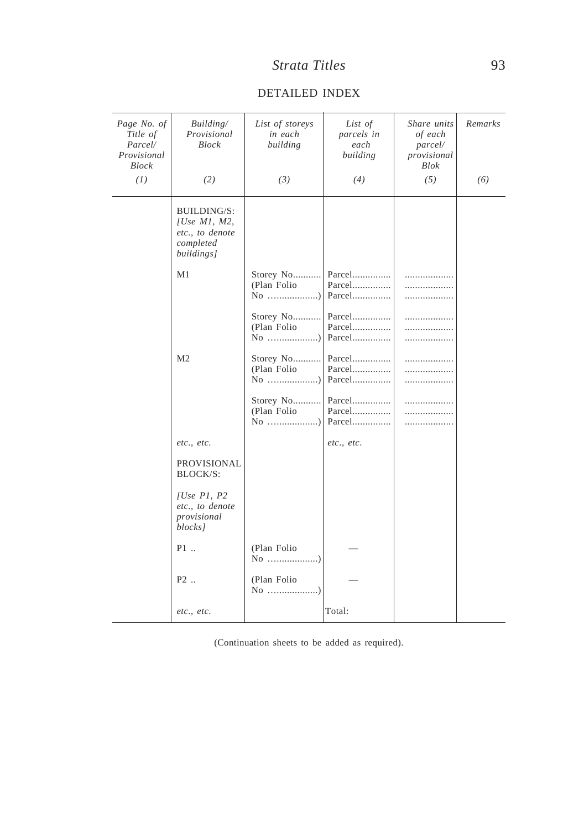| Page No. of<br>Title of<br>Parcel/<br>Provisional<br><b>Block</b> | Building/<br>Provisional<br><b>Block</b>                                        | List of storeys<br>in each<br>building | List of<br>parcels in<br>each<br>building | Share units<br>of each<br>parcel/<br>provisional<br><b>Blok</b> | Remarks |
|-------------------------------------------------------------------|---------------------------------------------------------------------------------|----------------------------------------|-------------------------------------------|-----------------------------------------------------------------|---------|
| (1)                                                               | (2)                                                                             | (3)                                    | (4)                                       | (5)                                                             | (6)     |
|                                                                   | BUILDING/S:<br>[Use $M1$ , $M2$ ,<br>etc., to denote<br>completed<br>buildings] |                                        |                                           |                                                                 |         |
|                                                                   | M1                                                                              | Storey No<br>(Plan Folio               | Parcel<br>Parcel<br>Parcel                | .<br>.                                                          |         |
|                                                                   |                                                                                 | Storey No<br>(Plan Folio               | Parcel<br>Parcel<br>Parcel                | .<br>.<br>.                                                     |         |
|                                                                   | M <sub>2</sub>                                                                  | Storey No<br>(Plan Folio               | Parcel<br>Parcel<br>Parcel                | .                                                               |         |
|                                                                   |                                                                                 | Storey No<br>(Plan Folio               | Parcel<br>Parcel<br>Parcel                | <br>.                                                           |         |
|                                                                   | etc., etc.                                                                      |                                        | etc., etc.                                |                                                                 |         |
|                                                                   | PROVISIONAL<br><b>BLOCK/S:</b>                                                  |                                        |                                           |                                                                 |         |
|                                                                   | $ Use\ P1\$ $P2$<br>etc., to denote<br>provisional<br>blocks]                   |                                        |                                           |                                                                 |         |
|                                                                   | P1                                                                              | (Plan Folio                            |                                           |                                                                 |         |
|                                                                   | P <sub>2</sub> .                                                                | (Plan Folio                            |                                           |                                                                 |         |
|                                                                   | etc., etc.                                                                      |                                        | Total:                                    |                                                                 |         |

### DETAILED INDEX

L.

(Continuation sheets to be added as required).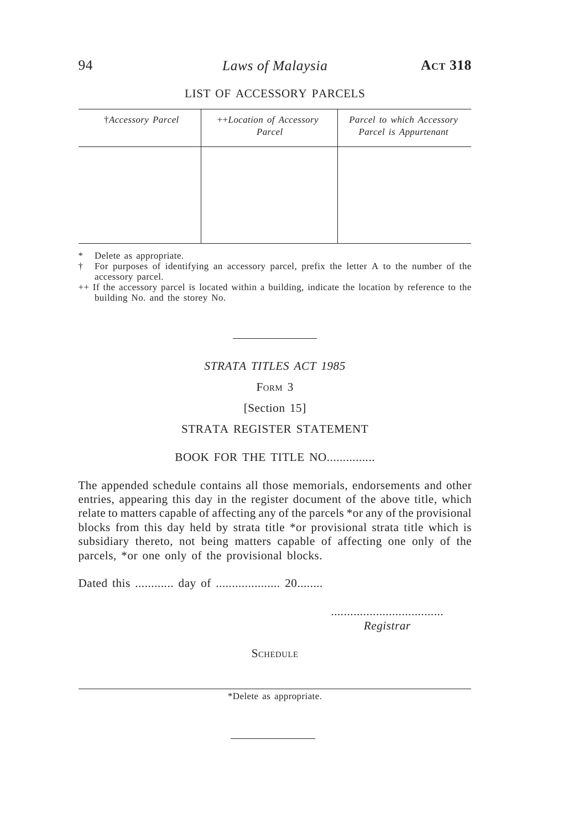### LIST OF ACCESSORY PARCELS

| †Accessory Parcel | ++Location of Accessory<br>Parcel | Parcel to which Accessory<br>Parcel is Appurtenant |
|-------------------|-----------------------------------|----------------------------------------------------|
|                   |                                   |                                                    |
|                   |                                   |                                                    |
|                   |                                   |                                                    |

\* Delete as appropriate.

† For purposes of identifying an accessory parcel, prefix the letter A to the number of the accessory parcel.

++ If the accessory parcel is located within a building, indicate the location by reference to the building No. and the storey No.

## *STRATA TITLES ACT 1985*

FORM 3

[Section 15]

#### STRATA REGISTER STATEMENT

### BOOK FOR THE TITLE NO...

The appended schedule contains all those memorials, endorsements and other entries, appearing this day in the register document of the above title, which relate to matters capable of affecting any of the parcels \*or any of the provisional blocks from this day held by strata title \*or provisional strata title which is subsidiary thereto, not being matters capable of affecting one only of the parcels, \*or one only of the provisional blocks.

Dated this ............ day of .................... 20........

................................... *Registrar*

**SCHEDULE** 

\*Delete as appropriate.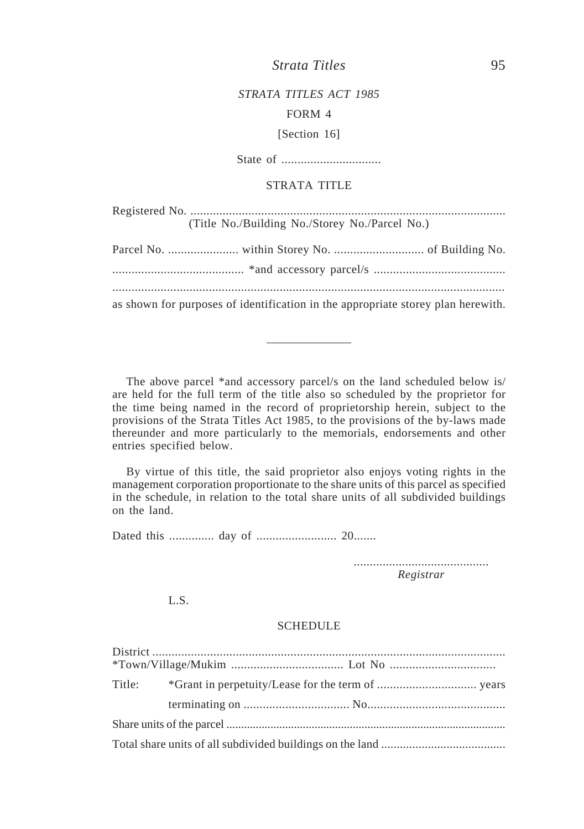# *STRATA TITLES ACT 1985* FORM 4

[Section 16]

State of ...............................

## STRATA TITLE

|                                                                                  | (Title No./Building No./Storey No./Parcel No.) |  |
|----------------------------------------------------------------------------------|------------------------------------------------|--|
|                                                                                  |                                                |  |
|                                                                                  |                                                |  |
| as shown for purposes of identification in the appropriate storey plan herewith. |                                                |  |

The above parcel \*and accessory parcel/s on the land scheduled below is/ are held for the full term of the title also so scheduled by the proprietor for the time being named in the record of proprietorship herein, subject to the provisions of the Strata Titles Act 1985, to the provisions of the by-laws made thereunder and more particularly to the memorials, endorsements and other entries specified below.

By virtue of this title, the said proprietor also enjoys voting rights in the management corporation proportionate to the share units of this parcel as specified in the schedule, in relation to the total share units of all subdivided buildings on the land.

Dated this .............. day of ......................... 20.......

.......................................... *Registrar*

L.S.

### **SCHEDULE**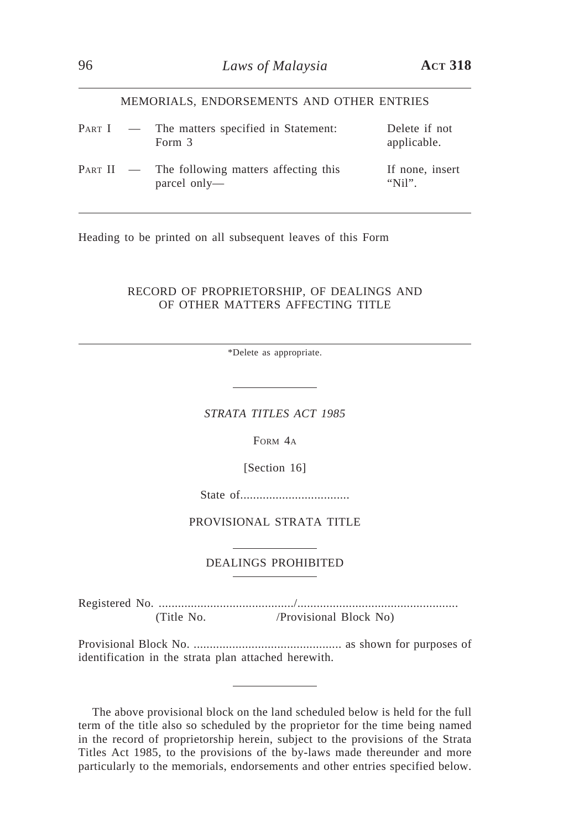#### MEMORIALS, ENDORSEMENTS AND OTHER ENTRIES

|  | PART I — The matters specified in Statement:<br>Form 3           | Delete if not<br>applicable. |
|--|------------------------------------------------------------------|------------------------------|
|  | $PART II$ — The following matters affecting this<br>parcel only— | If none, insert<br>" $Nii$ " |

Heading to be printed on all subsequent leaves of this Form

### RECORD OF PROPRIETORSHIP, OF DEALINGS AND OF OTHER MATTERS AFFECTING TITLE

\*Delete as appropriate.

*STRATA TITLES ACT 1985*

FORM 4A

[Section 16]

State of..................................

PROVISIONAL STRATA TITLE

### DEALINGS PROHIBITED

Registered No. ........................................../.................................................. (Title No. /Provisional Block No)

Provisional Block No. .............................................. as shown for purposes of identification in the strata plan attached herewith.

The above provisional block on the land scheduled below is held for the full term of the title also so scheduled by the proprietor for the time being named in the record of proprietorship herein, subject to the provisions of the Strata Titles Act 1985, to the provisions of the by-laws made thereunder and more particularly to the memorials, endorsements and other entries specified below.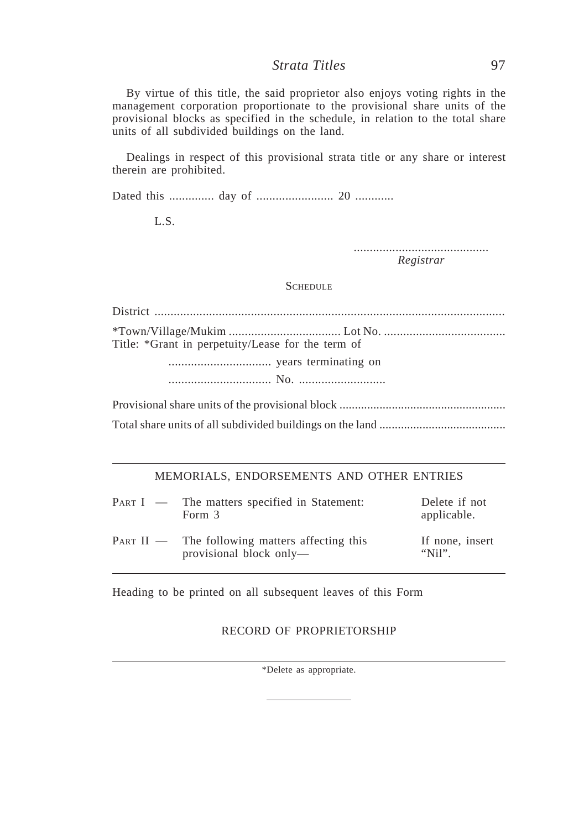By virtue of this title, the said proprietor also enjoys voting rights in the management corporation proportionate to the provisional share units of the provisional blocks as specified in the schedule, in relation to the total share units of all subdivided buildings on the land.

Dealings in respect of this provisional strata title or any share or interest therein are prohibited.

Dated this .............. day of ........................ 20 ............

L.S.

.......................................... *Registrar*

### **SCHEDULE**

District ............................................................................................................. \*Town/Village/Mukim ................................... Lot No. ...................................... Title: \*Grant in perpetuity/Lease for the term of ................................ years terminating on ................................ No. ...........................

Provisional share units of the provisional block ...................................................... Total share units of all subdivided buildings on the land .........................................

### MEMORIALS, ENDORSEMENTS AND OTHER ENTRIES

| PART I — The matters specified in Statement:<br>Form 3                      | Delete if not<br>applicable. |
|-----------------------------------------------------------------------------|------------------------------|
| $PART II$ — The following matters affecting this<br>provisional block only— | If none, insert<br>" $Nii$ " |

Heading to be printed on all subsequent leaves of this Form

### RECORD OF PROPRIETORSHIP

\*Delete as appropriate.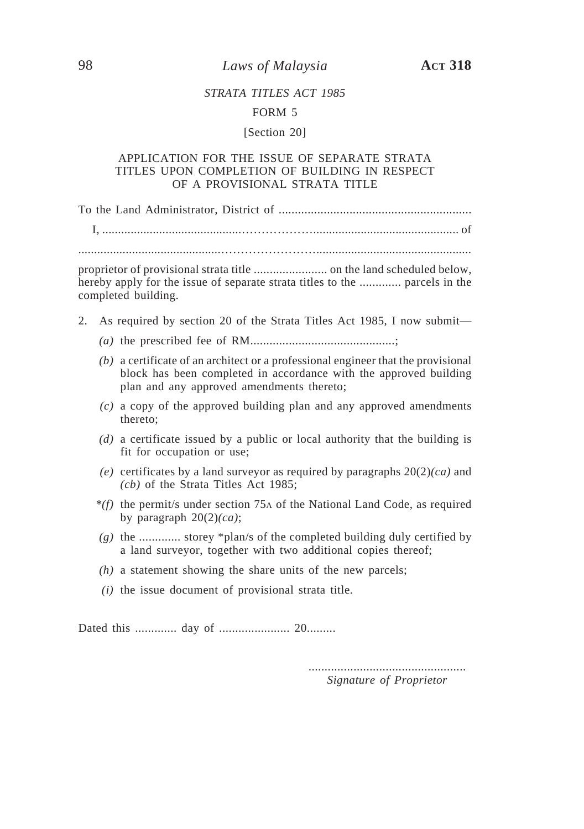98 *Laws of Malaysia* **ACT 318**

## *STRATA TITLES ACT 1985*

#### FORM 5

#### [Section 20]

### APPLICATION FOR THE ISSUE OF SEPARATE STRATA TITLES UPON COMPLETION OF BUILDING IN RESPECT OF A PROVISIONAL STRATA TITLE

To the Land Administrator, District of ............................................................

I, ............................................……………….............................................. of

.............................................…………………….................................................

proprietor of provisional strata title ....................... on the land scheduled below, hereby apply for the issue of separate strata titles to the ............. parcels in the completed building.

- 2. As required by section 20 of the Strata Titles Act 1985, I now submit—
	- *(a)* the prescribed fee of RM.............................................;
	- *(b)* a certificate of an architect or a professional engineer that the provisional block has been completed in accordance with the approved building plan and any approved amendments thereto;
	- *(c)* a copy of the approved building plan and any approved amendments thereto;
	- *(d)* a certificate issued by a public or local authority that the building is fit for occupation or use;
	- *(e)* certificates by a land surveyor as required by paragraphs 20(2)*(ca)* and *(cb)* of the Strata Titles Act 1985;
	- *\*(f)* the permit/s under section 75A of the National Land Code, as required by paragraph 20(2)*(ca)*;
	- *(g)* the ............. storey \*plan/s of the completed building duly certified by a land surveyor, together with two additional copies thereof;
	- *(h)* a statement showing the share units of the new parcels;
	- *(i)* the issue document of provisional strata title.

Dated this ............. day of ...................... 20.........

................................................. *Signature of Proprietor*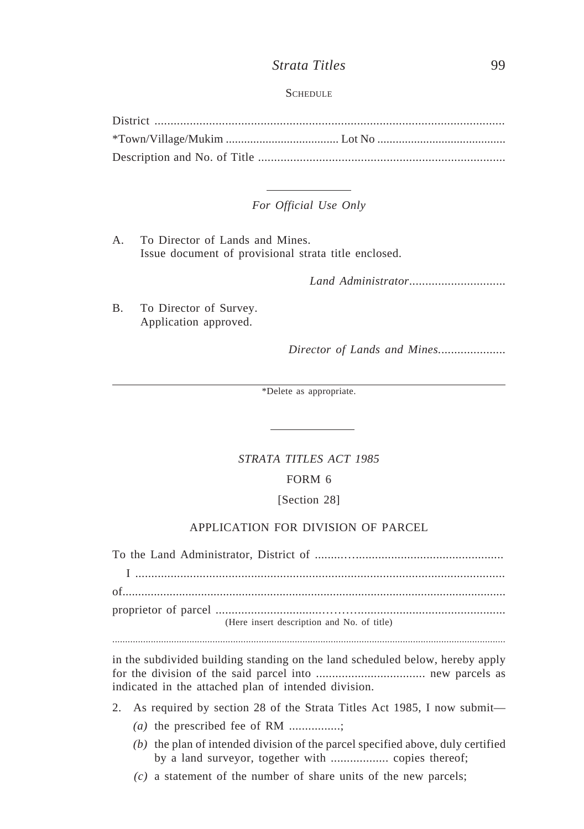### **SCHEDULE**

#### *For Official Use Only*

A. To Director of Lands and Mines. Issue document of provisional strata title enclosed.

*Land Administrator*..............................

B. To Director of Survey. Application approved.

*Director of Lands and Mines.*....................

\*Delete as appropriate.

#### *STRATA TITLES ACT 1985*

#### FORM 6

#### [Section 28]

## APPLICATION FOR DIVISION OF PARCEL

To the Land Administrator, District of .........….............................................. I ................................................................................................................... of.......................................................................................................................... proprietor of parcel .................................……….............................................. (Here insert description and No. of title)

.........................................................................................................................................................

in the subdivided building standing on the land scheduled below, hereby apply for the division of the said parcel into .................................. new parcels as indicated in the attached plan of intended division.

- 2. As required by section 28 of the Strata Titles Act 1985, I now submit—
	- *(a)* the prescribed fee of RM ................;
	- *(b)* the plan of intended division of the parcel specified above, duly certified by a land surveyor, together with .................. copies thereof;
	- *(c)* a statement of the number of share units of the new parcels;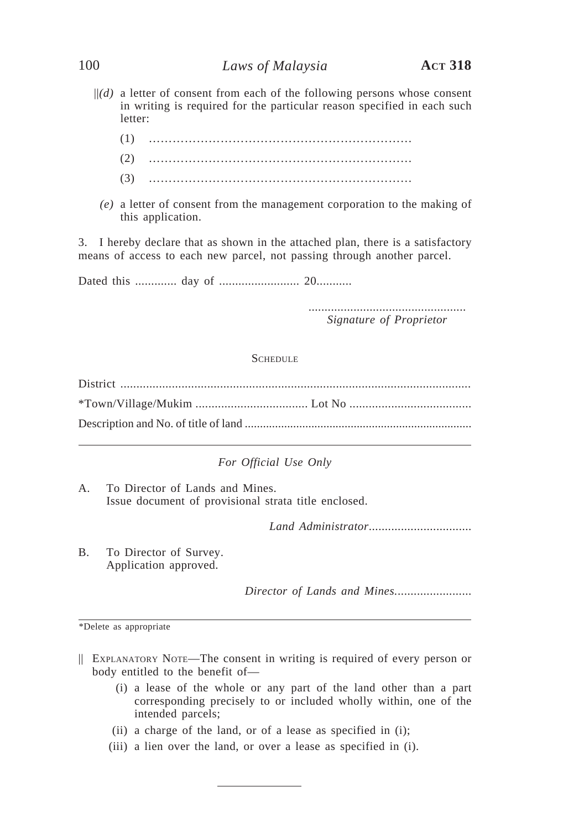## 100 *Laws of Malaysia* **ACT 318**

- $||(d)$  a letter of consent from each of the following persons whose consent in writing is required for the particular reason specified in each such letter:
	- (1) …………………………………………………………
	- (2) …………………………………………………………
	- (3) …………………………………………………………
	- *(e)* a letter of consent from the management corporation to the making of this application.

3. I hereby declare that as shown in the attached plan, there is a satisfactory means of access to each new parcel, not passing through another parcel.

Dated this ............. day of ......................... 20...........

................................................. *Signature of Proprietor*

**SCHEDULE** 

*For Official Use Only*

A. To Director of Lands and Mines. Issue document of provisional strata title enclosed.

*Land Administrator*................................

B. To Director of Survey. Application approved.

*Director of Lands and Mines.*.......................

\*Delete as appropriate

- || EXPLANATORY NOTE—The consent in writing is required of every person or body entitled to the benefit of—
	- (i) a lease of the whole or any part of the land other than a part corresponding precisely to or included wholly within, one of the intended parcels;
	- (ii) a charge of the land, or of a lease as specified in (i);
	- (iii) a lien over the land, or over a lease as specified in (i).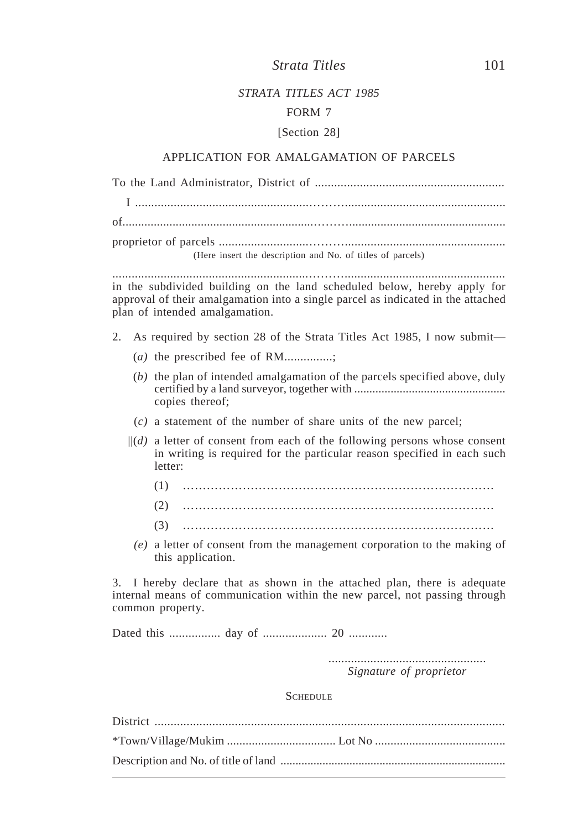### *STRATA TITLES ACT 1985*

### FORM 7

#### [Section 28]

#### APPLICATION FOR AMALGAMATION OF PARCELS

| (Here insert the description and No. of titles of parcels) |  |  |
|------------------------------------------------------------|--|--|

.............................................................……….................................................. in the subdivided building on the land scheduled below, hereby apply for approval of their amalgamation into a single parcel as indicated in the attached plan of intended amalgamation.

- 2. As required by section 28 of the Strata Titles Act 1985, I now submit—
	- (*a)* the prescribed fee of RM...............;
	- (*b)* the plan of intended amalgamation of the parcels specified above, duly certified by a land surveyor, together with .................................................. copies thereof;
	- (*c)* a statement of the number of share units of the new parcel;
	- $\|d\|$  a letter of consent from each of the following persons whose consent in writing is required for the particular reason specified in each such letter:
		- (1) …………………………………………………………………… (2) …………………………………………………………………… (3) ……………………………………………………………………
		- *(e)* a letter of consent from the management corporation to the making of this application.

3. I hereby declare that as shown in the attached plan, there is adequate internal means of communication within the new parcel, not passing through common property.

Dated this ................ day of .................... 20 ............

................................................. *Signature of proprietor*

**SCHEDULE**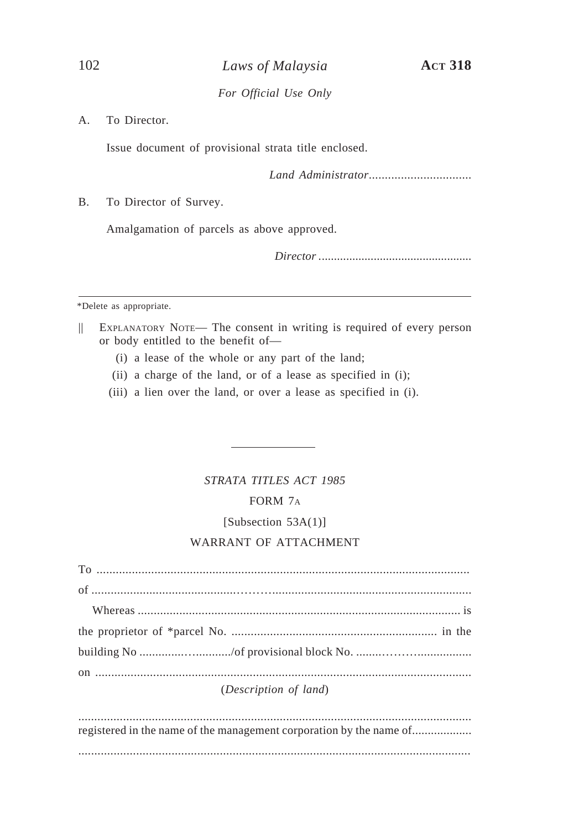A. To Director.

Issue document of provisional strata title enclosed.

*Land Administrator*................................

B. To Director of Survey.

Amalgamation of parcels as above approved.

*Director .*.................................................

\*Delete as appropriate.

- || EXPLANATORY NOTE— The consent in writing is required of every person or body entitled to the benefit of—
	- (i) a lease of the whole or any part of the land;
	- (ii) a charge of the land, or of a lease as specified in (i);
	- (iii) a lien over the land, or over a lease as specified in (i).

# *STRATA TITLES ACT 1985*

## FORM 7A

## [Subsection 53A(1)]

## WARRANT OF ATTACHMENT

| (Description of land) |
|-----------------------|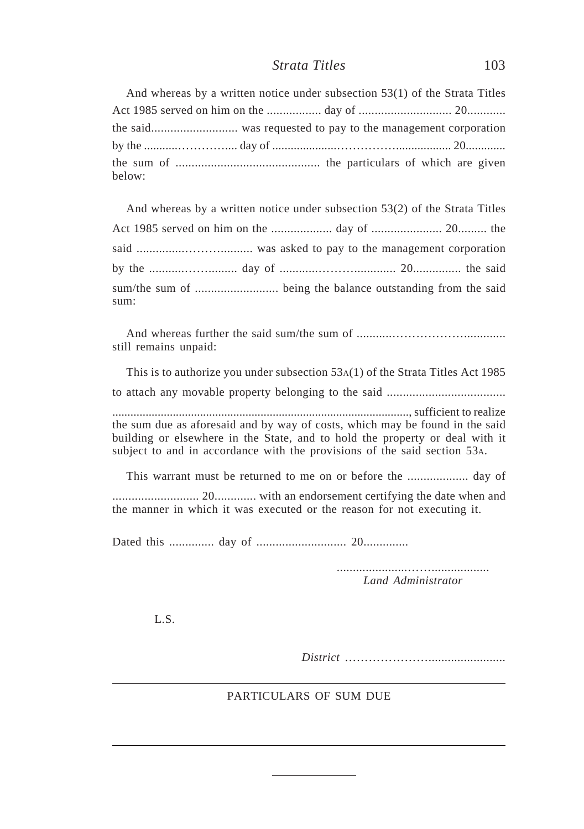And whereas by a written notice under subsection 53(1) of the Strata Titles Act 1985 served on him on the ................. day of ............................. 20............ the said........................... was requested to pay to the management corporation by the ...........………….... day of .....................…………….................. 20............. the sum of ............................................. the particulars of which are given below:

| And whereas by a written notice under subsection $53(2)$ of the Strata Titles |  |  |
|-------------------------------------------------------------------------------|--|--|
|                                                                               |  |  |
|                                                                               |  |  |
|                                                                               |  |  |
| sum:                                                                          |  |  |

And whereas further the said sum/the sum of ...........………………............. still remains unpaid:

This is to authorize you under subsection 53A(1) of the Strata Titles Act 1985 to attach any movable property belonging to the said ..................................... .................................................................................................., sufficient to realize the sum due as aforesaid and by way of costs, which may be found in the said building or elsewhere in the State, and to hold the property or deal with it subject to and in accordance with the provisions of the said section 53A.

This warrant must be returned to me on or before the ................... day of ........................... 20............. with an endorsement certifying the date when and the manner in which it was executed or the reason for not executing it.

Dated this .............. day of ............................ 20..............

......................…….................. *Land Administrator*

L.S.

*District* …………………........................

## PARTICULARS OF SUM DUE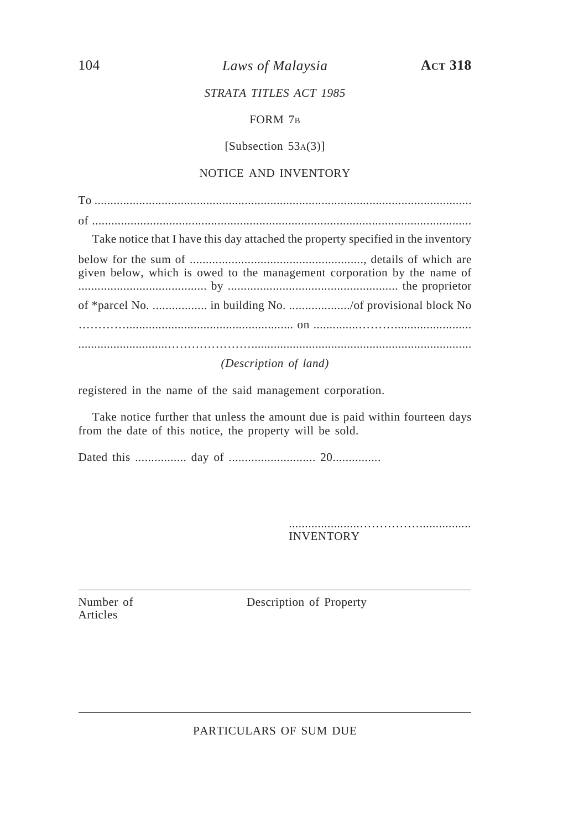104 *Laws of Malaysia* **ACT 318**

## *STRATA TITLES ACT 1985*

## FORM 7B

[Subsection 53A(3)]

## NOTICE AND INVENTORY

To ...................................................................................................................... of ......................................................................................................................

Take notice that I have this day attached the property specified in the inventory

|                                                                                                                                                                                                                                                                      | given below, which is owed to the management corporation by the name of |
|----------------------------------------------------------------------------------------------------------------------------------------------------------------------------------------------------------------------------------------------------------------------|-------------------------------------------------------------------------|
|                                                                                                                                                                                                                                                                      |                                                                         |
|                                                                                                                                                                                                                                                                      |                                                                         |
|                                                                                                                                                                                                                                                                      |                                                                         |
| $\mathcal{L}$ is the contract of $\mathcal{L}$ in the contract of $\mathcal{L}$ is the contract of $\mathcal{L}$ is the contract of $\mathcal{L}$ is the contract of $\mathcal{L}$ is the contract of $\mathcal{L}$ is the contract of $\mathcal{L}$ is the contract |                                                                         |

*(Description of land)*

registered in the name of the said management corporation.

Take notice further that unless the amount due is paid within fourteen days from the date of this notice, the property will be sold.

Dated this ................ day of ........................... 20...............

......................……………................ INVENTORY

Articles

Number of Description of Property

PARTICULARS OF SUM DUE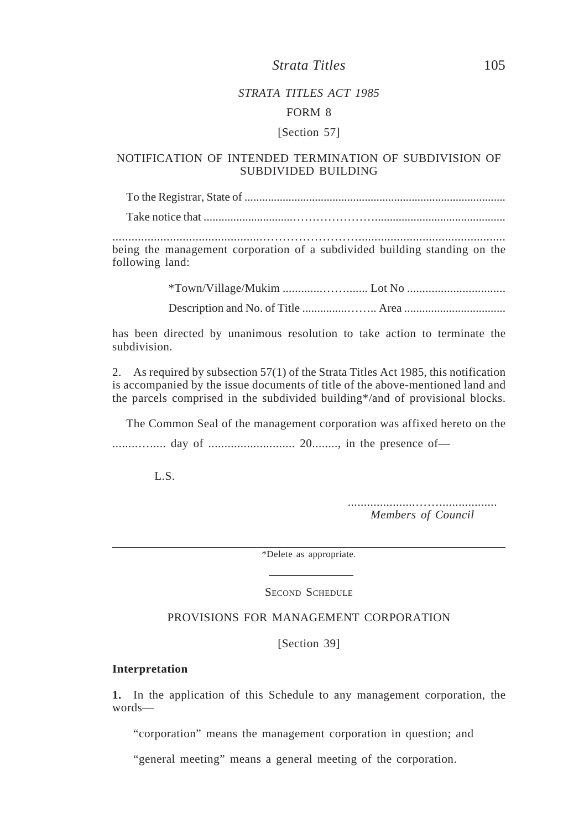### *STRATA TITLES ACT 1985*

#### FORM 8

#### [Section 57]

### NOTIFICATION OF INTENDED TERMINATION OF SUBDIVISION OF SUBDIVIDED BUILDING

To the Registrar, State of .........................................................................................

Take notice that ..............................…………………............................................

...............................................…………………….............................................. being the management corporation of a subdivided building standing on the following land:

\*Town/Village/Mukim .............……....... Lot No ................................

Description and No. of Title ...............…….. Area ..................................

has been directed by unanimous resolution to take action to terminate the subdivision.

2. As required by subsection 57(1) of the Strata Titles Act 1985, this notification is accompanied by the issue documents of title of the above-mentioned land and the parcels comprised in the subdivided building\*/and of provisional blocks.

The Common Seal of the management corporation was affixed hereto on the ........…..... day of ........................... 20........, in the presence of—

L.S.

.....................…….................. *Members of Council*

\*Delete as appropriate.

SECOND SCHEDULE

## PROVISIONS FOR MANAGEMENT CORPORATION

[Section 39]

#### **Interpretation**

**1.** In the application of this Schedule to any management corporation, the words—

"corporation" means the management corporation in question; and

"general meeting" means a general meeting of the corporation.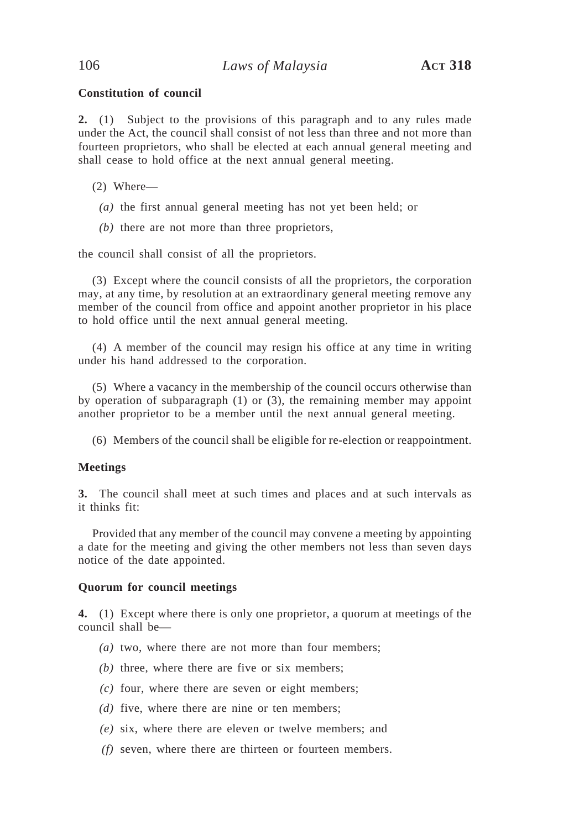### **Constitution of council**

**2.** (1) Subject to the provisions of this paragraph and to any rules made under the Act, the council shall consist of not less than three and not more than fourteen proprietors, who shall be elected at each annual general meeting and shall cease to hold office at the next annual general meeting.

- (2) Where—
	- *(a)* the first annual general meeting has not yet been held; or
	- *(b)* there are not more than three proprietors,

the council shall consist of all the proprietors.

(3) Except where the council consists of all the proprietors, the corporation may, at any time, by resolution at an extraordinary general meeting remove any member of the council from office and appoint another proprietor in his place to hold office until the next annual general meeting.

(4) A member of the council may resign his office at any time in writing under his hand addressed to the corporation.

(5) Where a vacancy in the membership of the council occurs otherwise than by operation of subparagraph (1) or (3), the remaining member may appoint another proprietor to be a member until the next annual general meeting.

(6) Members of the council shall be eligible for re-election or reappointment.

#### **Meetings**

**3.** The council shall meet at such times and places and at such intervals as it thinks fit:

Provided that any member of the council may convene a meeting by appointing a date for the meeting and giving the other members not less than seven days notice of the date appointed.

#### **Quorum for council meetings**

**4.** (1) Except where there is only one proprietor, a quorum at meetings of the council shall be—

- *(a)* two, where there are not more than four members;
- *(b)* three, where there are five or six members;
- *(c)* four, where there are seven or eight members;
- *(d)* five, where there are nine or ten members;
- *(e)* six, where there are eleven or twelve members; and
- *(f)* seven, where there are thirteen or fourteen members.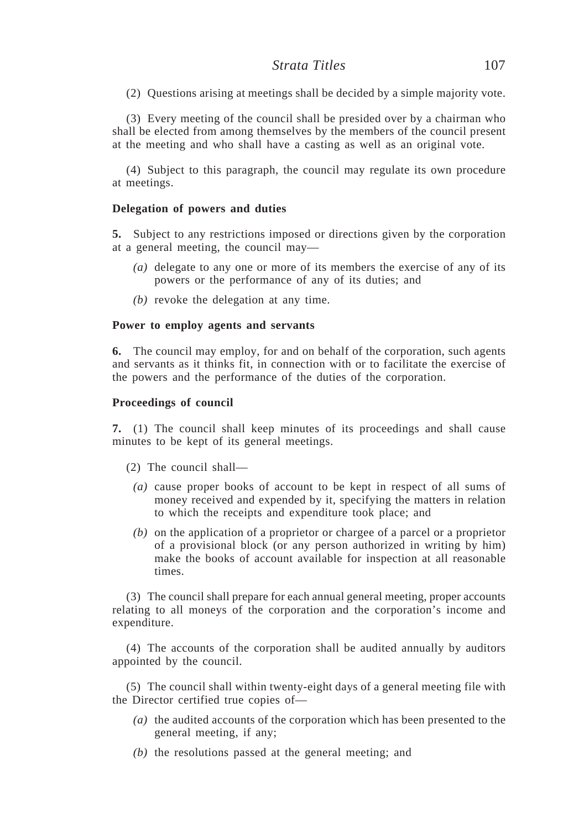(2) Questions arising at meetings shall be decided by a simple majority vote.

(3) Every meeting of the council shall be presided over by a chairman who shall be elected from among themselves by the members of the council present at the meeting and who shall have a casting as well as an original vote.

(4) Subject to this paragraph, the council may regulate its own procedure at meetings.

#### **Delegation of powers and duties**

**5.** Subject to any restrictions imposed or directions given by the corporation at a general meeting, the council may—

- *(a)* delegate to any one or more of its members the exercise of any of its powers or the performance of any of its duties; and
- *(b)* revoke the delegation at any time.

#### **Power to employ agents and servants**

**6.** The council may employ, for and on behalf of the corporation, such agents and servants as it thinks fit, in connection with or to facilitate the exercise of the powers and the performance of the duties of the corporation.

#### **Proceedings of council**

**7.** (1) The council shall keep minutes of its proceedings and shall cause minutes to be kept of its general meetings.

- (2) The council shall—
	- *(a)* cause proper books of account to be kept in respect of all sums of money received and expended by it, specifying the matters in relation to which the receipts and expenditure took place; and
	- *(b)* on the application of a proprietor or chargee of a parcel or a proprietor of a provisional block (or any person authorized in writing by him) make the books of account available for inspection at all reasonable times.

(3) The council shall prepare for each annual general meeting, proper accounts relating to all moneys of the corporation and the corporation's income and expenditure.

(4) The accounts of the corporation shall be audited annually by auditors appointed by the council.

(5) The council shall within twenty-eight days of a general meeting file with the Director certified true copies of—

- *(a)* the audited accounts of the corporation which has been presented to the general meeting, if any;
- *(b)* the resolutions passed at the general meeting; and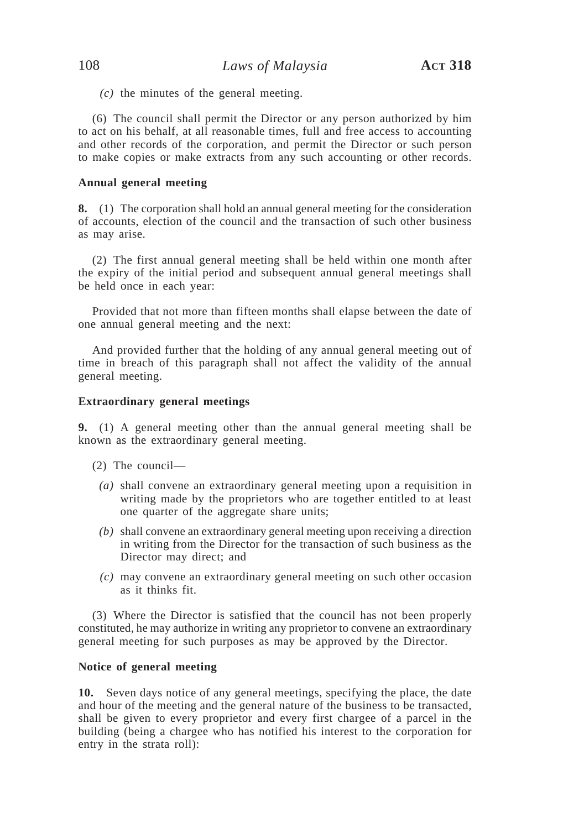*(c)* the minutes of the general meeting.

(6) The council shall permit the Director or any person authorized by him to act on his behalf, at all reasonable times, full and free access to accounting and other records of the corporation, and permit the Director or such person to make copies or make extracts from any such accounting or other records.

#### **Annual general meeting**

**8.** (1) The corporation shall hold an annual general meeting for the consideration of accounts, election of the council and the transaction of such other business as may arise.

(2) The first annual general meeting shall be held within one month after the expiry of the initial period and subsequent annual general meetings shall be held once in each year:

Provided that not more than fifteen months shall elapse between the date of one annual general meeting and the next:

And provided further that the holding of any annual general meeting out of time in breach of this paragraph shall not affect the validity of the annual general meeting.

### **Extraordinary general meetings**

**9.** (1) A general meeting other than the annual general meeting shall be known as the extraordinary general meeting.

- (2) The council—
	- *(a)* shall convene an extraordinary general meeting upon a requisition in writing made by the proprietors who are together entitled to at least one quarter of the aggregate share units;
	- *(b)* shall convene an extraordinary general meeting upon receiving a direction in writing from the Director for the transaction of such business as the Director may direct; and
	- *(c)* may convene an extraordinary general meeting on such other occasion as it thinks fit.

(3) Where the Director is satisfied that the council has not been properly constituted, he may authorize in writing any proprietor to convene an extraordinary general meeting for such purposes as may be approved by the Director.

#### **Notice of general meeting**

**10.** Seven days notice of any general meetings, specifying the place, the date and hour of the meeting and the general nature of the business to be transacted, shall be given to every proprietor and every first chargee of a parcel in the building (being a chargee who has notified his interest to the corporation for entry in the strata roll):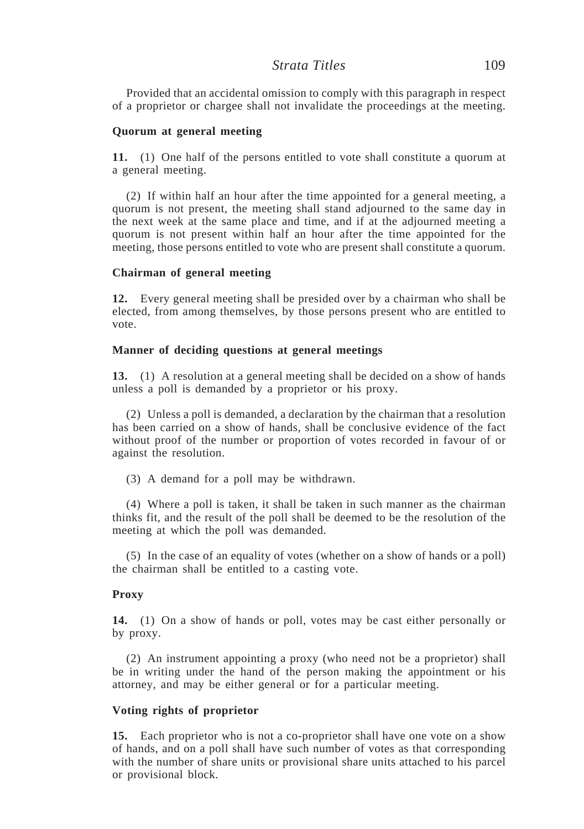## *Strata Titles* 109

Provided that an accidental omission to comply with this paragraph in respect of a proprietor or chargee shall not invalidate the proceedings at the meeting.

#### **Quorum at general meeting**

**11.** (1) One half of the persons entitled to vote shall constitute a quorum at a general meeting.

(2) If within half an hour after the time appointed for a general meeting, a quorum is not present, the meeting shall stand adjourned to the same day in the next week at the same place and time, and if at the adjourned meeting a quorum is not present within half an hour after the time appointed for the meeting, those persons entitled to vote who are present shall constitute a quorum.

#### **Chairman of general meeting**

**12.** Every general meeting shall be presided over by a chairman who shall be elected, from among themselves, by those persons present who are entitled to vote.

#### **Manner of deciding questions at general meetings**

**13.** (1) A resolution at a general meeting shall be decided on a show of hands unless a poll is demanded by a proprietor or his proxy.

(2) Unless a poll is demanded, a declaration by the chairman that a resolution has been carried on a show of hands, shall be conclusive evidence of the fact without proof of the number or proportion of votes recorded in favour of or against the resolution.

(3) A demand for a poll may be withdrawn.

(4) Where a poll is taken, it shall be taken in such manner as the chairman thinks fit, and the result of the poll shall be deemed to be the resolution of the meeting at which the poll was demanded.

(5) In the case of an equality of votes (whether on a show of hands or a poll) the chairman shall be entitled to a casting vote.

#### **Proxy**

**14.** (1) On a show of hands or poll, votes may be cast either personally or by proxy.

(2) An instrument appointing a proxy (who need not be a proprietor) shall be in writing under the hand of the person making the appointment or his attorney, and may be either general or for a particular meeting.

#### **Voting rights of proprietor**

**15.** Each proprietor who is not a co-proprietor shall have one vote on a show of hands, and on a poll shall have such number of votes as that corresponding with the number of share units or provisional share units attached to his parcel or provisional block.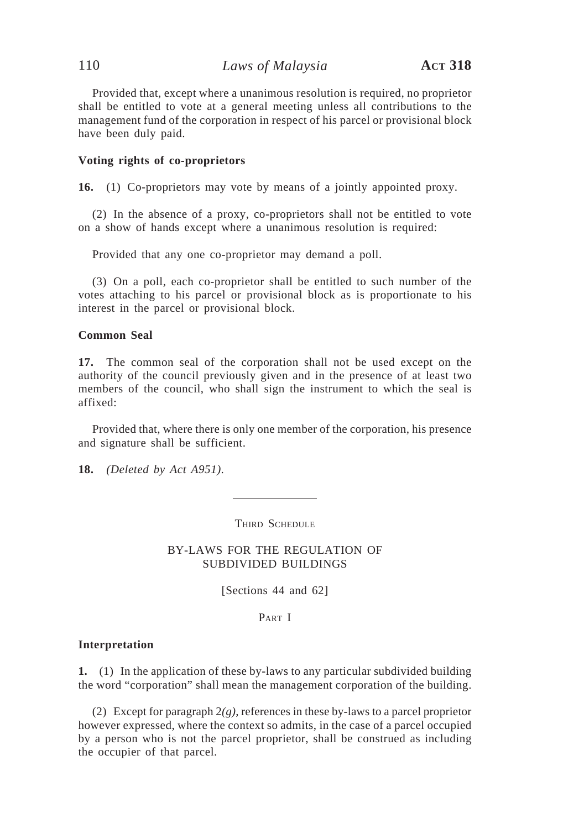Provided that, except where a unanimous resolution is required, no proprietor shall be entitled to vote at a general meeting unless all contributions to the management fund of the corporation in respect of his parcel or provisional block have been duly paid.

#### **Voting rights of co-proprietors**

**16.** (1) Co-proprietors may vote by means of a jointly appointed proxy.

(2) In the absence of a proxy, co-proprietors shall not be entitled to vote on a show of hands except where a unanimous resolution is required:

Provided that any one co-proprietor may demand a poll.

(3) On a poll, each co-proprietor shall be entitled to such number of the votes attaching to his parcel or provisional block as is proportionate to his interest in the parcel or provisional block.

#### **Common Seal**

**17.** The common seal of the corporation shall not be used except on the authority of the council previously given and in the presence of at least two members of the council, who shall sign the instrument to which the seal is affixed:

Provided that, where there is only one member of the corporation, his presence and signature shall be sufficient.

**18.** *(Deleted by Act A951).*

THIRD SCHEDULE

BY-LAWS FOR THE REGULATION OF SUBDIVIDED BUILDINGS

[Sections 44 and 62]

PART I

#### **Interpretation**

**1.** (1) In the application of these by-laws to any particular subdivided building the word "corporation" shall mean the management corporation of the building.

(2) Except for paragraph 2*(g)*, references in these by-laws to a parcel proprietor however expressed, where the context so admits, in the case of a parcel occupied by a person who is not the parcel proprietor, shall be construed as including the occupier of that parcel.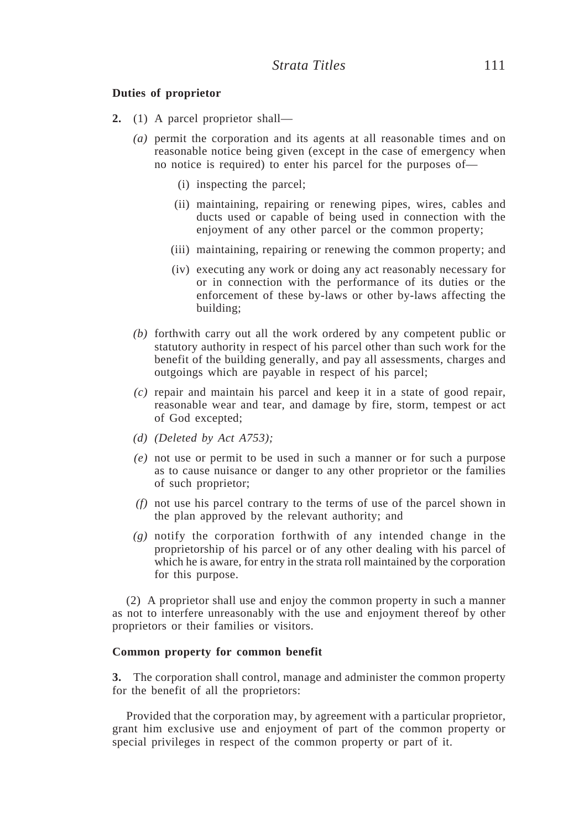#### **Duties of proprietor**

- **2.** (1) A parcel proprietor shall—
	- *(a)* permit the corporation and its agents at all reasonable times and on reasonable notice being given (except in the case of emergency when no notice is required) to enter his parcel for the purposes of—
		- (i) inspecting the parcel;
		- (ii) maintaining, repairing or renewing pipes, wires, cables and ducts used or capable of being used in connection with the enjoyment of any other parcel or the common property;
		- (iii) maintaining, repairing or renewing the common property; and
		- (iv) executing any work or doing any act reasonably necessary for or in connection with the performance of its duties or the enforcement of these by-laws or other by-laws affecting the building;
	- *(b)* forthwith carry out all the work ordered by any competent public or statutory authority in respect of his parcel other than such work for the benefit of the building generally, and pay all assessments, charges and outgoings which are payable in respect of his parcel;
	- *(c)* repair and maintain his parcel and keep it in a state of good repair, reasonable wear and tear, and damage by fire, storm, tempest or act of God excepted;
	- *(d) (Deleted by Act A753);*
	- *(e)* not use or permit to be used in such a manner or for such a purpose as to cause nuisance or danger to any other proprietor or the families of such proprietor;
	- *(f)* not use his parcel contrary to the terms of use of the parcel shown in the plan approved by the relevant authority; and
	- *(g)* notify the corporation forthwith of any intended change in the proprietorship of his parcel or of any other dealing with his parcel of which he is aware, for entry in the strata roll maintained by the corporation for this purpose.

(2) A proprietor shall use and enjoy the common property in such a manner as not to interfere unreasonably with the use and enjoyment thereof by other proprietors or their families or visitors.

#### **Common property for common benefit**

**3.** The corporation shall control, manage and administer the common property for the benefit of all the proprietors:

Provided that the corporation may, by agreement with a particular proprietor, grant him exclusive use and enjoyment of part of the common property or special privileges in respect of the common property or part of it.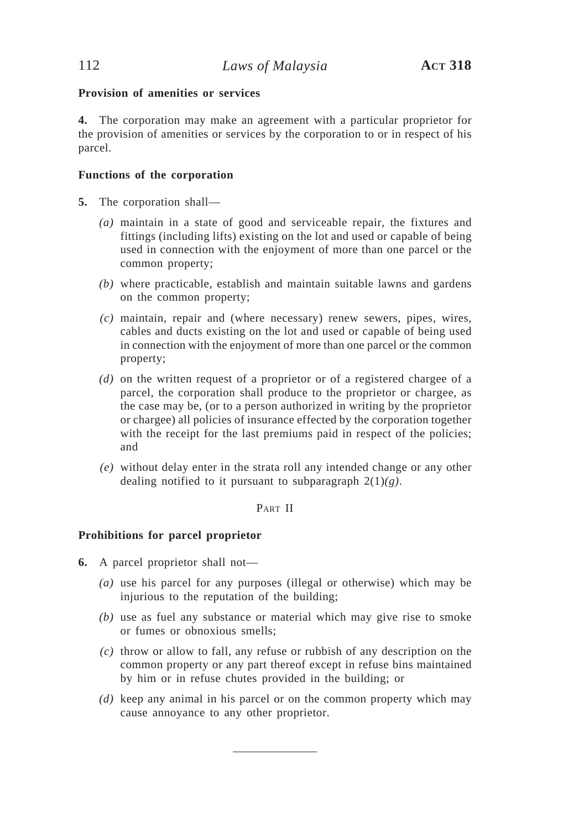## **Provision of amenities or services**

**4.** The corporation may make an agreement with a particular proprietor for the provision of amenities or services by the corporation to or in respect of his parcel.

## **Functions of the corporation**

- **5.** The corporation shall—
	- *(a)* maintain in a state of good and serviceable repair, the fixtures and fittings (including lifts) existing on the lot and used or capable of being used in connection with the enjoyment of more than one parcel or the common property;
	- *(b)* where practicable, establish and maintain suitable lawns and gardens on the common property;
	- *(c)* maintain, repair and (where necessary) renew sewers, pipes, wires, cables and ducts existing on the lot and used or capable of being used in connection with the enjoyment of more than one parcel or the common property;
	- *(d)* on the written request of a proprietor or of a registered chargee of a parcel, the corporation shall produce to the proprietor or chargee, as the case may be, (or to a person authorized in writing by the proprietor or chargee) all policies of insurance effected by the corporation together with the receipt for the last premiums paid in respect of the policies; and
	- *(e)* without delay enter in the strata roll any intended change or any other dealing notified to it pursuant to subparagraph 2(1)*(g)*.

PART II

### **Prohibitions for parcel proprietor**

- **6.** A parcel proprietor shall not—
	- *(a)* use his parcel for any purposes (illegal or otherwise) which may be injurious to the reputation of the building;
	- *(b)* use as fuel any substance or material which may give rise to smoke or fumes or obnoxious smells;
	- *(c)* throw or allow to fall, any refuse or rubbish of any description on the common property or any part thereof except in refuse bins maintained by him or in refuse chutes provided in the building; or
	- *(d)* keep any animal in his parcel or on the common property which may cause annoyance to any other proprietor.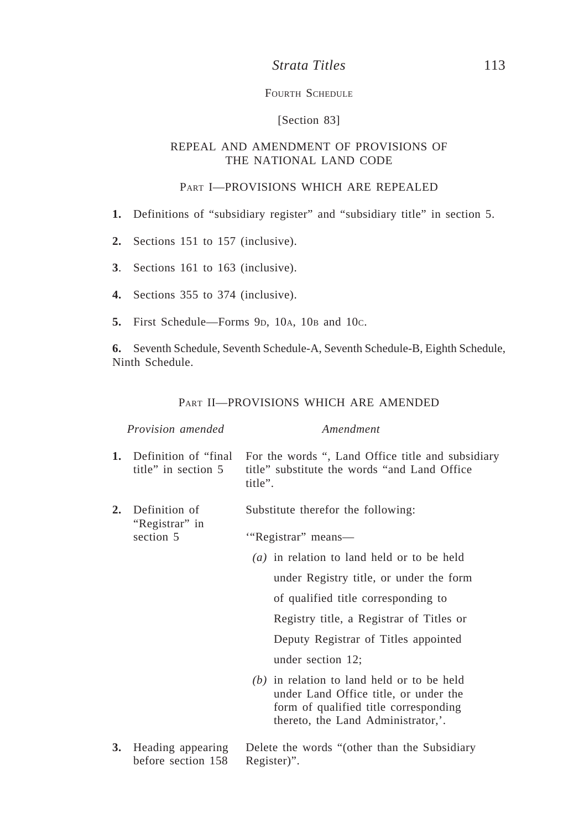## *Strata Titles* 113

### FOURTH SCHEDULE

## [Section 83]

### REPEAL AND AMENDMENT OF PROVISIONS OF THE NATIONAL LAND CODE

### PART I—PROVISIONS WHICH ARE REPEALED

- **1.** Definitions of "subsidiary register" and "subsidiary title" in section 5.
- **2.** Sections 151 to 157 (inclusive).
- **3**. Sections 161 to 163 (inclusive).
- **4.** Sections 355 to 374 (inclusive).
- **5.** First Schedule—Forms 9p, 10<sub>A</sub>, 10<sub>B</sub> and 10<sub>C</sub>.

**6.** Seventh Schedule, Seventh Schedule-A, Seventh Schedule-B, Eighth Schedule, Ninth Schedule.

### PART II—PROVISIONS WHICH ARE AMENDED

| <i>Provision amended</i> |                                              | Amendment                                                                                                                                                            |  |
|--------------------------|----------------------------------------------|----------------------------------------------------------------------------------------------------------------------------------------------------------------------|--|
| 1.                       | Definition of "final<br>title" in section 5  | For the words ", Land Office title and subsidiary<br>title" substitute the words "and Land Office"<br>title".                                                        |  |
| 2.                       | Definition of<br>"Registrar" in<br>section 5 | Substitute therefor the following:<br>"Registrar" means-                                                                                                             |  |
|                          |                                              | $(a)$ in relation to land held or to be held                                                                                                                         |  |
|                          |                                              | under Registry title, or under the form                                                                                                                              |  |
|                          |                                              | of qualified title corresponding to                                                                                                                                  |  |
|                          |                                              | Registry title, a Registrar of Titles or                                                                                                                             |  |
|                          |                                              | Deputy Registrar of Titles appointed                                                                                                                                 |  |
|                          |                                              | under section 12;                                                                                                                                                    |  |
|                          |                                              | $(b)$ in relation to land held or to be held<br>under Land Office title, or under the<br>form of qualified title corresponding<br>thereto, the Land Administrator,'. |  |

**3.** Heading appearing Delete the words "(other than the Subsidiary before section 158 Register)".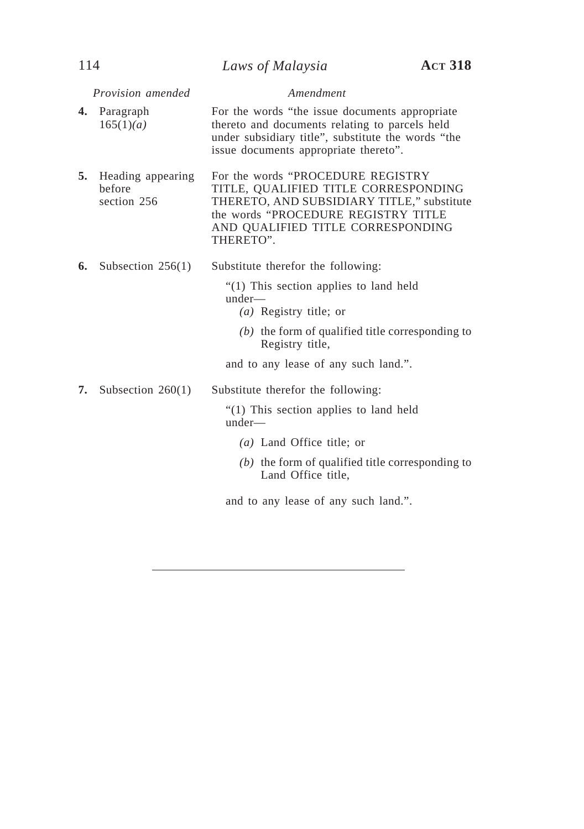|    | Provision amended                          | Amendment                                                                                                                                                                                                        |
|----|--------------------------------------------|------------------------------------------------------------------------------------------------------------------------------------------------------------------------------------------------------------------|
| 4. | Paragraph<br>165(1)(a)                     | For the words "the issue documents appropriate"<br>thereto and documents relating to parcels held<br>under subsidiary title", substitute the words "the<br>issue documents appropriate thereto".                 |
| 5. | Heading appearing<br>before<br>section 256 | For the words "PROCEDURE REGISTRY<br>TITLE, QUALIFIED TITLE CORRESPONDING<br>THERETO, AND SUBSIDIARY TITLE," substitute<br>the words "PROCEDURE REGISTRY TITLE<br>AND QUALIFIED TITLE CORRESPONDING<br>THERETO". |
| 6. | Subsection $256(1)$                        | Substitute therefor the following:                                                                                                                                                                               |
|    |                                            | "(1) This section applies to land held<br>under—<br>( <i>a</i> ) Registry title; or<br>$(b)$ the form of qualified title corresponding to<br>Registry title,<br>and to any lease of any such land.".             |
| 7. |                                            |                                                                                                                                                                                                                  |
|    | Subsection $260(1)$                        | Substitute therefor the following:<br>"(1) This section applies to land held<br>under—                                                                                                                           |
|    |                                            | $(a)$ Land Office title; or                                                                                                                                                                                      |
|    |                                            | $(b)$ the form of qualified title corresponding to<br>Land Office title,                                                                                                                                         |
|    |                                            | and to any lease of any such land.".                                                                                                                                                                             |
|    |                                            |                                                                                                                                                                                                                  |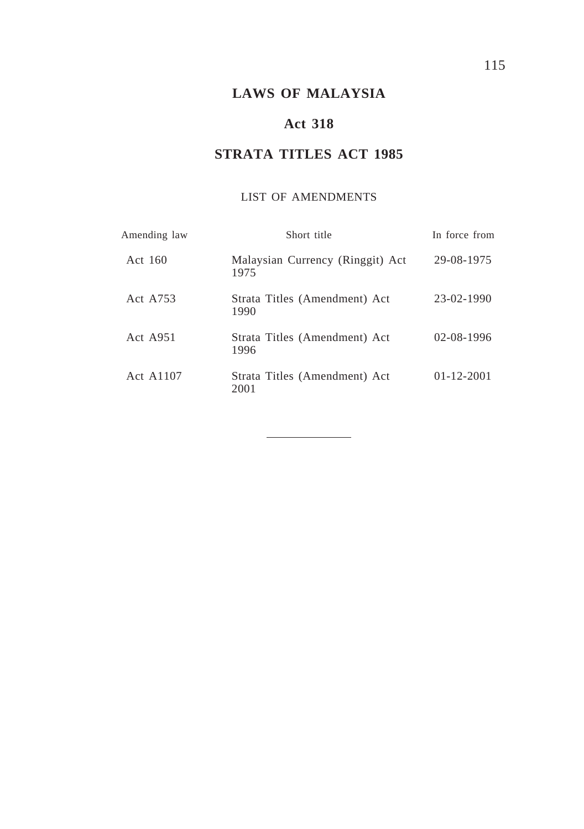# **LAWS OF MALAYSIA**

## **Act 318**

# **STRATA TITLES ACT 1985**

## LIST OF AMENDMENTS

| Amending law | Short title                              | In force from    |
|--------------|------------------------------------------|------------------|
| Act 160      | Malaysian Currency (Ringgit) Act<br>1975 | 29-08-1975       |
| Act A753     | Strata Titles (Amendment) Act<br>1990    | 23-02-1990       |
| Act $A951$   | Strata Titles (Amendment) Act<br>1996    | $02 - 08 - 1996$ |
| Act A1107    | Strata Titles (Amendment) Act<br>2001    | $01 - 12 - 2001$ |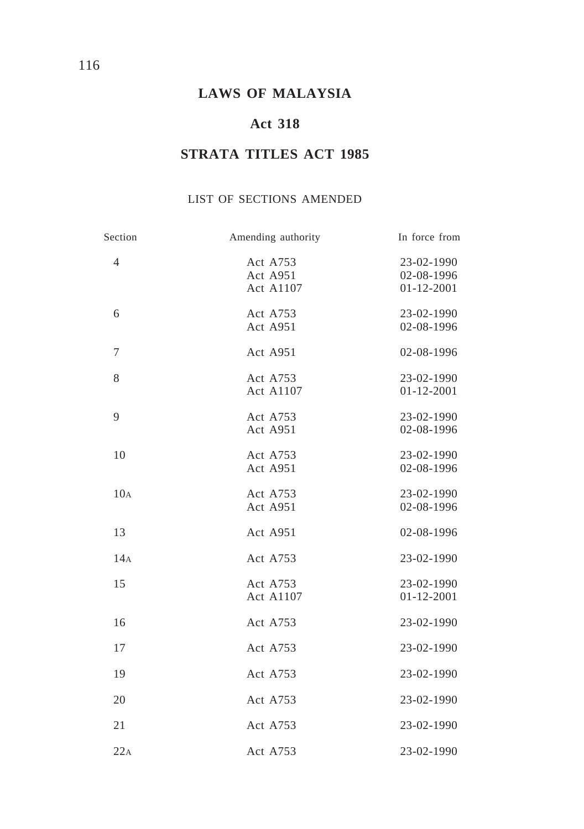# **LAWS OF MALAYSIA**

## **Act 318**

# **STRATA TITLES ACT 1985**

## LIST OF SECTIONS AMENDED

| Section         | Amending authority                | In force from                                |
|-----------------|-----------------------------------|----------------------------------------------|
| 4               | Act A753<br>Act A951<br>Act A1107 | 23-02-1990<br>02-08-1996<br>$01 - 12 - 2001$ |
| 6               | Act A753<br>Act A951              | 23-02-1990<br>02-08-1996                     |
| 7               | Act A951                          | 02-08-1996                                   |
| 8               | Act A753<br>Act A1107             | 23-02-1990<br>$01 - 12 - 2001$               |
| 9               | Act A753<br>Act A951              | 23-02-1990<br>02-08-1996                     |
| 10              | Act A753<br>Act A951              | 23-02-1990<br>02-08-1996                     |
| 10 <sub>A</sub> | Act A753<br>Act A951              | 23-02-1990<br>02-08-1996                     |
| 13              | Act A951                          | 02-08-1996                                   |
| 14A             | Act A753                          | 23-02-1990                                   |
| 15              | Act A753<br><b>Act A1107</b>      | 23-02-1990<br>$01 - 12 - 2001$               |
| 16              | Act A753                          | 23-02-1990                                   |
| 17              | Act A753                          | 23-02-1990                                   |
| 19              | Act A753                          | 23-02-1990                                   |
| 20              | Act A753                          | 23-02-1990                                   |
| 21              | Act A753                          | 23-02-1990                                   |
| 22A             | Act A753                          | 23-02-1990                                   |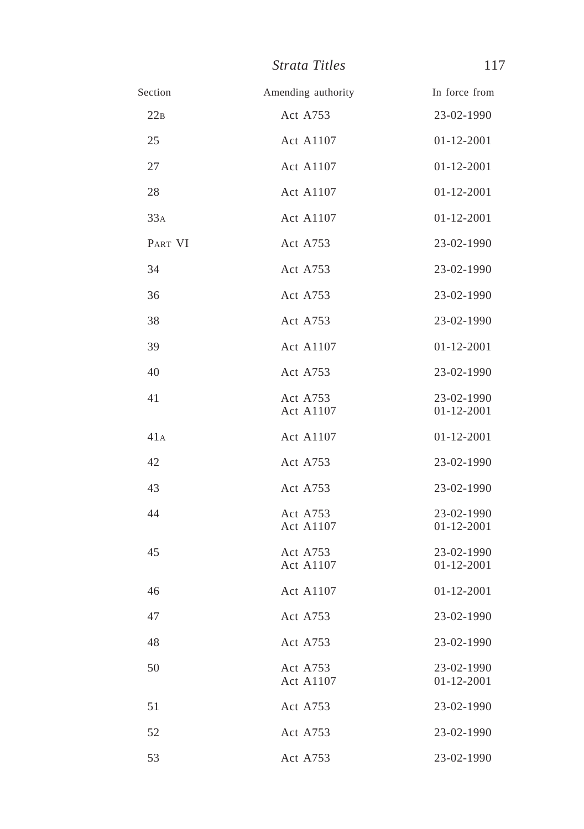| <i>Strata Titles</i> |  |
|----------------------|--|
|----------------------|--|

| Amending authority           | In force from                  |
|------------------------------|--------------------------------|
| Act A753                     | 23-02-1990                     |
| <b>Act A1107</b>             | $01 - 12 - 2001$               |
| Act A1107                    | $01 - 12 - 2001$               |
| Act A1107                    | 01-12-2001                     |
| Act A1107                    | $01 - 12 - 2001$               |
| Act A753                     | 23-02-1990                     |
| Act A753                     | 23-02-1990                     |
| Act A753                     | 23-02-1990                     |
| Act A753                     | 23-02-1990                     |
| Act A1107                    | 01-12-2001                     |
| Act A753                     | 23-02-1990                     |
| Act A753<br>Act A1107        | 23-02-1990<br>$01 - 12 - 2001$ |
| <b>Act A1107</b>             | $01 - 12 - 2001$               |
| Act A753                     | 23-02-1990                     |
| Act A753                     | 23-02-1990                     |
| Act A753<br>Act A1107        | 23-02-1990<br>01-12-2001       |
| Act A753<br><b>Act A1107</b> | 23-02-1990<br>$01 - 12 - 2001$ |
| Act A1107                    | $01 - 12 - 2001$               |
| Act A753                     | 23-02-1990                     |
| Act A753                     | 23-02-1990                     |
| Act A753<br>Act A1107        | 23-02-1990<br>01-12-2001       |
| Act A753                     | 23-02-1990                     |
| Act A753                     | 23-02-1990                     |
| Act A753                     | 23-02-1990                     |
|                              |                                |